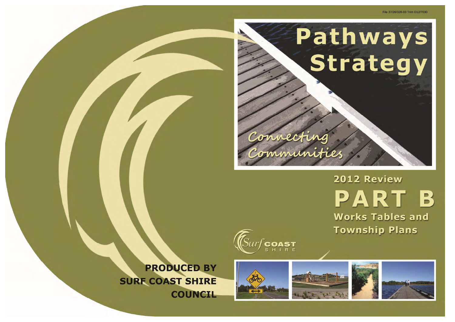







**PRODUCED BY SURF COAST SHIRE COUNCIL** 

### File 37/26/328-03 Trim D12/7030

# 2012 Review PART B **Works Tables and Township Plans**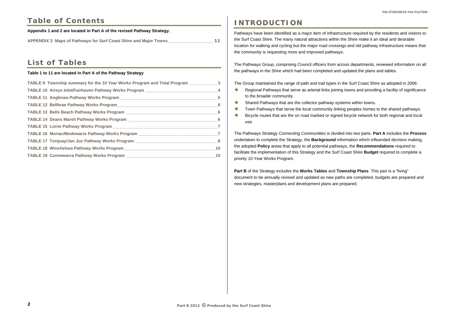# **Table of Contents**

### **Appendix 1 and 2 are located in Part A of the revised Pathway Strategy.**

**APPENDIX 3 Maps of Pathways for Surf Coast Shire and Major Towns \_\_\_\_\_\_\_\_\_\_\_\_\_\_\_\_\_\_\_ 11** 

# **List of Tables**

### **Table 1 to 11 are located in Part A of the Pathway Strategy**

| TABLE 9 Township summary for the 10 Year Works Program and Total Program 23 |  |
|-----------------------------------------------------------------------------|--|
|                                                                             |  |
|                                                                             |  |
|                                                                             |  |
|                                                                             |  |
|                                                                             |  |
|                                                                             |  |
|                                                                             |  |
|                                                                             |  |
|                                                                             |  |
|                                                                             |  |

- $\begin{array}{c} \bullet \\ \bullet \end{array}$ to the broader community.
- Shared Pathways that are the collector pathway systems within towns.
- Town Pathways that serve the local community linking peoples homes to the shared pathways.
- $\bullet$  Bicycle routes that are the on road marked or signed bicycle network for both regional and local use.

# **INTRODUCTION**

Pathways have been identified as a major item of infrastructure required by the residents and visitors to the Surf Coast Shire. The many natural attractions within the Shire make it an ideal and desirable location for walking and cycling but the major road crossings and old pathway infrastructure means that the community is requesting more and improved pathways.

The Pathways Group, comprising Council officers from across departments, reviewed information on all the pathways in the Shire which had been completed and updated the plans and tables.

The Group maintained the range of path and trail types in the Surf Coast Shire as adopted in 2006: Regional Pathways that serve as arterial links joining towns and providing a facility of significance

The Pathways Strategy *Connecting Communities* is divided into two parts. **Part A** includes the **Process**  undertaken to complete the Strategy, the **Background** information which influended decision making, the adopted **Policy** areas that apply to all potential pathways, the **Recommendations** required to facilitate the implementation of this Strategy and the Surf Coast Shire **Budget** required to complete a priority 10 Year Works Program.

**Part B** of the Strategy includes the **Works Tables** and **Township Plans**. This part is a "living" document to be annually revised and updated as new paths are completed, budgets are prepared and new strategies, masterplans and development plans are prepared.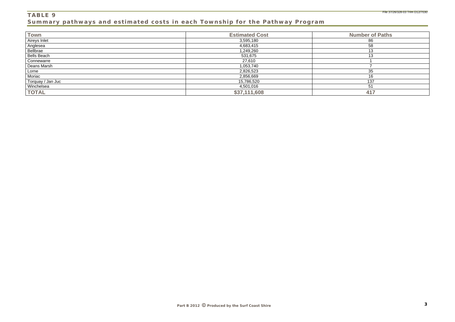### **TABLE 9 Summary pathways and estimated costs in each Township for the Pathway Program**

| <b>Town</b>         | <b>Estimated Cost</b> | <b>Number of Paths</b> |
|---------------------|-----------------------|------------------------|
| <b>Aireys Inlet</b> | 3,595,180             | 86                     |
| Anglesea            | 4,683,415             | 58                     |
| Bellbrae            | 1,249,260             | 13                     |
| <b>Bells Beach</b>  | 531,675               | 13                     |
| Connewarre          | 27,610                |                        |
| Deans Marsh         | 1,053,740             |                        |
| Lorne               | 2,826,523             | 35                     |
| Moriac              | 2,856,669             | 16                     |
| Torquay / Jan Juc   | 15,786,520            | 137                    |
| Winchelsea          | 4,501,016             | 51                     |
| <b>TOTAL</b>        | \$37,111,608          | 417                    |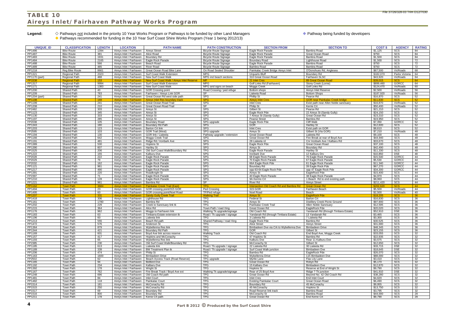### **TABLE 10 Aireys Inlet/Fairhaven Pathway Works Program**

Legend:  $\Diamond$  Pathways <u>not</u> included in the priority 10 Year Works Program or Pathways to be funded by other Land Managers **Pathway being funded by developers** ◆ Pathways recommended for funding in the 10 Year Surf Coast Shire Works Program (Year 1 being 2012/13)

| <b>UNIQUE ID</b><br><b>CLASSIFICATION</b><br><b>LENGTH</b><br><b>LOCATION</b><br><b>SECTION FROM</b><br><b>PATH NAME</b><br><b>PATH CONSTRUCTION</b><br><b>SECTION TO</b><br><b>Aireys Street</b><br>PP1486<br><b>Bike Route</b><br>1394<br>Aireys Inlet / Fairhaven<br>Eagle Rock Parade<br>Bambra Road<br><b>Bicycle Route Signage</b><br>PP1487<br><b>Bike Route</b><br>381<br>Aireys Inlet / Fairhaven   Alice Road<br><b>Bicycle Route Signage</b><br>Eagle Rock Parade<br>Great Ocean Road<br>1931<br>PP1483<br><b>Bike Route</b><br>Airevs Inlet / Fairhaven   Boundary Rd<br><b>Bicycle Route Signage</b><br>Eagle Rock Parade<br>Bambra Road<br>PP1484<br>2165<br>Aireys Inlet / Fairhaven<br>Eagle Rock Parade<br><b>Bike Route</b><br><b>Bicycle Route Signage</b><br><b>Boundary Road</b><br>Lighthouse Road<br>PP1488<br>566<br><b>Bike Route</b><br>Aireys Inlet / Fairhaven<br>Beach Road<br>Eagle Rock Parade<br>Bambra Road<br>Bicycle Route Signage<br>PP1489<br>485<br>Airevs Inlet / Fairhaven<br><b>River Road</b><br>Bambra Road<br><b>Bike Route</b><br><b>Bicycle Route Signage</b><br>Bambra Road<br>PP1218<br><b>Reg Bike Route</b><br>8661<br>Aireys Inlet / Fairhaven<br>Great Ocean Road Bike Lane<br>On Road Sealed Shoulder<br>Painkalac Creek Bridge Aireys Inlet<br>O'Donohues Rd, Anglesea<br>PP1321<br><b>Regional Path</b><br>2023<br>Airevs Inlet / Fairhaven<br>Surf Coast Walk Extension<br><b>MPG</b><br><b>Urquarts Bluff</b><br>Boundary Rd<br>488<br>Aireys Inlet / Fairhaven   New Surf Coast Walk<br>Fairhaven SLSC<br>PP1170 (part)<br><b>Regional Path</b><br>MPG incl beach sections<br>310 Great Ocean Road<br>153<br>Aireys Inlet / Fairhaven   New Surf Coast Walk / Aireys Inlet Reserve<br>89 Great Ocean Road<br><b>Regional Path</b><br><b>MP</b><br>21 Inlet Cres<br>PP1538<br><b>MPG</b><br>PP1317<br>9994<br>Golf Links Rd (Fairhaven)<br><b>Regional Path</b><br>Aireys Inlet / Fairhaven   Surf Coast Walk Extension<br>Stony Creek (Lorne)<br>Aireys Inlet / Fairhaven   New Surf Coast Walk<br>PP1171<br><b>Regional Path</b><br>1383<br>MPG and signs on beach<br>Moggs Creek<br>Golf Links Rd<br>PP1200<br><b>Shared Path</b><br>43<br><b>GOR Crossing point</b><br>Aireys Inlet / Fairhaven<br>Road Crossing / ped refuge<br>Bottom shops<br>Aireys Inlet Reserve<br><b>SP</b><br>PP1209<br><b>Shared Path</b><br>783<br>Airevs Inlet / Fairhaven   Fairhaven / Airevs Link GOR<br>Lialeeta Road<br><b>Bottom Shops</b><br>PP1204 (part)<br><b>Shared Path</b><br>241<br>Airevs Inlet / Fairhaven<br>Great Ocean Rd west side path<br><b>SPG</b><br><b>Phillip St</b><br>Pearce Rd<br><b>SPG</b><br><b>GOR near Painkalac Creek bridge</b><br><b>Shared Path</b><br>169<br>Aireys Inlet / Fairhaven   Aireys Inlet Res boundary track<br><b>Aireys Inlet Cres</b><br>PP1198<br>PP1199<br>241<br><b>SPG</b><br>Exist path near Allen Noble sanctuarv<br><b>Shared Path</b><br>Aireys Inlet / Fairhaven   Great Ocean Road Trail<br><b>Inlet Cres</b><br>PP1208<br>210<br>Aireys Inlet / Fairhaven   Great Ocean Road Trail<br><b>SP</b><br>Philip St<br><b>Shared Path</b><br>Kerrie Crt<br>FP2482<br>303<br>Aireys Inlet / Fairhaven<br><b>SPG</b><br><b>Gilbert St</b><br>Pearse Rd<br><b>Shared Path</b><br>Aireys St<br>PP1123<br>345<br>Aireys Inlet / Fairhaven<br><b>SPG</b><br><b>Shared Path</b><br>Aireys St<br>Eagle Rock Pde<br>22 Aireys St (Sandy Gully)<br><b>SPG</b><br>333<br>PP1130<br><b>Shared Path</b><br>Aireys Inlet / Fairhaven   Aireys St<br>7 Aireys St (Sandy Gully)<br>Great Ocean Rd<br>PP1197<br>285<br>Aireys Inlet / Fairhaven<br><b>SPG</b><br><b>Pearse Street</b><br>Bambra Rd<br><b>Shared Path</b><br>Aireys St<br>FP2038<br>105<br>SPG upgrade<br>Eagle Rock Pde<br><b>Cliff Walk</b><br><b>Shared Path</b><br>Airevs Inlet / Fairhaven<br>Boundary Road<br><b>SPG</b><br>PP1343<br><b>Shared Path</b><br>Aireys Inlet / Fairhaven   Boundary Rd Path<br><b>GOR</b><br><b>Hartley St</b><br>180<br><b>SPG</b><br>PP1203<br><b>Inlet Cres</b><br>Exist path on GOR<br><b>Shared Path</b><br>123<br>Aireys Inlet / Fairhaven   Barton Crt link<br>FP2595<br>103<br>Aireys Inlet / Fairhaven   GOR Trail (West)<br>SPG upgrade<br>Gilbert St (Via GOR)<br><b>Shared Path</b><br>Aireys St<br>PP1194<br><b>Shared Path</b><br>130<br>Aireys Inlet / Fairhaven<br>GOR link / Lialeeta<br>Lialeeta Rd<br>Pathway upgrade / extension<br>Great Ocean Road<br>PP1166<br><b>Shared Path</b><br>642<br>Aireys Inlet / Fairhaven<br>Moggs Creek Trail<br><b>SPG</b><br>Great Ocean Rd<br>Fire Break at rear of Boyd Ave<br><b>SPG</b><br>PP1191<br><b>Shared Path</b><br>481<br>Aireys Inlet / Fairhaven   Ridge Rd / Ironbark Ave<br>28 Lialeeta rd<br>Cnr Ironbark Ave / Kalbaru Rd<br>PP1389<br>530<br><b>SPG</b><br><b>Shared Path</b><br>Aireys Inlet / Fairhaven<br>Hopkins St<br>Eagle Rock Pde<br>Great Ocean Road<br><b>SPG</b><br>PP1390<br>607<br>Aireys Inlet / Fairhaven<br>Boundary Rd<br><b>Shared Path</b><br><b>Hartley St</b><br>Aireys St<br><b>TPG</b><br><b>Hartley St</b><br>PP1525<br><b>Shared Path</b><br>206<br>Aireys Inlet / Fairhaven<br>Old Surf Coast Walk/Boundary Rd<br>Eagle Rock Parade<br>PP1222<br><b>SPG</b><br>12 Kalburu Drv<br><b>Shared Path</b><br>155<br>Aireys Inlet / Fairhaven<br>Kalburu Dve<br>Ironbark Dve<br><b>SPG</b><br>FP2028<br>222<br>Aireys Inlet / Fairhaven   Eagle Rock Parade<br>76 Eagle Rock Parade<br><b>Shared Path</b><br>68 Eagle Rock Parade<br><b>SPG</b><br>FP2029<br><b>Shared Path</b><br>79<br>Aireys Inlet / Fairhaven<br>Eagle Rock Parade<br>70 Eagle Rock Parade<br>67 Eagle Rock Parade<br><b>SPG</b><br>FP2032<br>162<br>Aireys Inlet / Fairhaven<br>Eagle Rock Parade<br>66A Eagle Rock Pde<br>61 Eagle Rock Parade<br><b>Shared Path</b><br>PP1121<br><b>SPG</b><br>39 Eagle Rock Pde<br><b>Shared Path</b><br>961<br>Aireys Inlet / Fairhaven<br>Eagle Rock Parade<br>Boundary Rd<br>PP1217<br>Aireys Inlet / Fairhaven<br><b>SPG</b><br>opp 63-64 Eagle Rock Pde<br>opp 47 Eagle Rock Pde<br><b>Shared Path</b><br>490<br>Eagle Rock Parade<br><b>SPG</b><br>PP1391<br>220<br>Roadknight St<br>EagleRock Pde<br><b>Shared Path</b><br>Aireys Inlet / Fairhaven<br>Aireys St<br><b>SPG</b><br>FP2397<br>38 Eagle Rock Parade<br><b>Shared Path</b><br>71<br>Aireys Inlet / Fairhaven<br>Eagle Rock Parade<br>40 Eagle Rock Parade<br><b>SPG</b><br>PP1210<br><b>Shared Path</b><br>Aireys Inlet / Fairhaven   Eagle Rock Parade<br>1 Beach Rd to end existing path<br>128<br>9A Kerrire Crt<br><b>SP</b><br>PP1221<br>961<br>Aireys Inlet / Fairhaven   Bambra Rd<br><b>River Rd</b><br><b>Aireys Street</b><br><b>Shared Path</b><br><b>Painkalac Creek Trail (East)</b><br><b>Great Ocean Rd</b><br>Aireys Inlet / Fairhaven<br><b>TPG</b><br>Intersection Old Coach Rd and Bambra Rd<br>PP1162<br><b>Town Path</b><br>3684<br>PP1494<br><b>Town Path</b><br>23<br>Ped Crossing<br>315 GOR<br>Fairhaven Beach<br>Aireys Inlet / Fairhaven   GOR crossing point/315 GOR<br>PP1495<br>TP/Ped refuge<br><b>Town Path</b><br>60<br>Aireys Inlet / Fairhaven   GOR crossing point/Noel Road<br>Noel Road<br>Beach<br><b>PP1207</b><br><b>Town Path</b><br>331<br><b>Aireys Inlet / Fairhaven</b><br>Sandy Gully Creek Trail<br><b>Walking Trail</b><br><b>Aireys St</b><br><b>EagleRock Pde</b><br>PP1418<br>Aireys Inlet / Fairhaven<br><b>TPG</b><br><b>Town Path</b><br>306<br>Lighthouse Rd<br><b>Federal St</b><br><b>Barton Crt</b><br>1780<br><b>TPG</b><br><b>Distillery Creek Picnic Ground</b><br>PP1161<br><b>Town Path</b><br>Airevs Inlet / Fairhaven   Bambra Rd<br>Aireys St<br>PP1202<br><b>TPG</b><br>Allen Noble Sanctuary<br><b>Town Path</b><br>229<br>Aireys Inlet / Fairhaven   Creek to Sanctuary link tk<br>Painkalac Creek Trail<br>PP1215<br>364<br><b>Town Path</b><br>Aireys Inlet / Fairhaven<br>Alice Rd<br>Town Path / road Xing<br>Great Ocean Rd<br>EagleRock Pde<br>PP1176<br>962<br>Aireys Inlet / Fairhaven   Moggs to Fairhaven link<br>Yandanah Rd (through Timbara Estate)<br><b>Town Path</b><br>Walking Tk upgrade/signage<br>Old Coach Rd<br>PP1183<br>Aireys Inlet / Fairhaven   Timbarra Estate extension tk<br><b>Town Path</b><br>63<br>Road / Tk upgrade / signage<br>Yandanah Rd (through Timbara Estate)<br>13 Yandanah Rd<br>PP1196<br>60<br><b>TPG</b><br>Town Path<br>Aireys Inlet / Fairhaven   Lialeeta link<br>3 Lialeeta Rd<br>7 Lialeeta Rd<br>PP1213<br>Town Path<br>555<br>Airevs Inlet / Fairhaven   Beach Rd path<br>Shared Pathway / road Xing<br>Eagle Rock Pde<br>Bambra Rd<br>Aireys Inlet / Fairhaven   Anderson St<br><b>Aireys Street</b><br>PP1472<br>Town Path<br>576<br><b>TPG</b><br>Alice Street<br>Aireys Inlet / Fairhaven   Wybellenna Res link<br>PP1364<br>Town Path<br>879<br><b>TPG</b><br>Bimbadeen Dye via Crk to Wybellenna Dye<br><b>Bimbadeen Drive</b><br><b>TPG</b><br>Aireys Inlet / Fairhaven   Boundary Rd Path<br><b>GOR</b><br>Gilbert St<br>PP1344<br>Town Path<br>421<br>PP1169<br>Town Path<br>Aireys Inlet / Fairhaven   Boyd Ave link across reserve<br><b>Walking Track</b><br>Old Coach Rd<br>End Boyd Ave, Moggs Creek<br>601<br>PP1157<br>Town Path<br>417<br>Aireys Inlet / Fairhaven   Hopkins and McConachy<br><b>TPG</b><br>47 Hopkins St<br>Bambra Rd<br>PP1193<br>Town Path<br>Aireys Inlet / Fairhaven   Wybellenna Res link<br><b>TPG</b><br>Kalburu Dve<br>Rear 11 Kalburu Dve<br>65<br>FP2385<br>Town Path<br>230<br>Aireys Inlet / Fairhaven   Old Surf Coast Walk/Boundary Rd<br><b>TPG</b><br>McConachy St<br>Gilbert St<br>30 Lialeeta Rd<br>PP1185<br>613<br>Aireys Inlet / Fairhaven   Lialeeta link<br>Road / Tk upgrade / signage<br>22 Lialeeta Rd<br>Town Path<br>PP1189<br>Town Path<br>339<br>Aireys Inlet / Fairhaven   BW Treatment Plan tk<br>Surf Coast Walk junction<br>Bimbadeen Dve<br>Road / Tk upgrade / signage<br>PP1206<br><b>Town Path</b><br>474<br>Aireys Inlet / Fairhaven<br><b>Philip St</b><br><b>TPG</b><br>Bambra Rd<br>EagleRock Pde<br><b>TPG</b><br>1600<br>Aireys Inlet / Fairhaven   Bimbadeen Drive<br>Wybellenna Drive<br>115 Bimbadeen Dve<br>PP1163<br>Town Path<br>FP2502<br>Aireys Inlet / Fairhaven   Beach Access Track (Road Reserve)<br>Flax Lily Lane<br>Town Path<br>62<br>TPG upgrade<br>Myrtle Lane<br>PP1165<br>Town Path<br>94<br>Aireys Inlet / Fairhaven   Bellbird Dve<br><b>TPG</b><br>Great Ocean Rd<br>Robyn Rd<br><b>TPG</b><br>PP1192<br>Town Path<br>234<br>Aireys Inlet / Fairhaven   Kalbaru Dve<br>15 Kalbaru Dve<br>Bimbadeen Dve<br><b>TPG</b><br>Reserve at End of Wright St<br>PP1392<br>Town Path<br>178<br>Aireys Inlet / Fairhaven   Wright St<br><b>Hopkins St</b><br>Town Path<br>Aireys Inlet / Fairhaven   Fire Break Track / Boyd Ave ext<br>Walking Tk upgrade/signage<br>Rear of 25 Boyd Ave<br>Ridge ? Tk junction<br>PP1167<br>762<br>PP1248<br>696<br>Aireys Inlet / Fairhaven   Old Coach Rd path<br><b>TPG</b><br>Great Ocean Rd<br>Beyond No. 42 Old Coach Rd<br>Town Path<br><b>TPG</b><br>End Inlet Court<br>PP1481<br>Town Path<br>84<br>Aireys Inlet / Fairhaven   Inlet Court<br><b>Inlet Cres</b><br>PP1482<br>Town Path<br>Aireys Inlet / Fairhaven   Painkalac Court<br><b>TPG</b><br><b>Existing Painkalac Court</b><br>Great Ocean Road<br>118<br>PP1514<br>Aireys Inlet / Fairhaven   McConachy Rd<br><b>TPG</b><br>Boundary Rd<br>45 McConachy<br>Town Path<br>181<br><b>TPG</b><br>PP1515<br>Town Path<br>250<br>Aireys Inlet / Fairhaven   McConachy Rd<br>45 McConachy<br>Hopkins St<br><b>TPG</b><br>PP1517<br>Aireys Inlet / Fairhaven   Boundary Rd<br>Town Path<br>69<br>Road Reserve link track<br>Bambra Road<br><b>TPG</b><br>PP1516<br>Town Path<br>800<br>Aireys Inlet / Fairhaven   Boundary Rd<br>McConachy St<br>Bambra Road<br>PP1211<br>Aireys Inlet / Fairhaven   Kerrie Crt path<br><b>TPG</b><br>Great Ocean Rd<br>End Kerrie Crt<br>Town Path<br>178 |  |  |  |  |                     |                |               |
|------------------------------------------------------------------------------------------------------------------------------------------------------------------------------------------------------------------------------------------------------------------------------------------------------------------------------------------------------------------------------------------------------------------------------------------------------------------------------------------------------------------------------------------------------------------------------------------------------------------------------------------------------------------------------------------------------------------------------------------------------------------------------------------------------------------------------------------------------------------------------------------------------------------------------------------------------------------------------------------------------------------------------------------------------------------------------------------------------------------------------------------------------------------------------------------------------------------------------------------------------------------------------------------------------------------------------------------------------------------------------------------------------------------------------------------------------------------------------------------------------------------------------------------------------------------------------------------------------------------------------------------------------------------------------------------------------------------------------------------------------------------------------------------------------------------------------------------------------------------------------------------------------------------------------------------------------------------------------------------------------------------------------------------------------------------------------------------------------------------------------------------------------------------------------------------------------------------------------------------------------------------------------------------------------------------------------------------------------------------------------------------------------------------------------------------------------------------------------------------------------------------------------------------------------------------------------------------------------------------------------------------------------------------------------------------------------------------------------------------------------------------------------------------------------------------------------------------------------------------------------------------------------------------------------------------------------------------------------------------------------------------------------------------------------------------------------------------------------------------------------------------------------------------------------------------------------------------------------------------------------------------------------------------------------------------------------------------------------------------------------------------------------------------------------------------------------------------------------------------------------------------------------------------------------------------------------------------------------------------------------------------------------------------------------------------------------------------------------------------------------------------------------------------------------------------------------------------------------------------------------------------------------------------------------------------------------------------------------------------------------------------------------------------------------------------------------------------------------------------------------------------------------------------------------------------------------------------------------------------------------------------------------------------------------------------------------------------------------------------------------------------------------------------------------------------------------------------------------------------------------------------------------------------------------------------------------------------------------------------------------------------------------------------------------------------------------------------------------------------------------------------------------------------------------------------------------------------------------------------------------------------------------------------------------------------------------------------------------------------------------------------------------------------------------------------------------------------------------------------------------------------------------------------------------------------------------------------------------------------------------------------------------------------------------------------------------------------------------------------------------------------------------------------------------------------------------------------------------------------------------------------------------------------------------------------------------------------------------------------------------------------------------------------------------------------------------------------------------------------------------------------------------------------------------------------------------------------------------------------------------------------------------------------------------------------------------------------------------------------------------------------------------------------------------------------------------------------------------------------------------------------------------------------------------------------------------------------------------------------------------------------------------------------------------------------------------------------------------------------------------------------------------------------------------------------------------------------------------------------------------------------------------------------------------------------------------------------------------------------------------------------------------------------------------------------------------------------------------------------------------------------------------------------------------------------------------------------------------------------------------------------------------------------------------------------------------------------------------------------------------------------------------------------------------------------------------------------------------------------------------------------------------------------------------------------------------------------------------------------------------------------------------------------------------------------------------------------------------------------------------------------------------------------------------------------------------------------------------------------------------------------------------------------------------------------------------------------------------------------------------------------------------------------------------------------------------------------------------------------------------------------------------------------------------------------------------------------------------------------------------------------------------------------------------------------------------------------------------------------------------------------------------------------------------------------------------------------------------------------------------------------------------------------------------------------------------------------------------------------------------------------------------------------------------------------------------------------------------------------------------------------------------------------------------------------------------------------------------------------------------------------------------------------------------------------------------------------------------------------------------------------------------------------------------------------------------------------------------------------------------------------------------------------------------------------------------------------------------------------------------------------------------------------------------------------------------------------------------------------------------------------------------------------------------------------------------------------------------------------------------------------------------------------------------------------------------------------------------------------------------------------------------------------------------------------------------------------------------------------------------------------------------------------------------------------------------------------------------------------------------------------------------------------------------------------------------------------------------------------------------------------------------------------------------------------------------------------------------------------------------------------------------------------------------------------------------------------------------------------------------------------------------------------------------------------------------------------------------------------------------------------------------------------------------------------------------------------------------------------------------------------------------------------------------------------------------------------------------------------------------------------------------------------------------------------------------------------------------------------------------------------------------------------------------------------------------------------------------------------------------------------------------------------------------------------------------------------------------------------------------------------------------------------------------------------------------------------------------------------------------------------------------------------------------------------------------------------------------------------------------------------------------------------------------------------------------------------------------------------------------------------------------------------------------------------------------------------------------------------------------------------------------------------------------------------------------------------------------------------------------------------------------------------------------------------------------------------------------------------------------------------------------------------------------------------------------------------------------------------------------------------------------------------------------------------------------------------------------------------------------------------------------------------------------------------------------------------------------------------------------------------------------------------------------------------------------------------------------------------------------------------------------------------------------------------------------------------------|--|--|--|--|---------------------|----------------|---------------|
|                                                                                                                                                                                                                                                                                                                                                                                                                                                                                                                                                                                                                                                                                                                                                                                                                                                                                                                                                                                                                                                                                                                                                                                                                                                                                                                                                                                                                                                                                                                                                                                                                                                                                                                                                                                                                                                                                                                                                                                                                                                                                                                                                                                                                                                                                                                                                                                                                                                                                                                                                                                                                                                                                                                                                                                                                                                                                                                                                                                                                                                                                                                                                                                                                                                                                                                                                                                                                                                                                                                                                                                                                                                                                                                                                                                                                                                                                                                                                                                                                                                                                                                                                                                                                                                                                                                                                                                                                                                                                                                                                                                                                                                                                                                                                                                                                                                                                                                                                                                                                                                                                                                                                                                                                                                                                                                                                                                                                                                                                                                                                                                                                                                                                                                                                                                                                                                                                                                                                                                                                                                                                                                                                                                                                                                                                                                                                                                                                                                                                                                                                                                                                                                                                                                                                                                                                                                                                                                                                                                                                                                                                                                                                                                                                                                                                                                                                                                                                                                                                                                                                                                                                                                                                                                                                                                                                                                                                                                                                                                                                                                                                                                                                                                                                                                                                                                                                                                                                                                                                                                                                                                                                                                                                                                                                                                                                                                                                                                                                                                                                                                                                                                                                                                                                                                                                                                                                                                                                                                                                                                                                                                                                                                                                                                                                                                                                                                                                                                                                                                                                                                                                                                                                                                                                                                                                                                                                                                                                                                                                                                                                                                                                                                                                                                                                                                                                                                                                                                                                                                                                                                                                                                                                                                                                                                                                                                                                                                                                                                                                                                                                                                                                                                                                                                                                                                                                                                                                                                                                                        |  |  |  |  | <b>COST \$</b>      | <b>AGENCY</b>  | <b>RATING</b> |
|                                                                                                                                                                                                                                                                                                                                                                                                                                                                                                                                                                                                                                                                                                                                                                                                                                                                                                                                                                                                                                                                                                                                                                                                                                                                                                                                                                                                                                                                                                                                                                                                                                                                                                                                                                                                                                                                                                                                                                                                                                                                                                                                                                                                                                                                                                                                                                                                                                                                                                                                                                                                                                                                                                                                                                                                                                                                                                                                                                                                                                                                                                                                                                                                                                                                                                                                                                                                                                                                                                                                                                                                                                                                                                                                                                                                                                                                                                                                                                                                                                                                                                                                                                                                                                                                                                                                                                                                                                                                                                                                                                                                                                                                                                                                                                                                                                                                                                                                                                                                                                                                                                                                                                                                                                                                                                                                                                                                                                                                                                                                                                                                                                                                                                                                                                                                                                                                                                                                                                                                                                                                                                                                                                                                                                                                                                                                                                                                                                                                                                                                                                                                                                                                                                                                                                                                                                                                                                                                                                                                                                                                                                                                                                                                                                                                                                                                                                                                                                                                                                                                                                                                                                                                                                                                                                                                                                                                                                                                                                                                                                                                                                                                                                                                                                                                                                                                                                                                                                                                                                                                                                                                                                                                                                                                                                                                                                                                                                                                                                                                                                                                                                                                                                                                                                                                                                                                                                                                                                                                                                                                                                                                                                                                                                                                                                                                                                                                                                                                                                                                                                                                                                                                                                                                                                                                                                                                                                                                                                                                                                                                                                                                                                                                                                                                                                                                                                                                                                                                                                                                                                                                                                                                                                                                                                                                                                                                                                                                                                                                                                                                                                                                                                                                                                                                                                                                                                                                                                                                                                        |  |  |  |  | \$1,125             | SCS            | 84            |
|                                                                                                                                                                                                                                                                                                                                                                                                                                                                                                                                                                                                                                                                                                                                                                                                                                                                                                                                                                                                                                                                                                                                                                                                                                                                                                                                                                                                                                                                                                                                                                                                                                                                                                                                                                                                                                                                                                                                                                                                                                                                                                                                                                                                                                                                                                                                                                                                                                                                                                                                                                                                                                                                                                                                                                                                                                                                                                                                                                                                                                                                                                                                                                                                                                                                                                                                                                                                                                                                                                                                                                                                                                                                                                                                                                                                                                                                                                                                                                                                                                                                                                                                                                                                                                                                                                                                                                                                                                                                                                                                                                                                                                                                                                                                                                                                                                                                                                                                                                                                                                                                                                                                                                                                                                                                                                                                                                                                                                                                                                                                                                                                                                                                                                                                                                                                                                                                                                                                                                                                                                                                                                                                                                                                                                                                                                                                                                                                                                                                                                                                                                                                                                                                                                                                                                                                                                                                                                                                                                                                                                                                                                                                                                                                                                                                                                                                                                                                                                                                                                                                                                                                                                                                                                                                                                                                                                                                                                                                                                                                                                                                                                                                                                                                                                                                                                                                                                                                                                                                                                                                                                                                                                                                                                                                                                                                                                                                                                                                                                                                                                                                                                                                                                                                                                                                                                                                                                                                                                                                                                                                                                                                                                                                                                                                                                                                                                                                                                                                                                                                                                                                                                                                                                                                                                                                                                                                                                                                                                                                                                                                                                                                                                                                                                                                                                                                                                                                                                                                                                                                                                                                                                                                                                                                                                                                                                                                                                                                                                                                                                                                                                                                                                                                                                                                                                                                                                                                                                                                                                        |  |  |  |  | \$750               | SCS            | 84            |
|                                                                                                                                                                                                                                                                                                                                                                                                                                                                                                                                                                                                                                                                                                                                                                                                                                                                                                                                                                                                                                                                                                                                                                                                                                                                                                                                                                                                                                                                                                                                                                                                                                                                                                                                                                                                                                                                                                                                                                                                                                                                                                                                                                                                                                                                                                                                                                                                                                                                                                                                                                                                                                                                                                                                                                                                                                                                                                                                                                                                                                                                                                                                                                                                                                                                                                                                                                                                                                                                                                                                                                                                                                                                                                                                                                                                                                                                                                                                                                                                                                                                                                                                                                                                                                                                                                                                                                                                                                                                                                                                                                                                                                                                                                                                                                                                                                                                                                                                                                                                                                                                                                                                                                                                                                                                                                                                                                                                                                                                                                                                                                                                                                                                                                                                                                                                                                                                                                                                                                                                                                                                                                                                                                                                                                                                                                                                                                                                                                                                                                                                                                                                                                                                                                                                                                                                                                                                                                                                                                                                                                                                                                                                                                                                                                                                                                                                                                                                                                                                                                                                                                                                                                                                                                                                                                                                                                                                                                                                                                                                                                                                                                                                                                                                                                                                                                                                                                                                                                                                                                                                                                                                                                                                                                                                                                                                                                                                                                                                                                                                                                                                                                                                                                                                                                                                                                                                                                                                                                                                                                                                                                                                                                                                                                                                                                                                                                                                                                                                                                                                                                                                                                                                                                                                                                                                                                                                                                                                                                                                                                                                                                                                                                                                                                                                                                                                                                                                                                                                                                                                                                                                                                                                                                                                                                                                                                                                                                                                                                                                                                                                                                                                                                                                                                                                                                                                                                                                                                                                                                        |  |  |  |  | \$1,500             | SCS            | 84            |
|                                                                                                                                                                                                                                                                                                                                                                                                                                                                                                                                                                                                                                                                                                                                                                                                                                                                                                                                                                                                                                                                                                                                                                                                                                                                                                                                                                                                                                                                                                                                                                                                                                                                                                                                                                                                                                                                                                                                                                                                                                                                                                                                                                                                                                                                                                                                                                                                                                                                                                                                                                                                                                                                                                                                                                                                                                                                                                                                                                                                                                                                                                                                                                                                                                                                                                                                                                                                                                                                                                                                                                                                                                                                                                                                                                                                                                                                                                                                                                                                                                                                                                                                                                                                                                                                                                                                                                                                                                                                                                                                                                                                                                                                                                                                                                                                                                                                                                                                                                                                                                                                                                                                                                                                                                                                                                                                                                                                                                                                                                                                                                                                                                                                                                                                                                                                                                                                                                                                                                                                                                                                                                                                                                                                                                                                                                                                                                                                                                                                                                                                                                                                                                                                                                                                                                                                                                                                                                                                                                                                                                                                                                                                                                                                                                                                                                                                                                                                                                                                                                                                                                                                                                                                                                                                                                                                                                                                                                                                                                                                                                                                                                                                                                                                                                                                                                                                                                                                                                                                                                                                                                                                                                                                                                                                                                                                                                                                                                                                                                                                                                                                                                                                                                                                                                                                                                                                                                                                                                                                                                                                                                                                                                                                                                                                                                                                                                                                                                                                                                                                                                                                                                                                                                                                                                                                                                                                                                                                                                                                                                                                                                                                                                                                                                                                                                                                                                                                                                                                                                                                                                                                                                                                                                                                                                                                                                                                                                                                                                                                                                                                                                                                                                                                                                                                                                                                                                                                                                                                                                        |  |  |  |  | \$1,500             | SCS            | 72            |
|                                                                                                                                                                                                                                                                                                                                                                                                                                                                                                                                                                                                                                                                                                                                                                                                                                                                                                                                                                                                                                                                                                                                                                                                                                                                                                                                                                                                                                                                                                                                                                                                                                                                                                                                                                                                                                                                                                                                                                                                                                                                                                                                                                                                                                                                                                                                                                                                                                                                                                                                                                                                                                                                                                                                                                                                                                                                                                                                                                                                                                                                                                                                                                                                                                                                                                                                                                                                                                                                                                                                                                                                                                                                                                                                                                                                                                                                                                                                                                                                                                                                                                                                                                                                                                                                                                                                                                                                                                                                                                                                                                                                                                                                                                                                                                                                                                                                                                                                                                                                                                                                                                                                                                                                                                                                                                                                                                                                                                                                                                                                                                                                                                                                                                                                                                                                                                                                                                                                                                                                                                                                                                                                                                                                                                                                                                                                                                                                                                                                                                                                                                                                                                                                                                                                                                                                                                                                                                                                                                                                                                                                                                                                                                                                                                                                                                                                                                                                                                                                                                                                                                                                                                                                                                                                                                                                                                                                                                                                                                                                                                                                                                                                                                                                                                                                                                                                                                                                                                                                                                                                                                                                                                                                                                                                                                                                                                                                                                                                                                                                                                                                                                                                                                                                                                                                                                                                                                                                                                                                                                                                                                                                                                                                                                                                                                                                                                                                                                                                                                                                                                                                                                                                                                                                                                                                                                                                                                                                                                                                                                                                                                                                                                                                                                                                                                                                                                                                                                                                                                                                                                                                                                                                                                                                                                                                                                                                                                                                                                                                                                                                                                                                                                                                                                                                                                                                                                                                                                                                                                        |  |  |  |  | \$750               | SCS            | 72            |
|                                                                                                                                                                                                                                                                                                                                                                                                                                                                                                                                                                                                                                                                                                                                                                                                                                                                                                                                                                                                                                                                                                                                                                                                                                                                                                                                                                                                                                                                                                                                                                                                                                                                                                                                                                                                                                                                                                                                                                                                                                                                                                                                                                                                                                                                                                                                                                                                                                                                                                                                                                                                                                                                                                                                                                                                                                                                                                                                                                                                                                                                                                                                                                                                                                                                                                                                                                                                                                                                                                                                                                                                                                                                                                                                                                                                                                                                                                                                                                                                                                                                                                                                                                                                                                                                                                                                                                                                                                                                                                                                                                                                                                                                                                                                                                                                                                                                                                                                                                                                                                                                                                                                                                                                                                                                                                                                                                                                                                                                                                                                                                                                                                                                                                                                                                                                                                                                                                                                                                                                                                                                                                                                                                                                                                                                                                                                                                                                                                                                                                                                                                                                                                                                                                                                                                                                                                                                                                                                                                                                                                                                                                                                                                                                                                                                                                                                                                                                                                                                                                                                                                                                                                                                                                                                                                                                                                                                                                                                                                                                                                                                                                                                                                                                                                                                                                                                                                                                                                                                                                                                                                                                                                                                                                                                                                                                                                                                                                                                                                                                                                                                                                                                                                                                                                                                                                                                                                                                                                                                                                                                                                                                                                                                                                                                                                                                                                                                                                                                                                                                                                                                                                                                                                                                                                                                                                                                                                                                                                                                                                                                                                                                                                                                                                                                                                                                                                                                                                                                                                                                                                                                                                                                                                                                                                                                                                                                                                                                                                                                                                                                                                                                                                                                                                                                                                                                                                                                                                                                                                        |  |  |  |  | \$750               | SCS            | 72            |
|                                                                                                                                                                                                                                                                                                                                                                                                                                                                                                                                                                                                                                                                                                                                                                                                                                                                                                                                                                                                                                                                                                                                                                                                                                                                                                                                                                                                                                                                                                                                                                                                                                                                                                                                                                                                                                                                                                                                                                                                                                                                                                                                                                                                                                                                                                                                                                                                                                                                                                                                                                                                                                                                                                                                                                                                                                                                                                                                                                                                                                                                                                                                                                                                                                                                                                                                                                                                                                                                                                                                                                                                                                                                                                                                                                                                                                                                                                                                                                                                                                                                                                                                                                                                                                                                                                                                                                                                                                                                                                                                                                                                                                                                                                                                                                                                                                                                                                                                                                                                                                                                                                                                                                                                                                                                                                                                                                                                                                                                                                                                                                                                                                                                                                                                                                                                                                                                                                                                                                                                                                                                                                                                                                                                                                                                                                                                                                                                                                                                                                                                                                                                                                                                                                                                                                                                                                                                                                                                                                                                                                                                                                                                                                                                                                                                                                                                                                                                                                                                                                                                                                                                                                                                                                                                                                                                                                                                                                                                                                                                                                                                                                                                                                                                                                                                                                                                                                                                                                                                                                                                                                                                                                                                                                                                                                                                                                                                                                                                                                                                                                                                                                                                                                                                                                                                                                                                                                                                                                                                                                                                                                                                                                                                                                                                                                                                                                                                                                                                                                                                                                                                                                                                                                                                                                                                                                                                                                                                                                                                                                                                                                                                                                                                                                                                                                                                                                                                                                                                                                                                                                                                                                                                                                                                                                                                                                                                                                                                                                                                                                                                                                                                                                                                                                                                                                                                                                                                                                                                                                        |  |  |  |  | \$67,500            | VicRoads       | 68            |
|                                                                                                                                                                                                                                                                                                                                                                                                                                                                                                                                                                                                                                                                                                                                                                                                                                                                                                                                                                                                                                                                                                                                                                                                                                                                                                                                                                                                                                                                                                                                                                                                                                                                                                                                                                                                                                                                                                                                                                                                                                                                                                                                                                                                                                                                                                                                                                                                                                                                                                                                                                                                                                                                                                                                                                                                                                                                                                                                                                                                                                                                                                                                                                                                                                                                                                                                                                                                                                                                                                                                                                                                                                                                                                                                                                                                                                                                                                                                                                                                                                                                                                                                                                                                                                                                                                                                                                                                                                                                                                                                                                                                                                                                                                                                                                                                                                                                                                                                                                                                                                                                                                                                                                                                                                                                                                                                                                                                                                                                                                                                                                                                                                                                                                                                                                                                                                                                                                                                                                                                                                                                                                                                                                                                                                                                                                                                                                                                                                                                                                                                                                                                                                                                                                                                                                                                                                                                                                                                                                                                                                                                                                                                                                                                                                                                                                                                                                                                                                                                                                                                                                                                                                                                                                                                                                                                                                                                                                                                                                                                                                                                                                                                                                                                                                                                                                                                                                                                                                                                                                                                                                                                                                                                                                                                                                                                                                                                                                                                                                                                                                                                                                                                                                                                                                                                                                                                                                                                                                                                                                                                                                                                                                                                                                                                                                                                                                                                                                                                                                                                                                                                                                                                                                                                                                                                                                                                                                                                                                                                                                                                                                                                                                                                                                                                                                                                                                                                                                                                                                                                                                                                                                                                                                                                                                                                                                                                                                                                                                                                                                                                                                                                                                                                                                                                                                                                                                                                                                                                                                        |  |  |  |  | \$182,070           | Parks Victoria | 64            |
|                                                                                                                                                                                                                                                                                                                                                                                                                                                                                                                                                                                                                                                                                                                                                                                                                                                                                                                                                                                                                                                                                                                                                                                                                                                                                                                                                                                                                                                                                                                                                                                                                                                                                                                                                                                                                                                                                                                                                                                                                                                                                                                                                                                                                                                                                                                                                                                                                                                                                                                                                                                                                                                                                                                                                                                                                                                                                                                                                                                                                                                                                                                                                                                                                                                                                                                                                                                                                                                                                                                                                                                                                                                                                                                                                                                                                                                                                                                                                                                                                                                                                                                                                                                                                                                                                                                                                                                                                                                                                                                                                                                                                                                                                                                                                                                                                                                                                                                                                                                                                                                                                                                                                                                                                                                                                                                                                                                                                                                                                                                                                                                                                                                                                                                                                                                                                                                                                                                                                                                                                                                                                                                                                                                                                                                                                                                                                                                                                                                                                                                                                                                                                                                                                                                                                                                                                                                                                                                                                                                                                                                                                                                                                                                                                                                                                                                                                                                                                                                                                                                                                                                                                                                                                                                                                                                                                                                                                                                                                                                                                                                                                                                                                                                                                                                                                                                                                                                                                                                                                                                                                                                                                                                                                                                                                                                                                                                                                                                                                                                                                                                                                                                                                                                                                                                                                                                                                                                                                                                                                                                                                                                                                                                                                                                                                                                                                                                                                                                                                                                                                                                                                                                                                                                                                                                                                                                                                                                                                                                                                                                                                                                                                                                                                                                                                                                                                                                                                                                                                                                                                                                                                                                                                                                                                                                                                                                                                                                                                                                                                                                                                                                                                                                                                                                                                                                                                                                                                                                                                                        |  |  |  |  | \$43,920            | VicRoads       | 64            |
|                                                                                                                                                                                                                                                                                                                                                                                                                                                                                                                                                                                                                                                                                                                                                                                                                                                                                                                                                                                                                                                                                                                                                                                                                                                                                                                                                                                                                                                                                                                                                                                                                                                                                                                                                                                                                                                                                                                                                                                                                                                                                                                                                                                                                                                                                                                                                                                                                                                                                                                                                                                                                                                                                                                                                                                                                                                                                                                                                                                                                                                                                                                                                                                                                                                                                                                                                                                                                                                                                                                                                                                                                                                                                                                                                                                                                                                                                                                                                                                                                                                                                                                                                                                                                                                                                                                                                                                                                                                                                                                                                                                                                                                                                                                                                                                                                                                                                                                                                                                                                                                                                                                                                                                                                                                                                                                                                                                                                                                                                                                                                                                                                                                                                                                                                                                                                                                                                                                                                                                                                                                                                                                                                                                                                                                                                                                                                                                                                                                                                                                                                                                                                                                                                                                                                                                                                                                                                                                                                                                                                                                                                                                                                                                                                                                                                                                                                                                                                                                                                                                                                                                                                                                                                                                                                                                                                                                                                                                                                                                                                                                                                                                                                                                                                                                                                                                                                                                                                                                                                                                                                                                                                                                                                                                                                                                                                                                                                                                                                                                                                                                                                                                                                                                                                                                                                                                                                                                                                                                                                                                                                                                                                                                                                                                                                                                                                                                                                                                                                                                                                                                                                                                                                                                                                                                                                                                                                                                                                                                                                                                                                                                                                                                                                                                                                                                                                                                                                                                                                                                                                                                                                                                                                                                                                                                                                                                                                                                                                                                                                                                                                                                                                                                                                                                                                                                                                                                                                                                                                                        |  |  |  |  | \$39,015            | <b>SCS</b>     | 64            |
|                                                                                                                                                                                                                                                                                                                                                                                                                                                                                                                                                                                                                                                                                                                                                                                                                                                                                                                                                                                                                                                                                                                                                                                                                                                                                                                                                                                                                                                                                                                                                                                                                                                                                                                                                                                                                                                                                                                                                                                                                                                                                                                                                                                                                                                                                                                                                                                                                                                                                                                                                                                                                                                                                                                                                                                                                                                                                                                                                                                                                                                                                                                                                                                                                                                                                                                                                                                                                                                                                                                                                                                                                                                                                                                                                                                                                                                                                                                                                                                                                                                                                                                                                                                                                                                                                                                                                                                                                                                                                                                                                                                                                                                                                                                                                                                                                                                                                                                                                                                                                                                                                                                                                                                                                                                                                                                                                                                                                                                                                                                                                                                                                                                                                                                                                                                                                                                                                                                                                                                                                                                                                                                                                                                                                                                                                                                                                                                                                                                                                                                                                                                                                                                                                                                                                                                                                                                                                                                                                                                                                                                                                                                                                                                                                                                                                                                                                                                                                                                                                                                                                                                                                                                                                                                                                                                                                                                                                                                                                                                                                                                                                                                                                                                                                                                                                                                                                                                                                                                                                                                                                                                                                                                                                                                                                                                                                                                                                                                                                                                                                                                                                                                                                                                                                                                                                                                                                                                                                                                                                                                                                                                                                                                                                                                                                                                                                                                                                                                                                                                                                                                                                                                                                                                                                                                                                                                                                                                                                                                                                                                                                                                                                                                                                                                                                                                                                                                                                                                                                                                                                                                                                                                                                                                                                                                                                                                                                                                                                                                                                                                                                                                                                                                                                                                                                                                                                                                                                                                                                                        |  |  |  |  | \$899,460           | <b>GORCC</b>   | 64            |
|                                                                                                                                                                                                                                                                                                                                                                                                                                                                                                                                                                                                                                                                                                                                                                                                                                                                                                                                                                                                                                                                                                                                                                                                                                                                                                                                                                                                                                                                                                                                                                                                                                                                                                                                                                                                                                                                                                                                                                                                                                                                                                                                                                                                                                                                                                                                                                                                                                                                                                                                                                                                                                                                                                                                                                                                                                                                                                                                                                                                                                                                                                                                                                                                                                                                                                                                                                                                                                                                                                                                                                                                                                                                                                                                                                                                                                                                                                                                                                                                                                                                                                                                                                                                                                                                                                                                                                                                                                                                                                                                                                                                                                                                                                                                                                                                                                                                                                                                                                                                                                                                                                                                                                                                                                                                                                                                                                                                                                                                                                                                                                                                                                                                                                                                                                                                                                                                                                                                                                                                                                                                                                                                                                                                                                                                                                                                                                                                                                                                                                                                                                                                                                                                                                                                                                                                                                                                                                                                                                                                                                                                                                                                                                                                                                                                                                                                                                                                                                                                                                                                                                                                                                                                                                                                                                                                                                                                                                                                                                                                                                                                                                                                                                                                                                                                                                                                                                                                                                                                                                                                                                                                                                                                                                                                                                                                                                                                                                                                                                                                                                                                                                                                                                                                                                                                                                                                                                                                                                                                                                                                                                                                                                                                                                                                                                                                                                                                                                                                                                                                                                                                                                                                                                                                                                                                                                                                                                                                                                                                                                                                                                                                                                                                                                                                                                                                                                                                                                                                                                                                                                                                                                                                                                                                                                                                                                                                                                                                                                                                                                                                                                                                                                                                                                                                                                                                                                                                                                                                                                        |  |  |  |  | \$124,470           | VicRoads       | 60            |
|                                                                                                                                                                                                                                                                                                                                                                                                                                                                                                                                                                                                                                                                                                                                                                                                                                                                                                                                                                                                                                                                                                                                                                                                                                                                                                                                                                                                                                                                                                                                                                                                                                                                                                                                                                                                                                                                                                                                                                                                                                                                                                                                                                                                                                                                                                                                                                                                                                                                                                                                                                                                                                                                                                                                                                                                                                                                                                                                                                                                                                                                                                                                                                                                                                                                                                                                                                                                                                                                                                                                                                                                                                                                                                                                                                                                                                                                                                                                                                                                                                                                                                                                                                                                                                                                                                                                                                                                                                                                                                                                                                                                                                                                                                                                                                                                                                                                                                                                                                                                                                                                                                                                                                                                                                                                                                                                                                                                                                                                                                                                                                                                                                                                                                                                                                                                                                                                                                                                                                                                                                                                                                                                                                                                                                                                                                                                                                                                                                                                                                                                                                                                                                                                                                                                                                                                                                                                                                                                                                                                                                                                                                                                                                                                                                                                                                                                                                                                                                                                                                                                                                                                                                                                                                                                                                                                                                                                                                                                                                                                                                                                                                                                                                                                                                                                                                                                                                                                                                                                                                                                                                                                                                                                                                                                                                                                                                                                                                                                                                                                                                                                                                                                                                                                                                                                                                                                                                                                                                                                                                                                                                                                                                                                                                                                                                                                                                                                                                                                                                                                                                                                                                                                                                                                                                                                                                                                                                                                                                                                                                                                                                                                                                                                                                                                                                                                                                                                                                                                                                                                                                                                                                                                                                                                                                                                                                                                                                                                                                                                                                                                                                                                                                                                                                                                                                                                                                                                                                                                                                        |  |  |  |  | \$2,500             | VicRoads       | 56            |
|                                                                                                                                                                                                                                                                                                                                                                                                                                                                                                                                                                                                                                                                                                                                                                                                                                                                                                                                                                                                                                                                                                                                                                                                                                                                                                                                                                                                                                                                                                                                                                                                                                                                                                                                                                                                                                                                                                                                                                                                                                                                                                                                                                                                                                                                                                                                                                                                                                                                                                                                                                                                                                                                                                                                                                                                                                                                                                                                                                                                                                                                                                                                                                                                                                                                                                                                                                                                                                                                                                                                                                                                                                                                                                                                                                                                                                                                                                                                                                                                                                                                                                                                                                                                                                                                                                                                                                                                                                                                                                                                                                                                                                                                                                                                                                                                                                                                                                                                                                                                                                                                                                                                                                                                                                                                                                                                                                                                                                                                                                                                                                                                                                                                                                                                                                                                                                                                                                                                                                                                                                                                                                                                                                                                                                                                                                                                                                                                                                                                                                                                                                                                                                                                                                                                                                                                                                                                                                                                                                                                                                                                                                                                                                                                                                                                                                                                                                                                                                                                                                                                                                                                                                                                                                                                                                                                                                                                                                                                                                                                                                                                                                                                                                                                                                                                                                                                                                                                                                                                                                                                                                                                                                                                                                                                                                                                                                                                                                                                                                                                                                                                                                                                                                                                                                                                                                                                                                                                                                                                                                                                                                                                                                                                                                                                                                                                                                                                                                                                                                                                                                                                                                                                                                                                                                                                                                                                                                                                                                                                                                                                                                                                                                                                                                                                                                                                                                                                                                                                                                                                                                                                                                                                                                                                                                                                                                                                                                                                                                                                                                                                                                                                                                                                                                                                                                                                                                                                                                                                                                        |  |  |  |  | \$187,920           | VicRoads       | 56            |
|                                                                                                                                                                                                                                                                                                                                                                                                                                                                                                                                                                                                                                                                                                                                                                                                                                                                                                                                                                                                                                                                                                                                                                                                                                                                                                                                                                                                                                                                                                                                                                                                                                                                                                                                                                                                                                                                                                                                                                                                                                                                                                                                                                                                                                                                                                                                                                                                                                                                                                                                                                                                                                                                                                                                                                                                                                                                                                                                                                                                                                                                                                                                                                                                                                                                                                                                                                                                                                                                                                                                                                                                                                                                                                                                                                                                                                                                                                                                                                                                                                                                                                                                                                                                                                                                                                                                                                                                                                                                                                                                                                                                                                                                                                                                                                                                                                                                                                                                                                                                                                                                                                                                                                                                                                                                                                                                                                                                                                                                                                                                                                                                                                                                                                                                                                                                                                                                                                                                                                                                                                                                                                                                                                                                                                                                                                                                                                                                                                                                                                                                                                                                                                                                                                                                                                                                                                                                                                                                                                                                                                                                                                                                                                                                                                                                                                                                                                                                                                                                                                                                                                                                                                                                                                                                                                                                                                                                                                                                                                                                                                                                                                                                                                                                                                                                                                                                                                                                                                                                                                                                                                                                                                                                                                                                                                                                                                                                                                                                                                                                                                                                                                                                                                                                                                                                                                                                                                                                                                                                                                                                                                                                                                                                                                                                                                                                                                                                                                                                                                                                                                                                                                                                                                                                                                                                                                                                                                                                                                                                                                                                                                                                                                                                                                                                                                                                                                                                                                                                                                                                                                                                                                                                                                                                                                                                                                                                                                                                                                                                                                                                                                                                                                                                                                                                                                                                                                                                                                                                                                        |  |  |  |  | \$16,870            | SCS            | 52            |
|                                                                                                                                                                                                                                                                                                                                                                                                                                                                                                                                                                                                                                                                                                                                                                                                                                                                                                                                                                                                                                                                                                                                                                                                                                                                                                                                                                                                                                                                                                                                                                                                                                                                                                                                                                                                                                                                                                                                                                                                                                                                                                                                                                                                                                                                                                                                                                                                                                                                                                                                                                                                                                                                                                                                                                                                                                                                                                                                                                                                                                                                                                                                                                                                                                                                                                                                                                                                                                                                                                                                                                                                                                                                                                                                                                                                                                                                                                                                                                                                                                                                                                                                                                                                                                                                                                                                                                                                                                                                                                                                                                                                                                                                                                                                                                                                                                                                                                                                                                                                                                                                                                                                                                                                                                                                                                                                                                                                                                                                                                                                                                                                                                                                                                                                                                                                                                                                                                                                                                                                                                                                                                                                                                                                                                                                                                                                                                                                                                                                                                                                                                                                                                                                                                                                                                                                                                                                                                                                                                                                                                                                                                                                                                                                                                                                                                                                                                                                                                                                                                                                                                                                                                                                                                                                                                                                                                                                                                                                                                                                                                                                                                                                                                                                                                                                                                                                                                                                                                                                                                                                                                                                                                                                                                                                                                                                                                                                                                                                                                                                                                                                                                                                                                                                                                                                                                                                                                                                                                                                                                                                                                                                                                                                                                                                                                                                                                                                                                                                                                                                                                                                                                                                                                                                                                                                                                                                                                                                                                                                                                                                                                                                                                                                                                                                                                                                                                                                                                                                                                                                                                                                                                                                                                                                                                                                                                                                                                                                                                                                                                                                                                                                                                                                                                                                                                                                                                                                                                                                                                        |  |  |  |  | \$11,830            | <b>SCS</b>     | 52            |
|                                                                                                                                                                                                                                                                                                                                                                                                                                                                                                                                                                                                                                                                                                                                                                                                                                                                                                                                                                                                                                                                                                                                                                                                                                                                                                                                                                                                                                                                                                                                                                                                                                                                                                                                                                                                                                                                                                                                                                                                                                                                                                                                                                                                                                                                                                                                                                                                                                                                                                                                                                                                                                                                                                                                                                                                                                                                                                                                                                                                                                                                                                                                                                                                                                                                                                                                                                                                                                                                                                                                                                                                                                                                                                                                                                                                                                                                                                                                                                                                                                                                                                                                                                                                                                                                                                                                                                                                                                                                                                                                                                                                                                                                                                                                                                                                                                                                                                                                                                                                                                                                                                                                                                                                                                                                                                                                                                                                                                                                                                                                                                                                                                                                                                                                                                                                                                                                                                                                                                                                                                                                                                                                                                                                                                                                                                                                                                                                                                                                                                                                                                                                                                                                                                                                                                                                                                                                                                                                                                                                                                                                                                                                                                                                                                                                                                                                                                                                                                                                                                                                                                                                                                                                                                                                                                                                                                                                                                                                                                                                                                                                                                                                                                                                                                                                                                                                                                                                                                                                                                                                                                                                                                                                                                                                                                                                                                                                                                                                                                                                                                                                                                                                                                                                                                                                                                                                                                                                                                                                                                                                                                                                                                                                                                                                                                                                                                                                                                                                                                                                                                                                                                                                                                                                                                                                                                                                                                                                                                                                                                                                                                                                                                                                                                                                                                                                                                                                                                                                                                                                                                                                                                                                                                                                                                                                                                                                                                                                                                                                                                                                                                                                                                                                                                                                                                                                                                                                                                                                                                        |  |  |  |  | \$16,870            | VicRoads       | 52            |
|                                                                                                                                                                                                                                                                                                                                                                                                                                                                                                                                                                                                                                                                                                                                                                                                                                                                                                                                                                                                                                                                                                                                                                                                                                                                                                                                                                                                                                                                                                                                                                                                                                                                                                                                                                                                                                                                                                                                                                                                                                                                                                                                                                                                                                                                                                                                                                                                                                                                                                                                                                                                                                                                                                                                                                                                                                                                                                                                                                                                                                                                                                                                                                                                                                                                                                                                                                                                                                                                                                                                                                                                                                                                                                                                                                                                                                                                                                                                                                                                                                                                                                                                                                                                                                                                                                                                                                                                                                                                                                                                                                                                                                                                                                                                                                                                                                                                                                                                                                                                                                                                                                                                                                                                                                                                                                                                                                                                                                                                                                                                                                                                                                                                                                                                                                                                                                                                                                                                                                                                                                                                                                                                                                                                                                                                                                                                                                                                                                                                                                                                                                                                                                                                                                                                                                                                                                                                                                                                                                                                                                                                                                                                                                                                                                                                                                                                                                                                                                                                                                                                                                                                                                                                                                                                                                                                                                                                                                                                                                                                                                                                                                                                                                                                                                                                                                                                                                                                                                                                                                                                                                                                                                                                                                                                                                                                                                                                                                                                                                                                                                                                                                                                                                                                                                                                                                                                                                                                                                                                                                                                                                                                                                                                                                                                                                                                                                                                                                                                                                                                                                                                                                                                                                                                                                                                                                                                                                                                                                                                                                                                                                                                                                                                                                                                                                                                                                                                                                                                                                                                                                                                                                                                                                                                                                                                                                                                                                                                                                                                                                                                                                                                                                                                                                                                                                                                                                                                                                                                                                        |  |  |  |  | \$50,400            | VicRoads       | 52            |
|                                                                                                                                                                                                                                                                                                                                                                                                                                                                                                                                                                                                                                                                                                                                                                                                                                                                                                                                                                                                                                                                                                                                                                                                                                                                                                                                                                                                                                                                                                                                                                                                                                                                                                                                                                                                                                                                                                                                                                                                                                                                                                                                                                                                                                                                                                                                                                                                                                                                                                                                                                                                                                                                                                                                                                                                                                                                                                                                                                                                                                                                                                                                                                                                                                                                                                                                                                                                                                                                                                                                                                                                                                                                                                                                                                                                                                                                                                                                                                                                                                                                                                                                                                                                                                                                                                                                                                                                                                                                                                                                                                                                                                                                                                                                                                                                                                                                                                                                                                                                                                                                                                                                                                                                                                                                                                                                                                                                                                                                                                                                                                                                                                                                                                                                                                                                                                                                                                                                                                                                                                                                                                                                                                                                                                                                                                                                                                                                                                                                                                                                                                                                                                                                                                                                                                                                                                                                                                                                                                                                                                                                                                                                                                                                                                                                                                                                                                                                                                                                                                                                                                                                                                                                                                                                                                                                                                                                                                                                                                                                                                                                                                                                                                                                                                                                                                                                                                                                                                                                                                                                                                                                                                                                                                                                                                                                                                                                                                                                                                                                                                                                                                                                                                                                                                                                                                                                                                                                                                                                                                                                                                                                                                                                                                                                                                                                                                                                                                                                                                                                                                                                                                                                                                                                                                                                                                                                                                                                                                                                                                                                                                                                                                                                                                                                                                                                                                                                                                                                                                                                                                                                                                                                                                                                                                                                                                                                                                                                                                                                                                                                                                                                                                                                                                                                                                                                                                                                                                                                                                        |  |  |  |  | \$21,210            | SCS            | 52            |
|                                                                                                                                                                                                                                                                                                                                                                                                                                                                                                                                                                                                                                                                                                                                                                                                                                                                                                                                                                                                                                                                                                                                                                                                                                                                                                                                                                                                                                                                                                                                                                                                                                                                                                                                                                                                                                                                                                                                                                                                                                                                                                                                                                                                                                                                                                                                                                                                                                                                                                                                                                                                                                                                                                                                                                                                                                                                                                                                                                                                                                                                                                                                                                                                                                                                                                                                                                                                                                                                                                                                                                                                                                                                                                                                                                                                                                                                                                                                                                                                                                                                                                                                                                                                                                                                                                                                                                                                                                                                                                                                                                                                                                                                                                                                                                                                                                                                                                                                                                                                                                                                                                                                                                                                                                                                                                                                                                                                                                                                                                                                                                                                                                                                                                                                                                                                                                                                                                                                                                                                                                                                                                                                                                                                                                                                                                                                                                                                                                                                                                                                                                                                                                                                                                                                                                                                                                                                                                                                                                                                                                                                                                                                                                                                                                                                                                                                                                                                                                                                                                                                                                                                                                                                                                                                                                                                                                                                                                                                                                                                                                                                                                                                                                                                                                                                                                                                                                                                                                                                                                                                                                                                                                                                                                                                                                                                                                                                                                                                                                                                                                                                                                                                                                                                                                                                                                                                                                                                                                                                                                                                                                                                                                                                                                                                                                                                                                                                                                                                                                                                                                                                                                                                                                                                                                                                                                                                                                                                                                                                                                                                                                                                                                                                                                                                                                                                                                                                                                                                                                                                                                                                                                                                                                                                                                                                                                                                                                                                                                                                                                                                                                                                                                                                                                                                                                                                                                                                                                                                                                        |  |  |  |  | \$24,150            | SCS            | 52            |
|                                                                                                                                                                                                                                                                                                                                                                                                                                                                                                                                                                                                                                                                                                                                                                                                                                                                                                                                                                                                                                                                                                                                                                                                                                                                                                                                                                                                                                                                                                                                                                                                                                                                                                                                                                                                                                                                                                                                                                                                                                                                                                                                                                                                                                                                                                                                                                                                                                                                                                                                                                                                                                                                                                                                                                                                                                                                                                                                                                                                                                                                                                                                                                                                                                                                                                                                                                                                                                                                                                                                                                                                                                                                                                                                                                                                                                                                                                                                                                                                                                                                                                                                                                                                                                                                                                                                                                                                                                                                                                                                                                                                                                                                                                                                                                                                                                                                                                                                                                                                                                                                                                                                                                                                                                                                                                                                                                                                                                                                                                                                                                                                                                                                                                                                                                                                                                                                                                                                                                                                                                                                                                                                                                                                                                                                                                                                                                                                                                                                                                                                                                                                                                                                                                                                                                                                                                                                                                                                                                                                                                                                                                                                                                                                                                                                                                                                                                                                                                                                                                                                                                                                                                                                                                                                                                                                                                                                                                                                                                                                                                                                                                                                                                                                                                                                                                                                                                                                                                                                                                                                                                                                                                                                                                                                                                                                                                                                                                                                                                                                                                                                                                                                                                                                                                                                                                                                                                                                                                                                                                                                                                                                                                                                                                                                                                                                                                                                                                                                                                                                                                                                                                                                                                                                                                                                                                                                                                                                                                                                                                                                                                                                                                                                                                                                                                                                                                                                                                                                                                                                                                                                                                                                                                                                                                                                                                                                                                                                                                                                                                                                                                                                                                                                                                                                                                                                                                                                                                                                                                        |  |  |  |  | \$23,310            | SCS            | 52            |
|                                                                                                                                                                                                                                                                                                                                                                                                                                                                                                                                                                                                                                                                                                                                                                                                                                                                                                                                                                                                                                                                                                                                                                                                                                                                                                                                                                                                                                                                                                                                                                                                                                                                                                                                                                                                                                                                                                                                                                                                                                                                                                                                                                                                                                                                                                                                                                                                                                                                                                                                                                                                                                                                                                                                                                                                                                                                                                                                                                                                                                                                                                                                                                                                                                                                                                                                                                                                                                                                                                                                                                                                                                                                                                                                                                                                                                                                                                                                                                                                                                                                                                                                                                                                                                                                                                                                                                                                                                                                                                                                                                                                                                                                                                                                                                                                                                                                                                                                                                                                                                                                                                                                                                                                                                                                                                                                                                                                                                                                                                                                                                                                                                                                                                                                                                                                                                                                                                                                                                                                                                                                                                                                                                                                                                                                                                                                                                                                                                                                                                                                                                                                                                                                                                                                                                                                                                                                                                                                                                                                                                                                                                                                                                                                                                                                                                                                                                                                                                                                                                                                                                                                                                                                                                                                                                                                                                                                                                                                                                                                                                                                                                                                                                                                                                                                                                                                                                                                                                                                                                                                                                                                                                                                                                                                                                                                                                                                                                                                                                                                                                                                                                                                                                                                                                                                                                                                                                                                                                                                                                                                                                                                                                                                                                                                                                                                                                                                                                                                                                                                                                                                                                                                                                                                                                                                                                                                                                                                                                                                                                                                                                                                                                                                                                                                                                                                                                                                                                                                                                                                                                                                                                                                                                                                                                                                                                                                                                                                                                                                                                                                                                                                                                                                                                                                                                                                                                                                                                                                                                        |  |  |  |  | \$19,950            | SCS            | 52            |
|                                                                                                                                                                                                                                                                                                                                                                                                                                                                                                                                                                                                                                                                                                                                                                                                                                                                                                                                                                                                                                                                                                                                                                                                                                                                                                                                                                                                                                                                                                                                                                                                                                                                                                                                                                                                                                                                                                                                                                                                                                                                                                                                                                                                                                                                                                                                                                                                                                                                                                                                                                                                                                                                                                                                                                                                                                                                                                                                                                                                                                                                                                                                                                                                                                                                                                                                                                                                                                                                                                                                                                                                                                                                                                                                                                                                                                                                                                                                                                                                                                                                                                                                                                                                                                                                                                                                                                                                                                                                                                                                                                                                                                                                                                                                                                                                                                                                                                                                                                                                                                                                                                                                                                                                                                                                                                                                                                                                                                                                                                                                                                                                                                                                                                                                                                                                                                                                                                                                                                                                                                                                                                                                                                                                                                                                                                                                                                                                                                                                                                                                                                                                                                                                                                                                                                                                                                                                                                                                                                                                                                                                                                                                                                                                                                                                                                                                                                                                                                                                                                                                                                                                                                                                                                                                                                                                                                                                                                                                                                                                                                                                                                                                                                                                                                                                                                                                                                                                                                                                                                                                                                                                                                                                                                                                                                                                                                                                                                                                                                                                                                                                                                                                                                                                                                                                                                                                                                                                                                                                                                                                                                                                                                                                                                                                                                                                                                                                                                                                                                                                                                                                                                                                                                                                                                                                                                                                                                                                                                                                                                                                                                                                                                                                                                                                                                                                                                                                                                                                                                                                                                                                                                                                                                                                                                                                                                                                                                                                                                                                                                                                                                                                                                                                                                                                                                                                                                                                                                                                                                        |  |  |  |  | \$7,350             | GORCC          | 52            |
|                                                                                                                                                                                                                                                                                                                                                                                                                                                                                                                                                                                                                                                                                                                                                                                                                                                                                                                                                                                                                                                                                                                                                                                                                                                                                                                                                                                                                                                                                                                                                                                                                                                                                                                                                                                                                                                                                                                                                                                                                                                                                                                                                                                                                                                                                                                                                                                                                                                                                                                                                                                                                                                                                                                                                                                                                                                                                                                                                                                                                                                                                                                                                                                                                                                                                                                                                                                                                                                                                                                                                                                                                                                                                                                                                                                                                                                                                                                                                                                                                                                                                                                                                                                                                                                                                                                                                                                                                                                                                                                                                                                                                                                                                                                                                                                                                                                                                                                                                                                                                                                                                                                                                                                                                                                                                                                                                                                                                                                                                                                                                                                                                                                                                                                                                                                                                                                                                                                                                                                                                                                                                                                                                                                                                                                                                                                                                                                                                                                                                                                                                                                                                                                                                                                                                                                                                                                                                                                                                                                                                                                                                                                                                                                                                                                                                                                                                                                                                                                                                                                                                                                                                                                                                                                                                                                                                                                                                                                                                                                                                                                                                                                                                                                                                                                                                                                                                                                                                                                                                                                                                                                                                                                                                                                                                                                                                                                                                                                                                                                                                                                                                                                                                                                                                                                                                                                                                                                                                                                                                                                                                                                                                                                                                                                                                                                                                                                                                                                                                                                                                                                                                                                                                                                                                                                                                                                                                                                                                                                                                                                                                                                                                                                                                                                                                                                                                                                                                                                                                                                                                                                                                                                                                                                                                                                                                                                                                                                                                                                                                                                                                                                                                                                                                                                                                                                                                                                                                                                                                                        |  |  |  |  | \$12,600            | SCS            | 52            |
|                                                                                                                                                                                                                                                                                                                                                                                                                                                                                                                                                                                                                                                                                                                                                                                                                                                                                                                                                                                                                                                                                                                                                                                                                                                                                                                                                                                                                                                                                                                                                                                                                                                                                                                                                                                                                                                                                                                                                                                                                                                                                                                                                                                                                                                                                                                                                                                                                                                                                                                                                                                                                                                                                                                                                                                                                                                                                                                                                                                                                                                                                                                                                                                                                                                                                                                                                                                                                                                                                                                                                                                                                                                                                                                                                                                                                                                                                                                                                                                                                                                                                                                                                                                                                                                                                                                                                                                                                                                                                                                                                                                                                                                                                                                                                                                                                                                                                                                                                                                                                                                                                                                                                                                                                                                                                                                                                                                                                                                                                                                                                                                                                                                                                                                                                                                                                                                                                                                                                                                                                                                                                                                                                                                                                                                                                                                                                                                                                                                                                                                                                                                                                                                                                                                                                                                                                                                                                                                                                                                                                                                                                                                                                                                                                                                                                                                                                                                                                                                                                                                                                                                                                                                                                                                                                                                                                                                                                                                                                                                                                                                                                                                                                                                                                                                                                                                                                                                                                                                                                                                                                                                                                                                                                                                                                                                                                                                                                                                                                                                                                                                                                                                                                                                                                                                                                                                                                                                                                                                                                                                                                                                                                                                                                                                                                                                                                                                                                                                                                                                                                                                                                                                                                                                                                                                                                                                                                                                                                                                                                                                                                                                                                                                                                                                                                                                                                                                                                                                                                                                                                                                                                                                                                                                                                                                                                                                                                                                                                                                                                                                                                                                                                                                                                                                                                                                                                                                                                                                                                                        |  |  |  |  | \$8,610             | SCS            | 52            |
|                                                                                                                                                                                                                                                                                                                                                                                                                                                                                                                                                                                                                                                                                                                                                                                                                                                                                                                                                                                                                                                                                                                                                                                                                                                                                                                                                                                                                                                                                                                                                                                                                                                                                                                                                                                                                                                                                                                                                                                                                                                                                                                                                                                                                                                                                                                                                                                                                                                                                                                                                                                                                                                                                                                                                                                                                                                                                                                                                                                                                                                                                                                                                                                                                                                                                                                                                                                                                                                                                                                                                                                                                                                                                                                                                                                                                                                                                                                                                                                                                                                                                                                                                                                                                                                                                                                                                                                                                                                                                                                                                                                                                                                                                                                                                                                                                                                                                                                                                                                                                                                                                                                                                                                                                                                                                                                                                                                                                                                                                                                                                                                                                                                                                                                                                                                                                                                                                                                                                                                                                                                                                                                                                                                                                                                                                                                                                                                                                                                                                                                                                                                                                                                                                                                                                                                                                                                                                                                                                                                                                                                                                                                                                                                                                                                                                                                                                                                                                                                                                                                                                                                                                                                                                                                                                                                                                                                                                                                                                                                                                                                                                                                                                                                                                                                                                                                                                                                                                                                                                                                                                                                                                                                                                                                                                                                                                                                                                                                                                                                                                                                                                                                                                                                                                                                                                                                                                                                                                                                                                                                                                                                                                                                                                                                                                                                                                                                                                                                                                                                                                                                                                                                                                                                                                                                                                                                                                                                                                                                                                                                                                                                                                                                                                                                                                                                                                                                                                                                                                                                                                                                                                                                                                                                                                                                                                                                                                                                                                                                                                                                                                                                                                                                                                                                                                                                                                                                                                                                                                                        |  |  |  |  | \$7,210             | VicRoads       | 48            |
|                                                                                                                                                                                                                                                                                                                                                                                                                                                                                                                                                                                                                                                                                                                                                                                                                                                                                                                                                                                                                                                                                                                                                                                                                                                                                                                                                                                                                                                                                                                                                                                                                                                                                                                                                                                                                                                                                                                                                                                                                                                                                                                                                                                                                                                                                                                                                                                                                                                                                                                                                                                                                                                                                                                                                                                                                                                                                                                                                                                                                                                                                                                                                                                                                                                                                                                                                                                                                                                                                                                                                                                                                                                                                                                                                                                                                                                                                                                                                                                                                                                                                                                                                                                                                                                                                                                                                                                                                                                                                                                                                                                                                                                                                                                                                                                                                                                                                                                                                                                                                                                                                                                                                                                                                                                                                                                                                                                                                                                                                                                                                                                                                                                                                                                                                                                                                                                                                                                                                                                                                                                                                                                                                                                                                                                                                                                                                                                                                                                                                                                                                                                                                                                                                                                                                                                                                                                                                                                                                                                                                                                                                                                                                                                                                                                                                                                                                                                                                                                                                                                                                                                                                                                                                                                                                                                                                                                                                                                                                                                                                                                                                                                                                                                                                                                                                                                                                                                                                                                                                                                                                                                                                                                                                                                                                                                                                                                                                                                                                                                                                                                                                                                                                                                                                                                                                                                                                                                                                                                                                                                                                                                                                                                                                                                                                                                                                                                                                                                                                                                                                                                                                                                                                                                                                                                                                                                                                                                                                                                                                                                                                                                                                                                                                                                                                                                                                                                                                                                                                                                                                                                                                                                                                                                                                                                                                                                                                                                                                                                                                                                                                                                                                                                                                                                                                                                                                                                                                                                                                                        |  |  |  |  | \$9,100             | SCS            | 48            |
|                                                                                                                                                                                                                                                                                                                                                                                                                                                                                                                                                                                                                                                                                                                                                                                                                                                                                                                                                                                                                                                                                                                                                                                                                                                                                                                                                                                                                                                                                                                                                                                                                                                                                                                                                                                                                                                                                                                                                                                                                                                                                                                                                                                                                                                                                                                                                                                                                                                                                                                                                                                                                                                                                                                                                                                                                                                                                                                                                                                                                                                                                                                                                                                                                                                                                                                                                                                                                                                                                                                                                                                                                                                                                                                                                                                                                                                                                                                                                                                                                                                                                                                                                                                                                                                                                                                                                                                                                                                                                                                                                                                                                                                                                                                                                                                                                                                                                                                                                                                                                                                                                                                                                                                                                                                                                                                                                                                                                                                                                                                                                                                                                                                                                                                                                                                                                                                                                                                                                                                                                                                                                                                                                                                                                                                                                                                                                                                                                                                                                                                                                                                                                                                                                                                                                                                                                                                                                                                                                                                                                                                                                                                                                                                                                                                                                                                                                                                                                                                                                                                                                                                                                                                                                                                                                                                                                                                                                                                                                                                                                                                                                                                                                                                                                                                                                                                                                                                                                                                                                                                                                                                                                                                                                                                                                                                                                                                                                                                                                                                                                                                                                                                                                                                                                                                                                                                                                                                                                                                                                                                                                                                                                                                                                                                                                                                                                                                                                                                                                                                                                                                                                                                                                                                                                                                                                                                                                                                                                                                                                                                                                                                                                                                                                                                                                                                                                                                                                                                                                                                                                                                                                                                                                                                                                                                                                                                                                                                                                                                                                                                                                                                                                                                                                                                                                                                                                                                                                                                                                                        |  |  |  |  | \$44,940            | SCS            | 48            |
|                                                                                                                                                                                                                                                                                                                                                                                                                                                                                                                                                                                                                                                                                                                                                                                                                                                                                                                                                                                                                                                                                                                                                                                                                                                                                                                                                                                                                                                                                                                                                                                                                                                                                                                                                                                                                                                                                                                                                                                                                                                                                                                                                                                                                                                                                                                                                                                                                                                                                                                                                                                                                                                                                                                                                                                                                                                                                                                                                                                                                                                                                                                                                                                                                                                                                                                                                                                                                                                                                                                                                                                                                                                                                                                                                                                                                                                                                                                                                                                                                                                                                                                                                                                                                                                                                                                                                                                                                                                                                                                                                                                                                                                                                                                                                                                                                                                                                                                                                                                                                                                                                                                                                                                                                                                                                                                                                                                                                                                                                                                                                                                                                                                                                                                                                                                                                                                                                                                                                                                                                                                                                                                                                                                                                                                                                                                                                                                                                                                                                                                                                                                                                                                                                                                                                                                                                                                                                                                                                                                                                                                                                                                                                                                                                                                                                                                                                                                                                                                                                                                                                                                                                                                                                                                                                                                                                                                                                                                                                                                                                                                                                                                                                                                                                                                                                                                                                                                                                                                                                                                                                                                                                                                                                                                                                                                                                                                                                                                                                                                                                                                                                                                                                                                                                                                                                                                                                                                                                                                                                                                                                                                                                                                                                                                                                                                                                                                                                                                                                                                                                                                                                                                                                                                                                                                                                                                                                                                                                                                                                                                                                                                                                                                                                                                                                                                                                                                                                                                                                                                                                                                                                                                                                                                                                                                                                                                                                                                                                                                                                                                                                                                                                                                                                                                                                                                                                                                                                                                                                                        |  |  |  |  | \$33,670            | SCS            | 48            |
|                                                                                                                                                                                                                                                                                                                                                                                                                                                                                                                                                                                                                                                                                                                                                                                                                                                                                                                                                                                                                                                                                                                                                                                                                                                                                                                                                                                                                                                                                                                                                                                                                                                                                                                                                                                                                                                                                                                                                                                                                                                                                                                                                                                                                                                                                                                                                                                                                                                                                                                                                                                                                                                                                                                                                                                                                                                                                                                                                                                                                                                                                                                                                                                                                                                                                                                                                                                                                                                                                                                                                                                                                                                                                                                                                                                                                                                                                                                                                                                                                                                                                                                                                                                                                                                                                                                                                                                                                                                                                                                                                                                                                                                                                                                                                                                                                                                                                                                                                                                                                                                                                                                                                                                                                                                                                                                                                                                                                                                                                                                                                                                                                                                                                                                                                                                                                                                                                                                                                                                                                                                                                                                                                                                                                                                                                                                                                                                                                                                                                                                                                                                                                                                                                                                                                                                                                                                                                                                                                                                                                                                                                                                                                                                                                                                                                                                                                                                                                                                                                                                                                                                                                                                                                                                                                                                                                                                                                                                                                                                                                                                                                                                                                                                                                                                                                                                                                                                                                                                                                                                                                                                                                                                                                                                                                                                                                                                                                                                                                                                                                                                                                                                                                                                                                                                                                                                                                                                                                                                                                                                                                                                                                                                                                                                                                                                                                                                                                                                                                                                                                                                                                                                                                                                                                                                                                                                                                                                                                                                                                                                                                                                                                                                                                                                                                                                                                                                                                                                                                                                                                                                                                                                                                                                                                                                                                                                                                                                                                                                                                                                                                                                                                                                                                                                                                                                                                                                                                                                                                                        |  |  |  |  | \$37,100            | SCS            | 48            |
|                                                                                                                                                                                                                                                                                                                                                                                                                                                                                                                                                                                                                                                                                                                                                                                                                                                                                                                                                                                                                                                                                                                                                                                                                                                                                                                                                                                                                                                                                                                                                                                                                                                                                                                                                                                                                                                                                                                                                                                                                                                                                                                                                                                                                                                                                                                                                                                                                                                                                                                                                                                                                                                                                                                                                                                                                                                                                                                                                                                                                                                                                                                                                                                                                                                                                                                                                                                                                                                                                                                                                                                                                                                                                                                                                                                                                                                                                                                                                                                                                                                                                                                                                                                                                                                                                                                                                                                                                                                                                                                                                                                                                                                                                                                                                                                                                                                                                                                                                                                                                                                                                                                                                                                                                                                                                                                                                                                                                                                                                                                                                                                                                                                                                                                                                                                                                                                                                                                                                                                                                                                                                                                                                                                                                                                                                                                                                                                                                                                                                                                                                                                                                                                                                                                                                                                                                                                                                                                                                                                                                                                                                                                                                                                                                                                                                                                                                                                                                                                                                                                                                                                                                                                                                                                                                                                                                                                                                                                                                                                                                                                                                                                                                                                                                                                                                                                                                                                                                                                                                                                                                                                                                                                                                                                                                                                                                                                                                                                                                                                                                                                                                                                                                                                                                                                                                                                                                                                                                                                                                                                                                                                                                                                                                                                                                                                                                                                                                                                                                                                                                                                                                                                                                                                                                                                                                                                                                                                                                                                                                                                                                                                                                                                                                                                                                                                                                                                                                                                                                                                                                                                                                                                                                                                                                                                                                                                                                                                                                                                                                                                                                                                                                                                                                                                                                                                                                                                                                                                                                                        |  |  |  |  | \$42,490            | SCS            | 48            |
|                                                                                                                                                                                                                                                                                                                                                                                                                                                                                                                                                                                                                                                                                                                                                                                                                                                                                                                                                                                                                                                                                                                                                                                                                                                                                                                                                                                                                                                                                                                                                                                                                                                                                                                                                                                                                                                                                                                                                                                                                                                                                                                                                                                                                                                                                                                                                                                                                                                                                                                                                                                                                                                                                                                                                                                                                                                                                                                                                                                                                                                                                                                                                                                                                                                                                                                                                                                                                                                                                                                                                                                                                                                                                                                                                                                                                                                                                                                                                                                                                                                                                                                                                                                                                                                                                                                                                                                                                                                                                                                                                                                                                                                                                                                                                                                                                                                                                                                                                                                                                                                                                                                                                                                                                                                                                                                                                                                                                                                                                                                                                                                                                                                                                                                                                                                                                                                                                                                                                                                                                                                                                                                                                                                                                                                                                                                                                                                                                                                                                                                                                                                                                                                                                                                                                                                                                                                                                                                                                                                                                                                                                                                                                                                                                                                                                                                                                                                                                                                                                                                                                                                                                                                                                                                                                                                                                                                                                                                                                                                                                                                                                                                                                                                                                                                                                                                                                                                                                                                                                                                                                                                                                                                                                                                                                                                                                                                                                                                                                                                                                                                                                                                                                                                                                                                                                                                                                                                                                                                                                                                                                                                                                                                                                                                                                                                                                                                                                                                                                                                                                                                                                                                                                                                                                                                                                                                                                                                                                                                                                                                                                                                                                                                                                                                                                                                                                                                                                                                                                                                                                                                                                                                                                                                                                                                                                                                                                                                                                                                                                                                                                                                                                                                                                                                                                                                                                                                                                                                                                                        |  |  |  |  | \$11,330            | SCS            | 48            |
|                                                                                                                                                                                                                                                                                                                                                                                                                                                                                                                                                                                                                                                                                                                                                                                                                                                                                                                                                                                                                                                                                                                                                                                                                                                                                                                                                                                                                                                                                                                                                                                                                                                                                                                                                                                                                                                                                                                                                                                                                                                                                                                                                                                                                                                                                                                                                                                                                                                                                                                                                                                                                                                                                                                                                                                                                                                                                                                                                                                                                                                                                                                                                                                                                                                                                                                                                                                                                                                                                                                                                                                                                                                                                                                                                                                                                                                                                                                                                                                                                                                                                                                                                                                                                                                                                                                                                                                                                                                                                                                                                                                                                                                                                                                                                                                                                                                                                                                                                                                                                                                                                                                                                                                                                                                                                                                                                                                                                                                                                                                                                                                                                                                                                                                                                                                                                                                                                                                                                                                                                                                                                                                                                                                                                                                                                                                                                                                                                                                                                                                                                                                                                                                                                                                                                                                                                                                                                                                                                                                                                                                                                                                                                                                                                                                                                                                                                                                                                                                                                                                                                                                                                                                                                                                                                                                                                                                                                                                                                                                                                                                                                                                                                                                                                                                                                                                                                                                                                                                                                                                                                                                                                                                                                                                                                                                                                                                                                                                                                                                                                                                                                                                                                                                                                                                                                                                                                                                                                                                                                                                                                                                                                                                                                                                                                                                                                                                                                                                                                                                                                                                                                                                                                                                                                                                                                                                                                                                                                                                                                                                                                                                                                                                                                                                                                                                                                                                                                                                                                                                                                                                                                                                                                                                                                                                                                                                                                                                                                                                                                                                                                                                                                                                                                                                                                                                                                                                                                                                                                                        |  |  |  |  | \$10,850            | <b>DSE</b>     | 48            |
|                                                                                                                                                                                                                                                                                                                                                                                                                                                                                                                                                                                                                                                                                                                                                                                                                                                                                                                                                                                                                                                                                                                                                                                                                                                                                                                                                                                                                                                                                                                                                                                                                                                                                                                                                                                                                                                                                                                                                                                                                                                                                                                                                                                                                                                                                                                                                                                                                                                                                                                                                                                                                                                                                                                                                                                                                                                                                                                                                                                                                                                                                                                                                                                                                                                                                                                                                                                                                                                                                                                                                                                                                                                                                                                                                                                                                                                                                                                                                                                                                                                                                                                                                                                                                                                                                                                                                                                                                                                                                                                                                                                                                                                                                                                                                                                                                                                                                                                                                                                                                                                                                                                                                                                                                                                                                                                                                                                                                                                                                                                                                                                                                                                                                                                                                                                                                                                                                                                                                                                                                                                                                                                                                                                                                                                                                                                                                                                                                                                                                                                                                                                                                                                                                                                                                                                                                                                                                                                                                                                                                                                                                                                                                                                                                                                                                                                                                                                                                                                                                                                                                                                                                                                                                                                                                                                                                                                                                                                                                                                                                                                                                                                                                                                                                                                                                                                                                                                                                                                                                                                                                                                                                                                                                                                                                                                                                                                                                                                                                                                                                                                                                                                                                                                                                                                                                                                                                                                                                                                                                                                                                                                                                                                                                                                                                                                                                                                                                                                                                                                                                                                                                                                                                                                                                                                                                                                                                                                                                                                                                                                                                                                                                                                                                                                                                                                                                                                                                                                                                                                                                                                                                                                                                                                                                                                                                                                                                                                                                                                                                                                                                                                                                                                                                                                                                                                                                                                                                                                                                                        |  |  |  |  | \$15,540            | GORCC          | 44            |
|                                                                                                                                                                                                                                                                                                                                                                                                                                                                                                                                                                                                                                                                                                                                                                                                                                                                                                                                                                                                                                                                                                                                                                                                                                                                                                                                                                                                                                                                                                                                                                                                                                                                                                                                                                                                                                                                                                                                                                                                                                                                                                                                                                                                                                                                                                                                                                                                                                                                                                                                                                                                                                                                                                                                                                                                                                                                                                                                                                                                                                                                                                                                                                                                                                                                                                                                                                                                                                                                                                                                                                                                                                                                                                                                                                                                                                                                                                                                                                                                                                                                                                                                                                                                                                                                                                                                                                                                                                                                                                                                                                                                                                                                                                                                                                                                                                                                                                                                                                                                                                                                                                                                                                                                                                                                                                                                                                                                                                                                                                                                                                                                                                                                                                                                                                                                                                                                                                                                                                                                                                                                                                                                                                                                                                                                                                                                                                                                                                                                                                                                                                                                                                                                                                                                                                                                                                                                                                                                                                                                                                                                                                                                                                                                                                                                                                                                                                                                                                                                                                                                                                                                                                                                                                                                                                                                                                                                                                                                                                                                                                                                                                                                                                                                                                                                                                                                                                                                                                                                                                                                                                                                                                                                                                                                                                                                                                                                                                                                                                                                                                                                                                                                                                                                                                                                                                                                                                                                                                                                                                                                                                                                                                                                                                                                                                                                                                                                                                                                                                                                                                                                                                                                                                                                                                                                                                                                                                                                                                                                                                                                                                                                                                                                                                                                                                                                                                                                                                                                                                                                                                                                                                                                                                                                                                                                                                                                                                                                                                                                                                                                                                                                                                                                                                                                                                                                                                                                                                                                                                        |  |  |  |  | \$5,530             | <b>GORCC</b>   | 44            |
|                                                                                                                                                                                                                                                                                                                                                                                                                                                                                                                                                                                                                                                                                                                                                                                                                                                                                                                                                                                                                                                                                                                                                                                                                                                                                                                                                                                                                                                                                                                                                                                                                                                                                                                                                                                                                                                                                                                                                                                                                                                                                                                                                                                                                                                                                                                                                                                                                                                                                                                                                                                                                                                                                                                                                                                                                                                                                                                                                                                                                                                                                                                                                                                                                                                                                                                                                                                                                                                                                                                                                                                                                                                                                                                                                                                                                                                                                                                                                                                                                                                                                                                                                                                                                                                                                                                                                                                                                                                                                                                                                                                                                                                                                                                                                                                                                                                                                                                                                                                                                                                                                                                                                                                                                                                                                                                                                                                                                                                                                                                                                                                                                                                                                                                                                                                                                                                                                                                                                                                                                                                                                                                                                                                                                                                                                                                                                                                                                                                                                                                                                                                                                                                                                                                                                                                                                                                                                                                                                                                                                                                                                                                                                                                                                                                                                                                                                                                                                                                                                                                                                                                                                                                                                                                                                                                                                                                                                                                                                                                                                                                                                                                                                                                                                                                                                                                                                                                                                                                                                                                                                                                                                                                                                                                                                                                                                                                                                                                                                                                                                                                                                                                                                                                                                                                                                                                                                                                                                                                                                                                                                                                                                                                                                                                                                                                                                                                                                                                                                                                                                                                                                                                                                                                                                                                                                                                                                                                                                                                                                                                                                                                                                                                                                                                                                                                                                                                                                                                                                                                                                                                                                                                                                                                                                                                                                                                                                                                                                                                                                                                                                                                                                                                                                                                                                                                                                                                                                                                                                                        |  |  |  |  | \$11,340            | <b>GORCC</b>   | 44            |
|                                                                                                                                                                                                                                                                                                                                                                                                                                                                                                                                                                                                                                                                                                                                                                                                                                                                                                                                                                                                                                                                                                                                                                                                                                                                                                                                                                                                                                                                                                                                                                                                                                                                                                                                                                                                                                                                                                                                                                                                                                                                                                                                                                                                                                                                                                                                                                                                                                                                                                                                                                                                                                                                                                                                                                                                                                                                                                                                                                                                                                                                                                                                                                                                                                                                                                                                                                                                                                                                                                                                                                                                                                                                                                                                                                                                                                                                                                                                                                                                                                                                                                                                                                                                                                                                                                                                                                                                                                                                                                                                                                                                                                                                                                                                                                                                                                                                                                                                                                                                                                                                                                                                                                                                                                                                                                                                                                                                                                                                                                                                                                                                                                                                                                                                                                                                                                                                                                                                                                                                                                                                                                                                                                                                                                                                                                                                                                                                                                                                                                                                                                                                                                                                                                                                                                                                                                                                                                                                                                                                                                                                                                                                                                                                                                                                                                                                                                                                                                                                                                                                                                                                                                                                                                                                                                                                                                                                                                                                                                                                                                                                                                                                                                                                                                                                                                                                                                                                                                                                                                                                                                                                                                                                                                                                                                                                                                                                                                                                                                                                                                                                                                                                                                                                                                                                                                                                                                                                                                                                                                                                                                                                                                                                                                                                                                                                                                                                                                                                                                                                                                                                                                                                                                                                                                                                                                                                                                                                                                                                                                                                                                                                                                                                                                                                                                                                                                                                                                                                                                                                                                                                                                                                                                                                                                                                                                                                                                                                                                                                                                                                                                                                                                                                                                                                                                                                                                                                                                                                                                        |  |  |  |  | \$67,270            | GORCC          | 44            |
|                                                                                                                                                                                                                                                                                                                                                                                                                                                                                                                                                                                                                                                                                                                                                                                                                                                                                                                                                                                                                                                                                                                                                                                                                                                                                                                                                                                                                                                                                                                                                                                                                                                                                                                                                                                                                                                                                                                                                                                                                                                                                                                                                                                                                                                                                                                                                                                                                                                                                                                                                                                                                                                                                                                                                                                                                                                                                                                                                                                                                                                                                                                                                                                                                                                                                                                                                                                                                                                                                                                                                                                                                                                                                                                                                                                                                                                                                                                                                                                                                                                                                                                                                                                                                                                                                                                                                                                                                                                                                                                                                                                                                                                                                                                                                                                                                                                                                                                                                                                                                                                                                                                                                                                                                                                                                                                                                                                                                                                                                                                                                                                                                                                                                                                                                                                                                                                                                                                                                                                                                                                                                                                                                                                                                                                                                                                                                                                                                                                                                                                                                                                                                                                                                                                                                                                                                                                                                                                                                                                                                                                                                                                                                                                                                                                                                                                                                                                                                                                                                                                                                                                                                                                                                                                                                                                                                                                                                                                                                                                                                                                                                                                                                                                                                                                                                                                                                                                                                                                                                                                                                                                                                                                                                                                                                                                                                                                                                                                                                                                                                                                                                                                                                                                                                                                                                                                                                                                                                                                                                                                                                                                                                                                                                                                                                                                                                                                                                                                                                                                                                                                                                                                                                                                                                                                                                                                                                                                                                                                                                                                                                                                                                                                                                                                                                                                                                                                                                                                                                                                                                                                                                                                                                                                                                                                                                                                                                                                                                                                                                                                                                                                                                                                                                                                                                                                                                                                                                                                                                                        |  |  |  |  | \$34,300            | <b>GORCC</b>   | 44            |
|                                                                                                                                                                                                                                                                                                                                                                                                                                                                                                                                                                                                                                                                                                                                                                                                                                                                                                                                                                                                                                                                                                                                                                                                                                                                                                                                                                                                                                                                                                                                                                                                                                                                                                                                                                                                                                                                                                                                                                                                                                                                                                                                                                                                                                                                                                                                                                                                                                                                                                                                                                                                                                                                                                                                                                                                                                                                                                                                                                                                                                                                                                                                                                                                                                                                                                                                                                                                                                                                                                                                                                                                                                                                                                                                                                                                                                                                                                                                                                                                                                                                                                                                                                                                                                                                                                                                                                                                                                                                                                                                                                                                                                                                                                                                                                                                                                                                                                                                                                                                                                                                                                                                                                                                                                                                                                                                                                                                                                                                                                                                                                                                                                                                                                                                                                                                                                                                                                                                                                                                                                                                                                                                                                                                                                                                                                                                                                                                                                                                                                                                                                                                                                                                                                                                                                                                                                                                                                                                                                                                                                                                                                                                                                                                                                                                                                                                                                                                                                                                                                                                                                                                                                                                                                                                                                                                                                                                                                                                                                                                                                                                                                                                                                                                                                                                                                                                                                                                                                                                                                                                                                                                                                                                                                                                                                                                                                                                                                                                                                                                                                                                                                                                                                                                                                                                                                                                                                                                                                                                                                                                                                                                                                                                                                                                                                                                                                                                                                                                                                                                                                                                                                                                                                                                                                                                                                                                                                                                                                                                                                                                                                                                                                                                                                                                                                                                                                                                                                                                                                                                                                                                                                                                                                                                                                                                                                                                                                                                                                                                                                                                                                                                                                                                                                                                                                                                                                                                                                                                                                        |  |  |  |  | \$15,400            | SCS            | 44            |
|                                                                                                                                                                                                                                                                                                                                                                                                                                                                                                                                                                                                                                                                                                                                                                                                                                                                                                                                                                                                                                                                                                                                                                                                                                                                                                                                                                                                                                                                                                                                                                                                                                                                                                                                                                                                                                                                                                                                                                                                                                                                                                                                                                                                                                                                                                                                                                                                                                                                                                                                                                                                                                                                                                                                                                                                                                                                                                                                                                                                                                                                                                                                                                                                                                                                                                                                                                                                                                                                                                                                                                                                                                                                                                                                                                                                                                                                                                                                                                                                                                                                                                                                                                                                                                                                                                                                                                                                                                                                                                                                                                                                                                                                                                                                                                                                                                                                                                                                                                                                                                                                                                                                                                                                                                                                                                                                                                                                                                                                                                                                                                                                                                                                                                                                                                                                                                                                                                                                                                                                                                                                                                                                                                                                                                                                                                                                                                                                                                                                                                                                                                                                                                                                                                                                                                                                                                                                                                                                                                                                                                                                                                                                                                                                                                                                                                                                                                                                                                                                                                                                                                                                                                                                                                                                                                                                                                                                                                                                                                                                                                                                                                                                                                                                                                                                                                                                                                                                                                                                                                                                                                                                                                                                                                                                                                                                                                                                                                                                                                                                                                                                                                                                                                                                                                                                                                                                                                                                                                                                                                                                                                                                                                                                                                                                                                                                                                                                                                                                                                                                                                                                                                                                                                                                                                                                                                                                                                                                                                                                                                                                                                                                                                                                                                                                                                                                                                                                                                                                                                                                                                                                                                                                                                                                                                                                                                                                                                                                                                                                                                                                                                                                                                                                                                                                                                                                                                                                                                                                                                        |  |  |  |  | \$4,970             | SCS            | 44            |
|                                                                                                                                                                                                                                                                                                                                                                                                                                                                                                                                                                                                                                                                                                                                                                                                                                                                                                                                                                                                                                                                                                                                                                                                                                                                                                                                                                                                                                                                                                                                                                                                                                                                                                                                                                                                                                                                                                                                                                                                                                                                                                                                                                                                                                                                                                                                                                                                                                                                                                                                                                                                                                                                                                                                                                                                                                                                                                                                                                                                                                                                                                                                                                                                                                                                                                                                                                                                                                                                                                                                                                                                                                                                                                                                                                                                                                                                                                                                                                                                                                                                                                                                                                                                                                                                                                                                                                                                                                                                                                                                                                                                                                                                                                                                                                                                                                                                                                                                                                                                                                                                                                                                                                                                                                                                                                                                                                                                                                                                                                                                                                                                                                                                                                                                                                                                                                                                                                                                                                                                                                                                                                                                                                                                                                                                                                                                                                                                                                                                                                                                                                                                                                                                                                                                                                                                                                                                                                                                                                                                                                                                                                                                                                                                                                                                                                                                                                                                                                                                                                                                                                                                                                                                                                                                                                                                                                                                                                                                                                                                                                                                                                                                                                                                                                                                                                                                                                                                                                                                                                                                                                                                                                                                                                                                                                                                                                                                                                                                                                                                                                                                                                                                                                                                                                                                                                                                                                                                                                                                                                                                                                                                                                                                                                                                                                                                                                                                                                                                                                                                                                                                                                                                                                                                                                                                                                                                                                                                                                                                                                                                                                                                                                                                                                                                                                                                                                                                                                                                                                                                                                                                                                                                                                                                                                                                                                                                                                                                                                                                                                                                                                                                                                                                                                                                                                                                                                                                                                                                                                        |  |  |  |  | \$8,960             | SCS            | 44            |
|                                                                                                                                                                                                                                                                                                                                                                                                                                                                                                                                                                                                                                                                                                                                                                                                                                                                                                                                                                                                                                                                                                                                                                                                                                                                                                                                                                                                                                                                                                                                                                                                                                                                                                                                                                                                                                                                                                                                                                                                                                                                                                                                                                                                                                                                                                                                                                                                                                                                                                                                                                                                                                                                                                                                                                                                                                                                                                                                                                                                                                                                                                                                                                                                                                                                                                                                                                                                                                                                                                                                                                                                                                                                                                                                                                                                                                                                                                                                                                                                                                                                                                                                                                                                                                                                                                                                                                                                                                                                                                                                                                                                                                                                                                                                                                                                                                                                                                                                                                                                                                                                                                                                                                                                                                                                                                                                                                                                                                                                                                                                                                                                                                                                                                                                                                                                                                                                                                                                                                                                                                                                                                                                                                                                                                                                                                                                                                                                                                                                                                                                                                                                                                                                                                                                                                                                                                                                                                                                                                                                                                                                                                                                                                                                                                                                                                                                                                                                                                                                                                                                                                                                                                                                                                                                                                                                                                                                                                                                                                                                                                                                                                                                                                                                                                                                                                                                                                                                                                                                                                                                                                                                                                                                                                                                                                                                                                                                                                                                                                                                                                                                                                                                                                                                                                                                                                                                                                                                                                                                                                                                                                                                                                                                                                                                                                                                                                                                                                                                                                                                                                                                                                                                                                                                                                                                                                                                                                                                                                                                                                                                                                                                                                                                                                                                                                                                                                                                                                                                                                                                                                                                                                                                                                                                                                                                                                                                                                                                                                                                                                                                                                                                                                                                                                                                                                                                                                                                                                                                                                        |  |  |  |  | \$211,420           | SCS            | 44            |
|                                                                                                                                                                                                                                                                                                                                                                                                                                                                                                                                                                                                                                                                                                                                                                                                                                                                                                                                                                                                                                                                                                                                                                                                                                                                                                                                                                                                                                                                                                                                                                                                                                                                                                                                                                                                                                                                                                                                                                                                                                                                                                                                                                                                                                                                                                                                                                                                                                                                                                                                                                                                                                                                                                                                                                                                                                                                                                                                                                                                                                                                                                                                                                                                                                                                                                                                                                                                                                                                                                                                                                                                                                                                                                                                                                                                                                                                                                                                                                                                                                                                                                                                                                                                                                                                                                                                                                                                                                                                                                                                                                                                                                                                                                                                                                                                                                                                                                                                                                                                                                                                                                                                                                                                                                                                                                                                                                                                                                                                                                                                                                                                                                                                                                                                                                                                                                                                                                                                                                                                                                                                                                                                                                                                                                                                                                                                                                                                                                                                                                                                                                                                                                                                                                                                                                                                                                                                                                                                                                                                                                                                                                                                                                                                                                                                                                                                                                                                                                                                                                                                                                                                                                                                                                                                                                                                                                                                                                                                                                                                                                                                                                                                                                                                                                                                                                                                                                                                                                                                                                                                                                                                                                                                                                                                                                                                                                                                                                                                                                                                                                                                                                                                                                                                                                                                                                                                                                                                                                                                                                                                                                                                                                                                                                                                                                                                                                                                                                                                                                                                                                                                                                                                                                                                                                                                                                                                                                                                                                                                                                                                                                                                                                                                                                                                                                                                                                                                                                                                                                                                                                                                                                                                                                                                                                                                                                                                                                                                                                                                                                                                                                                                                                                                                                                                                                                                                                                                                                                                                                        |  |  |  |  |                     |                |               |
|                                                                                                                                                                                                                                                                                                                                                                                                                                                                                                                                                                                                                                                                                                                                                                                                                                                                                                                                                                                                                                                                                                                                                                                                                                                                                                                                                                                                                                                                                                                                                                                                                                                                                                                                                                                                                                                                                                                                                                                                                                                                                                                                                                                                                                                                                                                                                                                                                                                                                                                                                                                                                                                                                                                                                                                                                                                                                                                                                                                                                                                                                                                                                                                                                                                                                                                                                                                                                                                                                                                                                                                                                                                                                                                                                                                                                                                                                                                                                                                                                                                                                                                                                                                                                                                                                                                                                                                                                                                                                                                                                                                                                                                                                                                                                                                                                                                                                                                                                                                                                                                                                                                                                                                                                                                                                                                                                                                                                                                                                                                                                                                                                                                                                                                                                                                                                                                                                                                                                                                                                                                                                                                                                                                                                                                                                                                                                                                                                                                                                                                                                                                                                                                                                                                                                                                                                                                                                                                                                                                                                                                                                                                                                                                                                                                                                                                                                                                                                                                                                                                                                                                                                                                                                                                                                                                                                                                                                                                                                                                                                                                                                                                                                                                                                                                                                                                                                                                                                                                                                                                                                                                                                                                                                                                                                                                                                                                                                                                                                                                                                                                                                                                                                                                                                                                                                                                                                                                                                                                                                                                                                                                                                                                                                                                                                                                                                                                                                                                                                                                                                                                                                                                                                                                                                                                                                                                                                                                                                                                                                                                                                                                                                                                                                                                                                                                                                                                                                                                                                                                                                                                                                                                                                                                                                                                                                                                                                                                                                                                                                                                                                                                                                                                                                                                                                                                                                                                                                                                                                                        |  |  |  |  | \$202.620           | <b>SCS</b>     | 44            |
|                                                                                                                                                                                                                                                                                                                                                                                                                                                                                                                                                                                                                                                                                                                                                                                                                                                                                                                                                                                                                                                                                                                                                                                                                                                                                                                                                                                                                                                                                                                                                                                                                                                                                                                                                                                                                                                                                                                                                                                                                                                                                                                                                                                                                                                                                                                                                                                                                                                                                                                                                                                                                                                                                                                                                                                                                                                                                                                                                                                                                                                                                                                                                                                                                                                                                                                                                                                                                                                                                                                                                                                                                                                                                                                                                                                                                                                                                                                                                                                                                                                                                                                                                                                                                                                                                                                                                                                                                                                                                                                                                                                                                                                                                                                                                                                                                                                                                                                                                                                                                                                                                                                                                                                                                                                                                                                                                                                                                                                                                                                                                                                                                                                                                                                                                                                                                                                                                                                                                                                                                                                                                                                                                                                                                                                                                                                                                                                                                                                                                                                                                                                                                                                                                                                                                                                                                                                                                                                                                                                                                                                                                                                                                                                                                                                                                                                                                                                                                                                                                                                                                                                                                                                                                                                                                                                                                                                                                                                                                                                                                                                                                                                                                                                                                                                                                                                                                                                                                                                                                                                                                                                                                                                                                                                                                                                                                                                                                                                                                                                                                                                                                                                                                                                                                                                                                                                                                                                                                                                                                                                                                                                                                                                                                                                                                                                                                                                                                                                                                                                                                                                                                                                                                                                                                                                                                                                                                                                                                                                                                                                                                                                                                                                                                                                                                                                                                                                                                                                                                                                                                                                                                                                                                                                                                                                                                                                                                                                                                                                                                                                                                                                                                                                                                                                                                                                                                                                                                                                                                                        |  |  |  |  | \$5,500             | VicRoads       | 44            |
|                                                                                                                                                                                                                                                                                                                                                                                                                                                                                                                                                                                                                                                                                                                                                                                                                                                                                                                                                                                                                                                                                                                                                                                                                                                                                                                                                                                                                                                                                                                                                                                                                                                                                                                                                                                                                                                                                                                                                                                                                                                                                                                                                                                                                                                                                                                                                                                                                                                                                                                                                                                                                                                                                                                                                                                                                                                                                                                                                                                                                                                                                                                                                                                                                                                                                                                                                                                                                                                                                                                                                                                                                                                                                                                                                                                                                                                                                                                                                                                                                                                                                                                                                                                                                                                                                                                                                                                                                                                                                                                                                                                                                                                                                                                                                                                                                                                                                                                                                                                                                                                                                                                                                                                                                                                                                                                                                                                                                                                                                                                                                                                                                                                                                                                                                                                                                                                                                                                                                                                                                                                                                                                                                                                                                                                                                                                                                                                                                                                                                                                                                                                                                                                                                                                                                                                                                                                                                                                                                                                                                                                                                                                                                                                                                                                                                                                                                                                                                                                                                                                                                                                                                                                                                                                                                                                                                                                                                                                                                                                                                                                                                                                                                                                                                                                                                                                                                                                                                                                                                                                                                                                                                                                                                                                                                                                                                                                                                                                                                                                                                                                                                                                                                                                                                                                                                                                                                                                                                                                                                                                                                                                                                                                                                                                                                                                                                                                                                                                                                                                                                                                                                                                                                                                                                                                                                                                                                                                                                                                                                                                                                                                                                                                                                                                                                                                                                                                                                                                                                                                                                                                                                                                                                                                                                                                                                                                                                                                                                                                                                                                                                                                                                                                                                                                                                                                                                                                                                                                                                                        |  |  |  |  | \$2,500             | VicRoads       | 40            |
|                                                                                                                                                                                                                                                                                                                                                                                                                                                                                                                                                                                                                                                                                                                                                                                                                                                                                                                                                                                                                                                                                                                                                                                                                                                                                                                                                                                                                                                                                                                                                                                                                                                                                                                                                                                                                                                                                                                                                                                                                                                                                                                                                                                                                                                                                                                                                                                                                                                                                                                                                                                                                                                                                                                                                                                                                                                                                                                                                                                                                                                                                                                                                                                                                                                                                                                                                                                                                                                                                                                                                                                                                                                                                                                                                                                                                                                                                                                                                                                                                                                                                                                                                                                                                                                                                                                                                                                                                                                                                                                                                                                                                                                                                                                                                                                                                                                                                                                                                                                                                                                                                                                                                                                                                                                                                                                                                                                                                                                                                                                                                                                                                                                                                                                                                                                                                                                                                                                                                                                                                                                                                                                                                                                                                                                                                                                                                                                                                                                                                                                                                                                                                                                                                                                                                                                                                                                                                                                                                                                                                                                                                                                                                                                                                                                                                                                                                                                                                                                                                                                                                                                                                                                                                                                                                                                                                                                                                                                                                                                                                                                                                                                                                                                                                                                                                                                                                                                                                                                                                                                                                                                                                                                                                                                                                                                                                                                                                                                                                                                                                                                                                                                                                                                                                                                                                                                                                                                                                                                                                                                                                                                                                                                                                                                                                                                                                                                                                                                                                                                                                                                                                                                                                                                                                                                                                                                                                                                                                                                                                                                                                                                                                                                                                                                                                                                                                                                                                                                                                                                                                                                                                                                                                                                                                                                                                                                                                                                                                                                                                                                                                                                                                                                                                                                                                                                                                                                                                                                                                                        |  |  |  |  | \$18,205            | <b>SCS</b>     | 36            |
|                                                                                                                                                                                                                                                                                                                                                                                                                                                                                                                                                                                                                                                                                                                                                                                                                                                                                                                                                                                                                                                                                                                                                                                                                                                                                                                                                                                                                                                                                                                                                                                                                                                                                                                                                                                                                                                                                                                                                                                                                                                                                                                                                                                                                                                                                                                                                                                                                                                                                                                                                                                                                                                                                                                                                                                                                                                                                                                                                                                                                                                                                                                                                                                                                                                                                                                                                                                                                                                                                                                                                                                                                                                                                                                                                                                                                                                                                                                                                                                                                                                                                                                                                                                                                                                                                                                                                                                                                                                                                                                                                                                                                                                                                                                                                                                                                                                                                                                                                                                                                                                                                                                                                                                                                                                                                                                                                                                                                                                                                                                                                                                                                                                                                                                                                                                                                                                                                                                                                                                                                                                                                                                                                                                                                                                                                                                                                                                                                                                                                                                                                                                                                                                                                                                                                                                                                                                                                                                                                                                                                                                                                                                                                                                                                                                                                                                                                                                                                                                                                                                                                                                                                                                                                                                                                                                                                                                                                                                                                                                                                                                                                                                                                                                                                                                                                                                                                                                                                                                                                                                                                                                                                                                                                                                                                                                                                                                                                                                                                                                                                                                                                                                                                                                                                                                                                                                                                                                                                                                                                                                                                                                                                                                                                                                                                                                                                                                                                                                                                                                                                                                                                                                                                                                                                                                                                                                                                                                                                                                                                                                                                                                                                                                                                                                                                                                                                                                                                                                                                                                                                                                                                                                                                                                                                                                                                                                                                                                                                                                                                                                                                                                                                                                                                                                                                                                                                                                                                                                                                                        |  |  |  |  | \$16,830            | SCS            | 36            |
|                                                                                                                                                                                                                                                                                                                                                                                                                                                                                                                                                                                                                                                                                                                                                                                                                                                                                                                                                                                                                                                                                                                                                                                                                                                                                                                                                                                                                                                                                                                                                                                                                                                                                                                                                                                                                                                                                                                                                                                                                                                                                                                                                                                                                                                                                                                                                                                                                                                                                                                                                                                                                                                                                                                                                                                                                                                                                                                                                                                                                                                                                                                                                                                                                                                                                                                                                                                                                                                                                                                                                                                                                                                                                                                                                                                                                                                                                                                                                                                                                                                                                                                                                                                                                                                                                                                                                                                                                                                                                                                                                                                                                                                                                                                                                                                                                                                                                                                                                                                                                                                                                                                                                                                                                                                                                                                                                                                                                                                                                                                                                                                                                                                                                                                                                                                                                                                                                                                                                                                                                                                                                                                                                                                                                                                                                                                                                                                                                                                                                                                                                                                                                                                                                                                                                                                                                                                                                                                                                                                                                                                                                                                                                                                                                                                                                                                                                                                                                                                                                                                                                                                                                                                                                                                                                                                                                                                                                                                                                                                                                                                                                                                                                                                                                                                                                                                                                                                                                                                                                                                                                                                                                                                                                                                                                                                                                                                                                                                                                                                                                                                                                                                                                                                                                                                                                                                                                                                                                                                                                                                                                                                                                                                                                                                                                                                                                                                                                                                                                                                                                                                                                                                                                                                                                                                                                                                                                                                                                                                                                                                                                                                                                                                                                                                                                                                                                                                                                                                                                                                                                                                                                                                                                                                                                                                                                                                                                                                                                                                                                                                                                                                                                                                                                                                                                                                                                                                                                                                                                                        |  |  |  |  | \$97,900            | SCS            | 36            |
|                                                                                                                                                                                                                                                                                                                                                                                                                                                                                                                                                                                                                                                                                                                                                                                                                                                                                                                                                                                                                                                                                                                                                                                                                                                                                                                                                                                                                                                                                                                                                                                                                                                                                                                                                                                                                                                                                                                                                                                                                                                                                                                                                                                                                                                                                                                                                                                                                                                                                                                                                                                                                                                                                                                                                                                                                                                                                                                                                                                                                                                                                                                                                                                                                                                                                                                                                                                                                                                                                                                                                                                                                                                                                                                                                                                                                                                                                                                                                                                                                                                                                                                                                                                                                                                                                                                                                                                                                                                                                                                                                                                                                                                                                                                                                                                                                                                                                                                                                                                                                                                                                                                                                                                                                                                                                                                                                                                                                                                                                                                                                                                                                                                                                                                                                                                                                                                                                                                                                                                                                                                                                                                                                                                                                                                                                                                                                                                                                                                                                                                                                                                                                                                                                                                                                                                                                                                                                                                                                                                                                                                                                                                                                                                                                                                                                                                                                                                                                                                                                                                                                                                                                                                                                                                                                                                                                                                                                                                                                                                                                                                                                                                                                                                                                                                                                                                                                                                                                                                                                                                                                                                                                                                                                                                                                                                                                                                                                                                                                                                                                                                                                                                                                                                                                                                                                                                                                                                                                                                                                                                                                                                                                                                                                                                                                                                                                                                                                                                                                                                                                                                                                                                                                                                                                                                                                                                                                                                                                                                                                                                                                                                                                                                                                                                                                                                                                                                                                                                                                                                                                                                                                                                                                                                                                                                                                                                                                                                                                                                                                                                                                                                                                                                                                                                                                                                                                                                                                                                                                                        |  |  |  |  | \$12,595            | SCS            | 36            |
|                                                                                                                                                                                                                                                                                                                                                                                                                                                                                                                                                                                                                                                                                                                                                                                                                                                                                                                                                                                                                                                                                                                                                                                                                                                                                                                                                                                                                                                                                                                                                                                                                                                                                                                                                                                                                                                                                                                                                                                                                                                                                                                                                                                                                                                                                                                                                                                                                                                                                                                                                                                                                                                                                                                                                                                                                                                                                                                                                                                                                                                                                                                                                                                                                                                                                                                                                                                                                                                                                                                                                                                                                                                                                                                                                                                                                                                                                                                                                                                                                                                                                                                                                                                                                                                                                                                                                                                                                                                                                                                                                                                                                                                                                                                                                                                                                                                                                                                                                                                                                                                                                                                                                                                                                                                                                                                                                                                                                                                                                                                                                                                                                                                                                                                                                                                                                                                                                                                                                                                                                                                                                                                                                                                                                                                                                                                                                                                                                                                                                                                                                                                                                                                                                                                                                                                                                                                                                                                                                                                                                                                                                                                                                                                                                                                                                                                                                                                                                                                                                                                                                                                                                                                                                                                                                                                                                                                                                                                                                                                                                                                                                                                                                                                                                                                                                                                                                                                                                                                                                                                                                                                                                                                                                                                                                                                                                                                                                                                                                                                                                                                                                                                                                                                                                                                                                                                                                                                                                                                                                                                                                                                                                                                                                                                                                                                                                                                                                                                                                                                                                                                                                                                                                                                                                                                                                                                                                                                                                                                                                                                                                                                                                                                                                                                                                                                                                                                                                                                                                                                                                                                                                                                                                                                                                                                                                                                                                                                                                                                                                                                                                                                                                                                                                                                                                                                                                                                                                                                                                                        |  |  |  |  | \$20,020            | SCS            | 36            |
|                                                                                                                                                                                                                                                                                                                                                                                                                                                                                                                                                                                                                                                                                                                                                                                                                                                                                                                                                                                                                                                                                                                                                                                                                                                                                                                                                                                                                                                                                                                                                                                                                                                                                                                                                                                                                                                                                                                                                                                                                                                                                                                                                                                                                                                                                                                                                                                                                                                                                                                                                                                                                                                                                                                                                                                                                                                                                                                                                                                                                                                                                                                                                                                                                                                                                                                                                                                                                                                                                                                                                                                                                                                                                                                                                                                                                                                                                                                                                                                                                                                                                                                                                                                                                                                                                                                                                                                                                                                                                                                                                                                                                                                                                                                                                                                                                                                                                                                                                                                                                                                                                                                                                                                                                                                                                                                                                                                                                                                                                                                                                                                                                                                                                                                                                                                                                                                                                                                                                                                                                                                                                                                                                                                                                                                                                                                                                                                                                                                                                                                                                                                                                                                                                                                                                                                                                                                                                                                                                                                                                                                                                                                                                                                                                                                                                                                                                                                                                                                                                                                                                                                                                                                                                                                                                                                                                                                                                                                                                                                                                                                                                                                                                                                                                                                                                                                                                                                                                                                                                                                                                                                                                                                                                                                                                                                                                                                                                                                                                                                                                                                                                                                                                                                                                                                                                                                                                                                                                                                                                                                                                                                                                                                                                                                                                                                                                                                                                                                                                                                                                                                                                                                                                                                                                                                                                                                                                                                                                                                                                                                                                                                                                                                                                                                                                                                                                                                                                                                                                                                                                                                                                                                                                                                                                                                                                                                                                                                                                                                                                                                                                                                                                                                                                                                                                                                                                                                                                                                                                                        |  |  |  |  | \$52,910            | <b>DSE</b>     | 36            |
|                                                                                                                                                                                                                                                                                                                                                                                                                                                                                                                                                                                                                                                                                                                                                                                                                                                                                                                                                                                                                                                                                                                                                                                                                                                                                                                                                                                                                                                                                                                                                                                                                                                                                                                                                                                                                                                                                                                                                                                                                                                                                                                                                                                                                                                                                                                                                                                                                                                                                                                                                                                                                                                                                                                                                                                                                                                                                                                                                                                                                                                                                                                                                                                                                                                                                                                                                                                                                                                                                                                                                                                                                                                                                                                                                                                                                                                                                                                                                                                                                                                                                                                                                                                                                                                                                                                                                                                                                                                                                                                                                                                                                                                                                                                                                                                                                                                                                                                                                                                                                                                                                                                                                                                                                                                                                                                                                                                                                                                                                                                                                                                                                                                                                                                                                                                                                                                                                                                                                                                                                                                                                                                                                                                                                                                                                                                                                                                                                                                                                                                                                                                                                                                                                                                                                                                                                                                                                                                                                                                                                                                                                                                                                                                                                                                                                                                                                                                                                                                                                                                                                                                                                                                                                                                                                                                                                                                                                                                                                                                                                                                                                                                                                                                                                                                                                                                                                                                                                                                                                                                                                                                                                                                                                                                                                                                                                                                                                                                                                                                                                                                                                                                                                                                                                                                                                                                                                                                                                                                                                                                                                                                                                                                                                                                                                                                                                                                                                                                                                                                                                                                                                                                                                                                                                                                                                                                                                                                                                                                                                                                                                                                                                                                                                                                                                                                                                                                                                                                                                                                                                                                                                                                                                                                                                                                                                                                                                                                                                                                                                                                                                                                                                                                                                                                                                                                                                                                                                                                                                                        |  |  |  |  | \$3.465             | SCS            | 36            |
|                                                                                                                                                                                                                                                                                                                                                                                                                                                                                                                                                                                                                                                                                                                                                                                                                                                                                                                                                                                                                                                                                                                                                                                                                                                                                                                                                                                                                                                                                                                                                                                                                                                                                                                                                                                                                                                                                                                                                                                                                                                                                                                                                                                                                                                                                                                                                                                                                                                                                                                                                                                                                                                                                                                                                                                                                                                                                                                                                                                                                                                                                                                                                                                                                                                                                                                                                                                                                                                                                                                                                                                                                                                                                                                                                                                                                                                                                                                                                                                                                                                                                                                                                                                                                                                                                                                                                                                                                                                                                                                                                                                                                                                                                                                                                                                                                                                                                                                                                                                                                                                                                                                                                                                                                                                                                                                                                                                                                                                                                                                                                                                                                                                                                                                                                                                                                                                                                                                                                                                                                                                                                                                                                                                                                                                                                                                                                                                                                                                                                                                                                                                                                                                                                                                                                                                                                                                                                                                                                                                                                                                                                                                                                                                                                                                                                                                                                                                                                                                                                                                                                                                                                                                                                                                                                                                                                                                                                                                                                                                                                                                                                                                                                                                                                                                                                                                                                                                                                                                                                                                                                                                                                                                                                                                                                                                                                                                                                                                                                                                                                                                                                                                                                                                                                                                                                                                                                                                                                                                                                                                                                                                                                                                                                                                                                                                                                                                                                                                                                                                                                                                                                                                                                                                                                                                                                                                                                                                                                                                                                                                                                                                                                                                                                                                                                                                                                                                                                                                                                                                                                                                                                                                                                                                                                                                                                                                                                                                                                                                                                                                                                                                                                                                                                                                                                                                                                                                                                                                                                                        |  |  |  |  | \$3,300             | SCS            | 36            |
|                                                                                                                                                                                                                                                                                                                                                                                                                                                                                                                                                                                                                                                                                                                                                                                                                                                                                                                                                                                                                                                                                                                                                                                                                                                                                                                                                                                                                                                                                                                                                                                                                                                                                                                                                                                                                                                                                                                                                                                                                                                                                                                                                                                                                                                                                                                                                                                                                                                                                                                                                                                                                                                                                                                                                                                                                                                                                                                                                                                                                                                                                                                                                                                                                                                                                                                                                                                                                                                                                                                                                                                                                                                                                                                                                                                                                                                                                                                                                                                                                                                                                                                                                                                                                                                                                                                                                                                                                                                                                                                                                                                                                                                                                                                                                                                                                                                                                                                                                                                                                                                                                                                                                                                                                                                                                                                                                                                                                                                                                                                                                                                                                                                                                                                                                                                                                                                                                                                                                                                                                                                                                                                                                                                                                                                                                                                                                                                                                                                                                                                                                                                                                                                                                                                                                                                                                                                                                                                                                                                                                                                                                                                                                                                                                                                                                                                                                                                                                                                                                                                                                                                                                                                                                                                                                                                                                                                                                                                                                                                                                                                                                                                                                                                                                                                                                                                                                                                                                                                                                                                                                                                                                                                                                                                                                                                                                                                                                                                                                                                                                                                                                                                                                                                                                                                                                                                                                                                                                                                                                                                                                                                                                                                                                                                                                                                                                                                                                                                                                                                                                                                                                                                                                                                                                                                                                                                                                                                                                                                                                                                                                                                                                                                                                                                                                                                                                                                                                                                                                                                                                                                                                                                                                                                                                                                                                                                                                                                                                                                                                                                                                                                                                                                                                                                                                                                                                                                                                                                                                                        |  |  |  |  | \$30,525            | SCS            | 36            |
|                                                                                                                                                                                                                                                                                                                                                                                                                                                                                                                                                                                                                                                                                                                                                                                                                                                                                                                                                                                                                                                                                                                                                                                                                                                                                                                                                                                                                                                                                                                                                                                                                                                                                                                                                                                                                                                                                                                                                                                                                                                                                                                                                                                                                                                                                                                                                                                                                                                                                                                                                                                                                                                                                                                                                                                                                                                                                                                                                                                                                                                                                                                                                                                                                                                                                                                                                                                                                                                                                                                                                                                                                                                                                                                                                                                                                                                                                                                                                                                                                                                                                                                                                                                                                                                                                                                                                                                                                                                                                                                                                                                                                                                                                                                                                                                                                                                                                                                                                                                                                                                                                                                                                                                                                                                                                                                                                                                                                                                                                                                                                                                                                                                                                                                                                                                                                                                                                                                                                                                                                                                                                                                                                                                                                                                                                                                                                                                                                                                                                                                                                                                                                                                                                                                                                                                                                                                                                                                                                                                                                                                                                                                                                                                                                                                                                                                                                                                                                                                                                                                                                                                                                                                                                                                                                                                                                                                                                                                                                                                                                                                                                                                                                                                                                                                                                                                                                                                                                                                                                                                                                                                                                                                                                                                                                                                                                                                                                                                                                                                                                                                                                                                                                                                                                                                                                                                                                                                                                                                                                                                                                                                                                                                                                                                                                                                                                                                                                                                                                                                                                                                                                                                                                                                                                                                                                                                                                                                                                                                                                                                                                                                                                                                                                                                                                                                                                                                                                                                                                                                                                                                                                                                                                                                                                                                                                                                                                                                                                                                                                                                                                                                                                                                                                                                                                                                                                                                                                                                                                                        |  |  |  |  | \$31,680            | SCS            | 36            |
|                                                                                                                                                                                                                                                                                                                                                                                                                                                                                                                                                                                                                                                                                                                                                                                                                                                                                                                                                                                                                                                                                                                                                                                                                                                                                                                                                                                                                                                                                                                                                                                                                                                                                                                                                                                                                                                                                                                                                                                                                                                                                                                                                                                                                                                                                                                                                                                                                                                                                                                                                                                                                                                                                                                                                                                                                                                                                                                                                                                                                                                                                                                                                                                                                                                                                                                                                                                                                                                                                                                                                                                                                                                                                                                                                                                                                                                                                                                                                                                                                                                                                                                                                                                                                                                                                                                                                                                                                                                                                                                                                                                                                                                                                                                                                                                                                                                                                                                                                                                                                                                                                                                                                                                                                                                                                                                                                                                                                                                                                                                                                                                                                                                                                                                                                                                                                                                                                                                                                                                                                                                                                                                                                                                                                                                                                                                                                                                                                                                                                                                                                                                                                                                                                                                                                                                                                                                                                                                                                                                                                                                                                                                                                                                                                                                                                                                                                                                                                                                                                                                                                                                                                                                                                                                                                                                                                                                                                                                                                                                                                                                                                                                                                                                                                                                                                                                                                                                                                                                                                                                                                                                                                                                                                                                                                                                                                                                                                                                                                                                                                                                                                                                                                                                                                                                                                                                                                                                                                                                                                                                                                                                                                                                                                                                                                                                                                                                                                                                                                                                                                                                                                                                                                                                                                                                                                                                                                                                                                                                                                                                                                                                                                                                                                                                                                                                                                                                                                                                                                                                                                                                                                                                                                                                                                                                                                                                                                                                                                                                                                                                                                                                                                                                                                                                                                                                                                                                                                                                                                                        |  |  |  |  | \$48,345            | SCS            | 36            |
|                                                                                                                                                                                                                                                                                                                                                                                                                                                                                                                                                                                                                                                                                                                                                                                                                                                                                                                                                                                                                                                                                                                                                                                                                                                                                                                                                                                                                                                                                                                                                                                                                                                                                                                                                                                                                                                                                                                                                                                                                                                                                                                                                                                                                                                                                                                                                                                                                                                                                                                                                                                                                                                                                                                                                                                                                                                                                                                                                                                                                                                                                                                                                                                                                                                                                                                                                                                                                                                                                                                                                                                                                                                                                                                                                                                                                                                                                                                                                                                                                                                                                                                                                                                                                                                                                                                                                                                                                                                                                                                                                                                                                                                                                                                                                                                                                                                                                                                                                                                                                                                                                                                                                                                                                                                                                                                                                                                                                                                                                                                                                                                                                                                                                                                                                                                                                                                                                                                                                                                                                                                                                                                                                                                                                                                                                                                                                                                                                                                                                                                                                                                                                                                                                                                                                                                                                                                                                                                                                                                                                                                                                                                                                                                                                                                                                                                                                                                                                                                                                                                                                                                                                                                                                                                                                                                                                                                                                                                                                                                                                                                                                                                                                                                                                                                                                                                                                                                                                                                                                                                                                                                                                                                                                                                                                                                                                                                                                                                                                                                                                                                                                                                                                                                                                                                                                                                                                                                                                                                                                                                                                                                                                                                                                                                                                                                                                                                                                                                                                                                                                                                                                                                                                                                                                                                                                                                                                                                                                                                                                                                                                                                                                                                                                                                                                                                                                                                                                                                                                                                                                                                                                                                                                                                                                                                                                                                                                                                                                                                                                                                                                                                                                                                                                                                                                                                                                                                                                                                                                                        |  |  |  |  | \$23,155            | SCS            | 36            |
|                                                                                                                                                                                                                                                                                                                                                                                                                                                                                                                                                                                                                                                                                                                                                                                                                                                                                                                                                                                                                                                                                                                                                                                                                                                                                                                                                                                                                                                                                                                                                                                                                                                                                                                                                                                                                                                                                                                                                                                                                                                                                                                                                                                                                                                                                                                                                                                                                                                                                                                                                                                                                                                                                                                                                                                                                                                                                                                                                                                                                                                                                                                                                                                                                                                                                                                                                                                                                                                                                                                                                                                                                                                                                                                                                                                                                                                                                                                                                                                                                                                                                                                                                                                                                                                                                                                                                                                                                                                                                                                                                                                                                                                                                                                                                                                                                                                                                                                                                                                                                                                                                                                                                                                                                                                                                                                                                                                                                                                                                                                                                                                                                                                                                                                                                                                                                                                                                                                                                                                                                                                                                                                                                                                                                                                                                                                                                                                                                                                                                                                                                                                                                                                                                                                                                                                                                                                                                                                                                                                                                                                                                                                                                                                                                                                                                                                                                                                                                                                                                                                                                                                                                                                                                                                                                                                                                                                                                                                                                                                                                                                                                                                                                                                                                                                                                                                                                                                                                                                                                                                                                                                                                                                                                                                                                                                                                                                                                                                                                                                                                                                                                                                                                                                                                                                                                                                                                                                                                                                                                                                                                                                                                                                                                                                                                                                                                                                                                                                                                                                                                                                                                                                                                                                                                                                                                                                                                                                                                                                                                                                                                                                                                                                                                                                                                                                                                                                                                                                                                                                                                                                                                                                                                                                                                                                                                                                                                                                                                                                                                                                                                                                                                                                                                                                                                                                                                                                                                                                                                                        |  |  |  |  | \$33,055            | SCS            | 32            |
|                                                                                                                                                                                                                                                                                                                                                                                                                                                                                                                                                                                                                                                                                                                                                                                                                                                                                                                                                                                                                                                                                                                                                                                                                                                                                                                                                                                                                                                                                                                                                                                                                                                                                                                                                                                                                                                                                                                                                                                                                                                                                                                                                                                                                                                                                                                                                                                                                                                                                                                                                                                                                                                                                                                                                                                                                                                                                                                                                                                                                                                                                                                                                                                                                                                                                                                                                                                                                                                                                                                                                                                                                                                                                                                                                                                                                                                                                                                                                                                                                                                                                                                                                                                                                                                                                                                                                                                                                                                                                                                                                                                                                                                                                                                                                                                                                                                                                                                                                                                                                                                                                                                                                                                                                                                                                                                                                                                                                                                                                                                                                                                                                                                                                                                                                                                                                                                                                                                                                                                                                                                                                                                                                                                                                                                                                                                                                                                                                                                                                                                                                                                                                                                                                                                                                                                                                                                                                                                                                                                                                                                                                                                                                                                                                                                                                                                                                                                                                                                                                                                                                                                                                                                                                                                                                                                                                                                                                                                                                                                                                                                                                                                                                                                                                                                                                                                                                                                                                                                                                                                                                                                                                                                                                                                                                                                                                                                                                                                                                                                                                                                                                                                                                                                                                                                                                                                                                                                                                                                                                                                                                                                                                                                                                                                                                                                                                                                                                                                                                                                                                                                                                                                                                                                                                                                                                                                                                                                                                                                                                                                                                                                                                                                                                                                                                                                                                                                                                                                                                                                                                                                                                                                                                                                                                                                                                                                                                                                                                                                                                                                                                                                                                                                                                                                                                                                                                                                                                                                                                                        |  |  |  |  | \$22,935            | SCS            | 32            |
|                                                                                                                                                                                                                                                                                                                                                                                                                                                                                                                                                                                                                                                                                                                                                                                                                                                                                                                                                                                                                                                                                                                                                                                                                                                                                                                                                                                                                                                                                                                                                                                                                                                                                                                                                                                                                                                                                                                                                                                                                                                                                                                                                                                                                                                                                                                                                                                                                                                                                                                                                                                                                                                                                                                                                                                                                                                                                                                                                                                                                                                                                                                                                                                                                                                                                                                                                                                                                                                                                                                                                                                                                                                                                                                                                                                                                                                                                                                                                                                                                                                                                                                                                                                                                                                                                                                                                                                                                                                                                                                                                                                                                                                                                                                                                                                                                                                                                                                                                                                                                                                                                                                                                                                                                                                                                                                                                                                                                                                                                                                                                                                                                                                                                                                                                                                                                                                                                                                                                                                                                                                                                                                                                                                                                                                                                                                                                                                                                                                                                                                                                                                                                                                                                                                                                                                                                                                                                                                                                                                                                                                                                                                                                                                                                                                                                                                                                                                                                                                                                                                                                                                                                                                                                                                                                                                                                                                                                                                                                                                                                                                                                                                                                                                                                                                                                                                                                                                                                                                                                                                                                                                                                                                                                                                                                                                                                                                                                                                                                                                                                                                                                                                                                                                                                                                                                                                                                                                                                                                                                                                                                                                                                                                                                                                                                                                                                                                                                                                                                                                                                                                                                                                                                                                                                                                                                                                                                                                                                                                                                                                                                                                                                                                                                                                                                                                                                                                                                                                                                                                                                                                                                                                                                                                                                                                                                                                                                                                                                                                                                                                                                                                                                                                                                                                                                                                                                                                                                                                                                                        |  |  |  |  | \$3,575             | SCS            | 32            |
|                                                                                                                                                                                                                                                                                                                                                                                                                                                                                                                                                                                                                                                                                                                                                                                                                                                                                                                                                                                                                                                                                                                                                                                                                                                                                                                                                                                                                                                                                                                                                                                                                                                                                                                                                                                                                                                                                                                                                                                                                                                                                                                                                                                                                                                                                                                                                                                                                                                                                                                                                                                                                                                                                                                                                                                                                                                                                                                                                                                                                                                                                                                                                                                                                                                                                                                                                                                                                                                                                                                                                                                                                                                                                                                                                                                                                                                                                                                                                                                                                                                                                                                                                                                                                                                                                                                                                                                                                                                                                                                                                                                                                                                                                                                                                                                                                                                                                                                                                                                                                                                                                                                                                                                                                                                                                                                                                                                                                                                                                                                                                                                                                                                                                                                                                                                                                                                                                                                                                                                                                                                                                                                                                                                                                                                                                                                                                                                                                                                                                                                                                                                                                                                                                                                                                                                                                                                                                                                                                                                                                                                                                                                                                                                                                                                                                                                                                                                                                                                                                                                                                                                                                                                                                                                                                                                                                                                                                                                                                                                                                                                                                                                                                                                                                                                                                                                                                                                                                                                                                                                                                                                                                                                                                                                                                                                                                                                                                                                                                                                                                                                                                                                                                                                                                                                                                                                                                                                                                                                                                                                                                                                                                                                                                                                                                                                                                                                                                                                                                                                                                                                                                                                                                                                                                                                                                                                                                                                                                                                                                                                                                                                                                                                                                                                                                                                                                                                                                                                                                                                                                                                                                                                                                                                                                                                                                                                                                                                                                                                                                                                                                                                                                                                                                                                                                                                                                                                                                                                                                                        |  |  |  |  | \$12,650            | SCS            | 32            |
|                                                                                                                                                                                                                                                                                                                                                                                                                                                                                                                                                                                                                                                                                                                                                                                                                                                                                                                                                                                                                                                                                                                                                                                                                                                                                                                                                                                                                                                                                                                                                                                                                                                                                                                                                                                                                                                                                                                                                                                                                                                                                                                                                                                                                                                                                                                                                                                                                                                                                                                                                                                                                                                                                                                                                                                                                                                                                                                                                                                                                                                                                                                                                                                                                                                                                                                                                                                                                                                                                                                                                                                                                                                                                                                                                                                                                                                                                                                                                                                                                                                                                                                                                                                                                                                                                                                                                                                                                                                                                                                                                                                                                                                                                                                                                                                                                                                                                                                                                                                                                                                                                                                                                                                                                                                                                                                                                                                                                                                                                                                                                                                                                                                                                                                                                                                                                                                                                                                                                                                                                                                                                                                                                                                                                                                                                                                                                                                                                                                                                                                                                                                                                                                                                                                                                                                                                                                                                                                                                                                                                                                                                                                                                                                                                                                                                                                                                                                                                                                                                                                                                                                                                                                                                                                                                                                                                                                                                                                                                                                                                                                                                                                                                                                                                                                                                                                                                                                                                                                                                                                                                                                                                                                                                                                                                                                                                                                                                                                                                                                                                                                                                                                                                                                                                                                                                                                                                                                                                                                                                                                                                                                                                                                                                                                                                                                                                                                                                                                                                                                                                                                                                                                                                                                                                                                                                                                                                                                                                                                                                                                                                                                                                                                                                                                                                                                                                                                                                                                                                                                                                                                                                                                                                                                                                                                                                                                                                                                                                                                                                                                                                                                                                                                                                                                                                                                                                                                                                                                                                                        |  |  |  |  | \$33,715            | <b>DSE</b>     | 32            |
|                                                                                                                                                                                                                                                                                                                                                                                                                                                                                                                                                                                                                                                                                                                                                                                                                                                                                                                                                                                                                                                                                                                                                                                                                                                                                                                                                                                                                                                                                                                                                                                                                                                                                                                                                                                                                                                                                                                                                                                                                                                                                                                                                                                                                                                                                                                                                                                                                                                                                                                                                                                                                                                                                                                                                                                                                                                                                                                                                                                                                                                                                                                                                                                                                                                                                                                                                                                                                                                                                                                                                                                                                                                                                                                                                                                                                                                                                                                                                                                                                                                                                                                                                                                                                                                                                                                                                                                                                                                                                                                                                                                                                                                                                                                                                                                                                                                                                                                                                                                                                                                                                                                                                                                                                                                                                                                                                                                                                                                                                                                                                                                                                                                                                                                                                                                                                                                                                                                                                                                                                                                                                                                                                                                                                                                                                                                                                                                                                                                                                                                                                                                                                                                                                                                                                                                                                                                                                                                                                                                                                                                                                                                                                                                                                                                                                                                                                                                                                                                                                                                                                                                                                                                                                                                                                                                                                                                                                                                                                                                                                                                                                                                                                                                                                                                                                                                                                                                                                                                                                                                                                                                                                                                                                                                                                                                                                                                                                                                                                                                                                                                                                                                                                                                                                                                                                                                                                                                                                                                                                                                                                                                                                                                                                                                                                                                                                                                                                                                                                                                                                                                                                                                                                                                                                                                                                                                                                                                                                                                                                                                                                                                                                                                                                                                                                                                                                                                                                                                                                                                                                                                                                                                                                                                                                                                                                                                                                                                                                                                                                                                                                                                                                                                                                                                                                                                                                                                                                                                                                                        |  |  |  |  | \$18,645            | <b>DSE</b>     | 32            |
|                                                                                                                                                                                                                                                                                                                                                                                                                                                                                                                                                                                                                                                                                                                                                                                                                                                                                                                                                                                                                                                                                                                                                                                                                                                                                                                                                                                                                                                                                                                                                                                                                                                                                                                                                                                                                                                                                                                                                                                                                                                                                                                                                                                                                                                                                                                                                                                                                                                                                                                                                                                                                                                                                                                                                                                                                                                                                                                                                                                                                                                                                                                                                                                                                                                                                                                                                                                                                                                                                                                                                                                                                                                                                                                                                                                                                                                                                                                                                                                                                                                                                                                                                                                                                                                                                                                                                                                                                                                                                                                                                                                                                                                                                                                                                                                                                                                                                                                                                                                                                                                                                                                                                                                                                                                                                                                                                                                                                                                                                                                                                                                                                                                                                                                                                                                                                                                                                                                                                                                                                                                                                                                                                                                                                                                                                                                                                                                                                                                                                                                                                                                                                                                                                                                                                                                                                                                                                                                                                                                                                                                                                                                                                                                                                                                                                                                                                                                                                                                                                                                                                                                                                                                                                                                                                                                                                                                                                                                                                                                                                                                                                                                                                                                                                                                                                                                                                                                                                                                                                                                                                                                                                                                                                                                                                                                                                                                                                                                                                                                                                                                                                                                                                                                                                                                                                                                                                                                                                                                                                                                                                                                                                                                                                                                                                                                                                                                                                                                                                                                                                                                                                                                                                                                                                                                                                                                                                                                                                                                                                                                                                                                                                                                                                                                                                                                                                                                                                                                                                                                                                                                                                                                                                                                                                                                                                                                                                                                                                                                                                                                                                                                                                                                                                                                                                                                                                                                                                                                                                                        |  |  |  |  | \$26,070            | SCS            | 32            |
|                                                                                                                                                                                                                                                                                                                                                                                                                                                                                                                                                                                                                                                                                                                                                                                                                                                                                                                                                                                                                                                                                                                                                                                                                                                                                                                                                                                                                                                                                                                                                                                                                                                                                                                                                                                                                                                                                                                                                                                                                                                                                                                                                                                                                                                                                                                                                                                                                                                                                                                                                                                                                                                                                                                                                                                                                                                                                                                                                                                                                                                                                                                                                                                                                                                                                                                                                                                                                                                                                                                                                                                                                                                                                                                                                                                                                                                                                                                                                                                                                                                                                                                                                                                                                                                                                                                                                                                                                                                                                                                                                                                                                                                                                                                                                                                                                                                                                                                                                                                                                                                                                                                                                                                                                                                                                                                                                                                                                                                                                                                                                                                                                                                                                                                                                                                                                                                                                                                                                                                                                                                                                                                                                                                                                                                                                                                                                                                                                                                                                                                                                                                                                                                                                                                                                                                                                                                                                                                                                                                                                                                                                                                                                                                                                                                                                                                                                                                                                                                                                                                                                                                                                                                                                                                                                                                                                                                                                                                                                                                                                                                                                                                                                                                                                                                                                                                                                                                                                                                                                                                                                                                                                                                                                                                                                                                                                                                                                                                                                                                                                                                                                                                                                                                                                                                                                                                                                                                                                                                                                                                                                                                                                                                                                                                                                                                                                                                                                                                                                                                                                                                                                                                                                                                                                                                                                                                                                                                                                                                                                                                                                                                                                                                                                                                                                                                                                                                                                                                                                                                                                                                                                                                                                                                                                                                                                                                                                                                                                                                                                                                                                                                                                                                                                                                                                                                                                                                                                                                                                                        |  |  |  |  | \$88,000            | SCS            | 32            |
|                                                                                                                                                                                                                                                                                                                                                                                                                                                                                                                                                                                                                                                                                                                                                                                                                                                                                                                                                                                                                                                                                                                                                                                                                                                                                                                                                                                                                                                                                                                                                                                                                                                                                                                                                                                                                                                                                                                                                                                                                                                                                                                                                                                                                                                                                                                                                                                                                                                                                                                                                                                                                                                                                                                                                                                                                                                                                                                                                                                                                                                                                                                                                                                                                                                                                                                                                                                                                                                                                                                                                                                                                                                                                                                                                                                                                                                                                                                                                                                                                                                                                                                                                                                                                                                                                                                                                                                                                                                                                                                                                                                                                                                                                                                                                                                                                                                                                                                                                                                                                                                                                                                                                                                                                                                                                                                                                                                                                                                                                                                                                                                                                                                                                                                                                                                                                                                                                                                                                                                                                                                                                                                                                                                                                                                                                                                                                                                                                                                                                                                                                                                                                                                                                                                                                                                                                                                                                                                                                                                                                                                                                                                                                                                                                                                                                                                                                                                                                                                                                                                                                                                                                                                                                                                                                                                                                                                                                                                                                                                                                                                                                                                                                                                                                                                                                                                                                                                                                                                                                                                                                                                                                                                                                                                                                                                                                                                                                                                                                                                                                                                                                                                                                                                                                                                                                                                                                                                                                                                                                                                                                                                                                                                                                                                                                                                                                                                                                                                                                                                                                                                                                                                                                                                                                                                                                                                                                                                                                                                                                                                                                                                                                                                                                                                                                                                                                                                                                                                                                                                                                                                                                                                                                                                                                                                                                                                                                                                                                                                                                                                                                                                                                                                                                                                                                                                                                                                                                                                                                                        |  |  |  |  | \$3,410             | SCS            | 32            |
|                                                                                                                                                                                                                                                                                                                                                                                                                                                                                                                                                                                                                                                                                                                                                                                                                                                                                                                                                                                                                                                                                                                                                                                                                                                                                                                                                                                                                                                                                                                                                                                                                                                                                                                                                                                                                                                                                                                                                                                                                                                                                                                                                                                                                                                                                                                                                                                                                                                                                                                                                                                                                                                                                                                                                                                                                                                                                                                                                                                                                                                                                                                                                                                                                                                                                                                                                                                                                                                                                                                                                                                                                                                                                                                                                                                                                                                                                                                                                                                                                                                                                                                                                                                                                                                                                                                                                                                                                                                                                                                                                                                                                                                                                                                                                                                                                                                                                                                                                                                                                                                                                                                                                                                                                                                                                                                                                                                                                                                                                                                                                                                                                                                                                                                                                                                                                                                                                                                                                                                                                                                                                                                                                                                                                                                                                                                                                                                                                                                                                                                                                                                                                                                                                                                                                                                                                                                                                                                                                                                                                                                                                                                                                                                                                                                                                                                                                                                                                                                                                                                                                                                                                                                                                                                                                                                                                                                                                                                                                                                                                                                                                                                                                                                                                                                                                                                                                                                                                                                                                                                                                                                                                                                                                                                                                                                                                                                                                                                                                                                                                                                                                                                                                                                                                                                                                                                                                                                                                                                                                                                                                                                                                                                                                                                                                                                                                                                                                                                                                                                                                                                                                                                                                                                                                                                                                                                                                                                                                                                                                                                                                                                                                                                                                                                                                                                                                                                                                                                                                                                                                                                                                                                                                                                                                                                                                                                                                                                                                                                                                                                                                                                                                                                                                                                                                                                                                                                                                                                                                                        |  |  |  |  | \$5,170             | SCS            | 32            |
|                                                                                                                                                                                                                                                                                                                                                                                                                                                                                                                                                                                                                                                                                                                                                                                                                                                                                                                                                                                                                                                                                                                                                                                                                                                                                                                                                                                                                                                                                                                                                                                                                                                                                                                                                                                                                                                                                                                                                                                                                                                                                                                                                                                                                                                                                                                                                                                                                                                                                                                                                                                                                                                                                                                                                                                                                                                                                                                                                                                                                                                                                                                                                                                                                                                                                                                                                                                                                                                                                                                                                                                                                                                                                                                                                                                                                                                                                                                                                                                                                                                                                                                                                                                                                                                                                                                                                                                                                                                                                                                                                                                                                                                                                                                                                                                                                                                                                                                                                                                                                                                                                                                                                                                                                                                                                                                                                                                                                                                                                                                                                                                                                                                                                                                                                                                                                                                                                                                                                                                                                                                                                                                                                                                                                                                                                                                                                                                                                                                                                                                                                                                                                                                                                                                                                                                                                                                                                                                                                                                                                                                                                                                                                                                                                                                                                                                                                                                                                                                                                                                                                                                                                                                                                                                                                                                                                                                                                                                                                                                                                                                                                                                                                                                                                                                                                                                                                                                                                                                                                                                                                                                                                                                                                                                                                                                                                                                                                                                                                                                                                                                                                                                                                                                                                                                                                                                                                                                                                                                                                                                                                                                                                                                                                                                                                                                                                                                                                                                                                                                                                                                                                                                                                                                                                                                                                                                                                                                                                                                                                                                                                                                                                                                                                                                                                                                                                                                                                                                                                                                                                                                                                                                                                                                                                                                                                                                                                                                                                                                                                                                                                                                                                                                                                                                                                                                                                                                                                                                                                                        |  |  |  |  | \$12,870            | SCS            | 32            |
|                                                                                                                                                                                                                                                                                                                                                                                                                                                                                                                                                                                                                                                                                                                                                                                                                                                                                                                                                                                                                                                                                                                                                                                                                                                                                                                                                                                                                                                                                                                                                                                                                                                                                                                                                                                                                                                                                                                                                                                                                                                                                                                                                                                                                                                                                                                                                                                                                                                                                                                                                                                                                                                                                                                                                                                                                                                                                                                                                                                                                                                                                                                                                                                                                                                                                                                                                                                                                                                                                                                                                                                                                                                                                                                                                                                                                                                                                                                                                                                                                                                                                                                                                                                                                                                                                                                                                                                                                                                                                                                                                                                                                                                                                                                                                                                                                                                                                                                                                                                                                                                                                                                                                                                                                                                                                                                                                                                                                                                                                                                                                                                                                                                                                                                                                                                                                                                                                                                                                                                                                                                                                                                                                                                                                                                                                                                                                                                                                                                                                                                                                                                                                                                                                                                                                                                                                                                                                                                                                                                                                                                                                                                                                                                                                                                                                                                                                                                                                                                                                                                                                                                                                                                                                                                                                                                                                                                                                                                                                                                                                                                                                                                                                                                                                                                                                                                                                                                                                                                                                                                                                                                                                                                                                                                                                                                                                                                                                                                                                                                                                                                                                                                                                                                                                                                                                                                                                                                                                                                                                                                                                                                                                                                                                                                                                                                                                                                                                                                                                                                                                                                                                                                                                                                                                                                                                                                                                                                                                                                                                                                                                                                                                                                                                                                                                                                                                                                                                                                                                                                                                                                                                                                                                                                                                                                                                                                                                                                                                                                                                                                                                                                                                                                                                                                                                                                                                                                                                                                                                                        |  |  |  |  | \$9,790             | SCS            | 32            |
|                                                                                                                                                                                                                                                                                                                                                                                                                                                                                                                                                                                                                                                                                                                                                                                                                                                                                                                                                                                                                                                                                                                                                                                                                                                                                                                                                                                                                                                                                                                                                                                                                                                                                                                                                                                                                                                                                                                                                                                                                                                                                                                                                                                                                                                                                                                                                                                                                                                                                                                                                                                                                                                                                                                                                                                                                                                                                                                                                                                                                                                                                                                                                                                                                                                                                                                                                                                                                                                                                                                                                                                                                                                                                                                                                                                                                                                                                                                                                                                                                                                                                                                                                                                                                                                                                                                                                                                                                                                                                                                                                                                                                                                                                                                                                                                                                                                                                                                                                                                                                                                                                                                                                                                                                                                                                                                                                                                                                                                                                                                                                                                                                                                                                                                                                                                                                                                                                                                                                                                                                                                                                                                                                                                                                                                                                                                                                                                                                                                                                                                                                                                                                                                                                                                                                                                                                                                                                                                                                                                                                                                                                                                                                                                                                                                                                                                                                                                                                                                                                                                                                                                                                                                                                                                                                                                                                                                                                                                                                                                                                                                                                                                                                                                                                                                                                                                                                                                                                                                                                                                                                                                                                                                                                                                                                                                                                                                                                                                                                                                                                                                                                                                                                                                                                                                                                                                                                                                                                                                                                                                                                                                                                                                                                                                                                                                                                                                                                                                                                                                                                                                                                                                                                                                                                                                                                                                                                                                                                                                                                                                                                                                                                                                                                                                                                                                                                                                                                                                                                                                                                                                                                                                                                                                                                                                                                                                                                                                                                                                                                                                                                                                                                                                                                                                                                                                                                                                                                                                                                                        |  |  |  |  | \$41,910            | <b>DSE</b>     | 32            |
|                                                                                                                                                                                                                                                                                                                                                                                                                                                                                                                                                                                                                                                                                                                                                                                                                                                                                                                                                                                                                                                                                                                                                                                                                                                                                                                                                                                                                                                                                                                                                                                                                                                                                                                                                                                                                                                                                                                                                                                                                                                                                                                                                                                                                                                                                                                                                                                                                                                                                                                                                                                                                                                                                                                                                                                                                                                                                                                                                                                                                                                                                                                                                                                                                                                                                                                                                                                                                                                                                                                                                                                                                                                                                                                                                                                                                                                                                                                                                                                                                                                                                                                                                                                                                                                                                                                                                                                                                                                                                                                                                                                                                                                                                                                                                                                                                                                                                                                                                                                                                                                                                                                                                                                                                                                                                                                                                                                                                                                                                                                                                                                                                                                                                                                                                                                                                                                                                                                                                                                                                                                                                                                                                                                                                                                                                                                                                                                                                                                                                                                                                                                                                                                                                                                                                                                                                                                                                                                                                                                                                                                                                                                                                                                                                                                                                                                                                                                                                                                                                                                                                                                                                                                                                                                                                                                                                                                                                                                                                                                                                                                                                                                                                                                                                                                                                                                                                                                                                                                                                                                                                                                                                                                                                                                                                                                                                                                                                                                                                                                                                                                                                                                                                                                                                                                                                                                                                                                                                                                                                                                                                                                                                                                                                                                                                                                                                                                                                                                                                                                                                                                                                                                                                                                                                                                                                                                                                                                                                                                                                                                                                                                                                                                                                                                                                                                                                                                                                                                                                                                                                                                                                                                                                                                                                                                                                                                                                                                                                                                                                                                                                                                                                                                                                                                                                                                                                                                                                                                                                                        |  |  |  |  | \$38,280            | SCS            | 32            |
|                                                                                                                                                                                                                                                                                                                                                                                                                                                                                                                                                                                                                                                                                                                                                                                                                                                                                                                                                                                                                                                                                                                                                                                                                                                                                                                                                                                                                                                                                                                                                                                                                                                                                                                                                                                                                                                                                                                                                                                                                                                                                                                                                                                                                                                                                                                                                                                                                                                                                                                                                                                                                                                                                                                                                                                                                                                                                                                                                                                                                                                                                                                                                                                                                                                                                                                                                                                                                                                                                                                                                                                                                                                                                                                                                                                                                                                                                                                                                                                                                                                                                                                                                                                                                                                                                                                                                                                                                                                                                                                                                                                                                                                                                                                                                                                                                                                                                                                                                                                                                                                                                                                                                                                                                                                                                                                                                                                                                                                                                                                                                                                                                                                                                                                                                                                                                                                                                                                                                                                                                                                                                                                                                                                                                                                                                                                                                                                                                                                                                                                                                                                                                                                                                                                                                                                                                                                                                                                                                                                                                                                                                                                                                                                                                                                                                                                                                                                                                                                                                                                                                                                                                                                                                                                                                                                                                                                                                                                                                                                                                                                                                                                                                                                                                                                                                                                                                                                                                                                                                                                                                                                                                                                                                                                                                                                                                                                                                                                                                                                                                                                                                                                                                                                                                                                                                                                                                                                                                                                                                                                                                                                                                                                                                                                                                                                                                                                                                                                                                                                                                                                                                                                                                                                                                                                                                                                                                                                                                                                                                                                                                                                                                                                                                                                                                                                                                                                                                                                                                                                                                                                                                                                                                                                                                                                                                                                                                                                                                                                                                                                                                                                                                                                                                                                                                                                                                                                                                                                                                                        |  |  |  |  | \$4,620             | SCS            | 32            |
|                                                                                                                                                                                                                                                                                                                                                                                                                                                                                                                                                                                                                                                                                                                                                                                                                                                                                                                                                                                                                                                                                                                                                                                                                                                                                                                                                                                                                                                                                                                                                                                                                                                                                                                                                                                                                                                                                                                                                                                                                                                                                                                                                                                                                                                                                                                                                                                                                                                                                                                                                                                                                                                                                                                                                                                                                                                                                                                                                                                                                                                                                                                                                                                                                                                                                                                                                                                                                                                                                                                                                                                                                                                                                                                                                                                                                                                                                                                                                                                                                                                                                                                                                                                                                                                                                                                                                                                                                                                                                                                                                                                                                                                                                                                                                                                                                                                                                                                                                                                                                                                                                                                                                                                                                                                                                                                                                                                                                                                                                                                                                                                                                                                                                                                                                                                                                                                                                                                                                                                                                                                                                                                                                                                                                                                                                                                                                                                                                                                                                                                                                                                                                                                                                                                                                                                                                                                                                                                                                                                                                                                                                                                                                                                                                                                                                                                                                                                                                                                                                                                                                                                                                                                                                                                                                                                                                                                                                                                                                                                                                                                                                                                                                                                                                                                                                                                                                                                                                                                                                                                                                                                                                                                                                                                                                                                                                                                                                                                                                                                                                                                                                                                                                                                                                                                                                                                                                                                                                                                                                                                                                                                                                                                                                                                                                                                                                                                                                                                                                                                                                                                                                                                                                                                                                                                                                                                                                                                                                                                                                                                                                                                                                                                                                                                                                                                                                                                                                                                                                                                                                                                                                                                                                                                                                                                                                                                                                                                                                                                                                                                                                                                                                                                                                                                                                                                                                                                                                                                                                                        |  |  |  |  | \$6,490             | SCS            | 32            |
|                                                                                                                                                                                                                                                                                                                                                                                                                                                                                                                                                                                                                                                                                                                                                                                                                                                                                                                                                                                                                                                                                                                                                                                                                                                                                                                                                                                                                                                                                                                                                                                                                                                                                                                                                                                                                                                                                                                                                                                                                                                                                                                                                                                                                                                                                                                                                                                                                                                                                                                                                                                                                                                                                                                                                                                                                                                                                                                                                                                                                                                                                                                                                                                                                                                                                                                                                                                                                                                                                                                                                                                                                                                                                                                                                                                                                                                                                                                                                                                                                                                                                                                                                                                                                                                                                                                                                                                                                                                                                                                                                                                                                                                                                                                                                                                                                                                                                                                                                                                                                                                                                                                                                                                                                                                                                                                                                                                                                                                                                                                                                                                                                                                                                                                                                                                                                                                                                                                                                                                                                                                                                                                                                                                                                                                                                                                                                                                                                                                                                                                                                                                                                                                                                                                                                                                                                                                                                                                                                                                                                                                                                                                                                                                                                                                                                                                                                                                                                                                                                                                                                                                                                                                                                                                                                                                                                                                                                                                                                                                                                                                                                                                                                                                                                                                                                                                                                                                                                                                                                                                                                                                                                                                                                                                                                                                                                                                                                                                                                                                                                                                                                                                                                                                                                                                                                                                                                                                                                                                                                                                                                                                                                                                                                                                                                                                                                                                                                                                                                                                                                                                                                                                                                                                                                                                                                                                                                                                                                                                                                                                                                                                                                                                                                                                                                                                                                                                                                                                                                                                                                                                                                                                                                                                                                                                                                                                                                                                                                                                                                                                                                                                                                                                                                                                                                                                                                                                                                                                                                                        |  |  |  |  | \$9,955             | SCS            | 32            |
|                                                                                                                                                                                                                                                                                                                                                                                                                                                                                                                                                                                                                                                                                                                                                                                                                                                                                                                                                                                                                                                                                                                                                                                                                                                                                                                                                                                                                                                                                                                                                                                                                                                                                                                                                                                                                                                                                                                                                                                                                                                                                                                                                                                                                                                                                                                                                                                                                                                                                                                                                                                                                                                                                                                                                                                                                                                                                                                                                                                                                                                                                                                                                                                                                                                                                                                                                                                                                                                                                                                                                                                                                                                                                                                                                                                                                                                                                                                                                                                                                                                                                                                                                                                                                                                                                                                                                                                                                                                                                                                                                                                                                                                                                                                                                                                                                                                                                                                                                                                                                                                                                                                                                                                                                                                                                                                                                                                                                                                                                                                                                                                                                                                                                                                                                                                                                                                                                                                                                                                                                                                                                                                                                                                                                                                                                                                                                                                                                                                                                                                                                                                                                                                                                                                                                                                                                                                                                                                                                                                                                                                                                                                                                                                                                                                                                                                                                                                                                                                                                                                                                                                                                                                                                                                                                                                                                                                                                                                                                                                                                                                                                                                                                                                                                                                                                                                                                                                                                                                                                                                                                                                                                                                                                                                                                                                                                                                                                                                                                                                                                                                                                                                                                                                                                                                                                                                                                                                                                                                                                                                                                                                                                                                                                                                                                                                                                                                                                                                                                                                                                                                                                                                                                                                                                                                                                                                                                                                                                                                                                                                                                                                                                                                                                                                                                                                                                                                                                                                                                                                                                                                                                                                                                                                                                                                                                                                                                                                                                                                                                                                                                                                                                                                                                                                                                                                                                                                                                                                                                                        |  |  |  |  | \$13,750            | SCS            | 32<br>32      |
|                                                                                                                                                                                                                                                                                                                                                                                                                                                                                                                                                                                                                                                                                                                                                                                                                                                                                                                                                                                                                                                                                                                                                                                                                                                                                                                                                                                                                                                                                                                                                                                                                                                                                                                                                                                                                                                                                                                                                                                                                                                                                                                                                                                                                                                                                                                                                                                                                                                                                                                                                                                                                                                                                                                                                                                                                                                                                                                                                                                                                                                                                                                                                                                                                                                                                                                                                                                                                                                                                                                                                                                                                                                                                                                                                                                                                                                                                                                                                                                                                                                                                                                                                                                                                                                                                                                                                                                                                                                                                                                                                                                                                                                                                                                                                                                                                                                                                                                                                                                                                                                                                                                                                                                                                                                                                                                                                                                                                                                                                                                                                                                                                                                                                                                                                                                                                                                                                                                                                                                                                                                                                                                                                                                                                                                                                                                                                                                                                                                                                                                                                                                                                                                                                                                                                                                                                                                                                                                                                                                                                                                                                                                                                                                                                                                                                                                                                                                                                                                                                                                                                                                                                                                                                                                                                                                                                                                                                                                                                                                                                                                                                                                                                                                                                                                                                                                                                                                                                                                                                                                                                                                                                                                                                                                                                                                                                                                                                                                                                                                                                                                                                                                                                                                                                                                                                                                                                                                                                                                                                                                                                                                                                                                                                                                                                                                                                                                                                                                                                                                                                                                                                                                                                                                                                                                                                                                                                                                                                                                                                                                                                                                                                                                                                                                                                                                                                                                                                                                                                                                                                                                                                                                                                                                                                                                                                                                                                                                                                                                                                                                                                                                                                                                                                                                                                                                                                                                                                                                                                                        |  |  |  |  | \$3,795<br>\$44,000 | SCS<br>SCS     | 28            |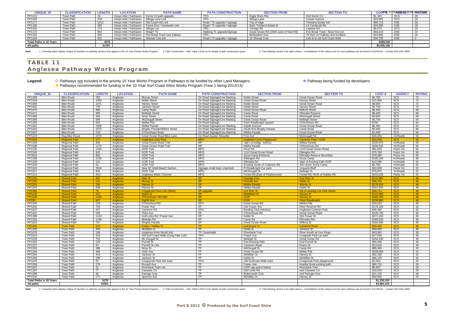## **TABLE 11 Anglesea Pathway Works Program**

### Legend:  $\diamond$  Pathways not included in the priority 10 Year Works Program or Pathways to be funded by other Land Managers **Included and Pathway being funded by developers** ◆ Pathways recommended for funding in the 10 Year Surf Coast Shire Works Program (Year 1 being 2012/13)

| <b>UNIQUE ID</b>               | <b>CLASSIFICATION</b> | <b>LENGTH</b> | <b>LOCATION</b>                              | <b>PATH NAME</b>                                         | <b>PATH CONSTRUCTION</b>    | <b>SECTION FROM</b>                   | <b>SECTION TO</b>                |             | COSFILE 37/26/328-08 Trim DARTAR80 |    |
|--------------------------------|-----------------------|---------------|----------------------------------------------|----------------------------------------------------------|-----------------------------|---------------------------------------|----------------------------------|-------------|------------------------------------|----|
| PP1212                         | Town Path             |               | Aireys Inlet / Fairhaven                     | Kerrie Crt path upgrade                                  | <b>TPG</b>                  | Eagle Rock Pde                        | End Kerrie Crt                   | \$1.320     | scs                                | 28 |
| PP1493                         | Town Path             | 218           | Aireys Inlet / Fairhaven   Allinga Lane Link |                                                          |                             | Allinga Lane                          | Cowan Avenue                     | \$19,965    | SCS                                | 28 |
| PP1177                         | Town Path             | 1613          | Aireys Inlet / Fairhaven   Old Coach Rd Link |                                                          | Road / Tk upgrade / signage | Top of ridge                          | Timbarra Estate link             | \$88,715    |                                    | 28 |
| PP1180                         | Town Path             | 489           |                                              | Aireys Inlet / Fairhaven   Forest Dve / Yandanah Link    | Road / Tk upgrade / signage | Back Timbarra Estate tk               | 13 Yandanah Rd                   | \$26,895    | <b>DSE</b>                         | 28 |
| PP1420                         | Town Path             | 174           | Aireys Inlet / Fairhaven   Allinga Lne       |                                                          |                             | Yaringa Rd                            | Lialeeta Rd                      | \$9.570     | SCS                                | 20 |
| PP1172                         | Town Path             | 804           | Aireys Inlet / Fairhaven                     | Ridge? Tk                                                | Walking Tk upgrade/signage  | Great Ocean Rd (150m west of Noel Rd) | Fire Break Track / Boyd Ave ext  | \$44,220    |                                    | 20 |
| PP1182                         | Town Path             | 363           |                                              | Aireys Inlet / Fairhaven   Fire Break Track rear Kalbaru |                             | Bimbadeen Dve                         | Tk from cnr Kalbaru and IronBark | \$19,965    | <b>DSE</b>                         | 20 |
| PP1184                         | Town Path             | 631           | Aireys Inlet / Fairhaven   Sheoak Cres link  |                                                          | Road / Tk upgrade / signage | 12 Sheoak Cres                        | Link tk to old Surf Coast Walk   | \$34,705    | <b>DSE</b>                         |    |
| <b>Total Paths in 10 Years</b> |                       | 4578          |                                              |                                                          |                             |                                       |                                  | \$288,540   |                                    |    |
| All paths                      |                       | 61787         |                                              |                                                          |                             |                                       |                                  | \$3,595,180 |                                    |    |

Note: 1. Township plans display Unique ID Number on pathway sections that appear in the 10 Year Priority Works Program. 2. Path Construction - refer Table 3 (Part A) for details of path construction types. 3. Total (Rating

| <b>UNIQUE ID</b>                            | <b>CLASSIFICATION</b>                | <b>LENGTH</b> | <b>LOCATION</b>      | <b>PATH NAME</b>                     | <b>PATH CONSTRUCTION</b>      | <b>SECTION FROM</b>                    | <b>SECTION TO</b>                | <b>COST \$</b>             | <b>AGENCY</b> | <b>RATING</b> |
|---------------------------------------------|--------------------------------------|---------------|----------------------|--------------------------------------|-------------------------------|----------------------------------------|----------------------------------|----------------------------|---------------|---------------|
| PP1458                                      | <b>Bike Route</b>                    | 763           | Anglesea             | <b>Murray Street</b>                 | On Road Signage/Line Marking  | <b>Noble Street</b>                    | <b>Great Ocean Road</b>          | \$4,750                    | SCS           | 72            |
| PP1459                                      | <b>Bike Route</b>                    | 1953          | Anglesea             | <b>Noble Street</b>                  | On Road Signage/Line Marking  | Great Ocean Road                       | <b>Harvey Street</b>             | \$12,800                   | SCS           | 72            |
| PP1460                                      | <b>Bike Route</b>                    | 1471          | Anglesea             | <b>Harvey Street</b>                 | On Road Signage/Line Marking  | <b>Noble Street</b>                    | Great Ocean Road                 | \$9.600                    | SCS           | 72            |
| PP1462                                      | <b>Bike Route</b>                    | 726           | Anglesea             | Jackson Street                       | On Road Signage/Line Marking  | Noble Street                           | <b>Harvey Street</b>             | \$4,750                    | <b>SCS</b>    | 72            |
| PP1470                                      | <b>Bike Route</b>                    | 886           | Anglesea             | Camp Road                            | On Road Signage/Line Marking  | Great Ocean Road                       | <b>Wilkins Street</b>            | \$6.400                    | <b>SCS</b>    | 68            |
| PP1471                                      | <b>Bike Route</b>                    | 995           | Anglesea             | <b>Betleigh Street</b>               | On Road Signage/Line Marking  | Camp Road                              | <b>Ellimatta Reserve</b>         | \$6,400                    | SCS           | 68            |
| PP1468                                      | <b>Bike Route</b>                    | 394           | Anglesea             | <b>Wray Street</b>                   | On Road Signage/Line Marking  | Camp Road                              | <b>McDougall Street</b>          | \$3,600                    | SCS           | 68            |
| PP1469                                      | <b>Bike Route</b>                    | 699           | Anglesea             | <b>McDougall Street</b>              | On Road Signage/Line Marking  | Great Ocean Road                       | <b>Betleigh Street</b>           | \$4,750                    | SCS           | 64            |
| PP1306                                      | <b>Bike Route</b>                    | 862           | Anglesea             | Melba Pde                            | On Road Signage               | Point Roadknight carpark               | O'Donohues Rd                    | \$750                      | SCS           | 64            |
| PP1461                                      | <b>Bike Route</b>                    | 1058          | Anglesea             | Melba Parade                         | On Road Signage/Line Marking  | Eighth Avenue                          | <b>Great Ocean Road</b>          | \$6.400                    | SCS           | 60            |
| PP1463                                      | <b>Bike Route</b>                    | 1073          | Anglesea             | <b>Bingley Parade/Wilkins Street</b> | On Road Signage/Line Marking  | South End Bingley Parade               | Camp Road                        | \$6,400                    | SCS           | 68            |
| PP1507                                      | <b>Bike Route</b>                    | 229           | Anglesea             | O'Donohues Road                      | On Road Signage/Line Marking  | Melba Parade                           | <b>Great Ocean Road</b>          | \$1.600                    | SCS           | 56            |
| PP1220                                      | Rea Bike Route                       | 2079          | Anglesea             | Great Ocean Road Bike Lane           | On Road Sealed Shoulder       | First Ave                              | McDougall Rd                     | \$26,000                   | VicRoads      | 56            |
| PP1464                                      | <b>Regional Path</b>                 | 277           | Anglesea             | <b>Anglesea Lions Park</b>           | <b>MPG</b>                    | <b>Anglesea Lions Playground</b>       | <b>Cameron Park / GOR</b>        | \$24,930                   | <b>SCS</b>    | 56            |
| PP1329                                      | <b>Regional Path</b>                 | 494           | Anglesea             | Great Ocean Road Trail               | <b>MP</b>                     | Opp Loveridge lookout                  | Melba Parade                     | \$125.970                  | VicRoads      | 56            |
| PP1508                                      | <b>Regional Path</b>                 | 1175          | Anglesea             | Great Ocean Road Trail               | <b>MP</b>                     | Melba Parade                           | O'Donohues Rd                    | \$299,625                  | VicRoads      | 56            |
| FP2135                                      | <b>Regional Path</b>                 | 1018          | Anglesea             | <b>GOR Trail</b>                     | <b>MPG</b>                    | Hurst Rd                               | 1110 Great Ocean Road            | \$91,620                   | Parks Vic     | 56            |
| FP2140                                      | <b>Regional Path</b>                 | 842           | Anglesea             | <b>GOR Trail</b>                     | <b>MPG</b>                    | 1110 Great Ocean Road                  | Elkington Rd                     | \$75,780                   | Parks Vic     | 56            |
| FP2563                                      | <b>Regional Path</b>                 | 882           | Anglesea             | <b>GOR Trail</b>                     | <b>MPG</b>                    | Scout Camp Entrance                    | Ellimatta Reserve Boundary       | \$79,380                   | Parks Vic     | 56            |
| PP1338                                      | <b>Regional Path</b>                 | 2136          | Anglesea             | <b>GOR Trail</b>                     | <b>MPG</b>                    | Ellkington Rd                          | Scout Camp                       | \$192,240                  | VicRoads      | 48            |
| PP1339                                      | <b>Regional Path</b>                 | 151           | Anglesea             | <b>GOR Trail</b>                     | <b>MPG</b>                    | Ellimatta Rd                           | Start of Existing Path GOR       | \$13,590                   | VicRoads      | 52            |
| PP1340                                      | <b>Regional Path</b>                 | 64            | Anglesea             | <b>GOR Trail</b>                     | <b>MPG</b>                    | Existing South of Coalmine Rd          | 40m down Scout Camp              | \$5,760                    | VicRoads      | 52            |
| PP1320                                      | <b>Regional Path</b>                 | 3504          | Anglesea             | New SC Walk Beach Section            | Signage small track Urguharts | Pt Roadknight Car park                 | <b>Urquarts Bluff</b>            | \$24,000                   | Parks Vic     | 52            |
| PP1327                                      | <b>Regional Path</b>                 | 843           | Anglesea             | <b>GOR Trail</b>                     | <b>MPG</b>                    | <b>MCDougall St</b>                    | <b>Betleigh St</b>               | \$75,870                   | VicRoads      | 52            |
| PP1313                                      | <b>Regional Path</b>                 | 4617          | Anglesea             | Anglesea Water Channel               | <b>MPG</b>                    | Forest Rd (East of Flaxbournes)        | Forest Rd, North of Nobles Rd    | \$415,530                  | Parks Vic     | 52            |
| PP1291                                      | <b>Shared Path</b>                   | 487           | Anglesea             | <b>Weir St</b>                       | <b>SP</b>                     | <b>Paringa Cres</b>                    | <b>End Weir St</b>               | \$116,880                  | <b>SCS</b>    | 48            |
| <b>PP1290</b>                               | <b>Shared Path</b>                   | 153           | Anglesea             | <b>Murray St</b>                     | SP                            | <b>Fernald Ave</b>                     | <b>Noble St</b>                  | \$36,720                   | <b>SCS</b>    | 48            |
| <b>PP1281</b>                               | <b>Shared Path</b>                   | 748           | Anglesea             | <b>Harvey St</b>                     | SP                            | <b>Melba Parade</b>                    | <b>Murray St</b>                 | \$179,520                  | <b>SCS</b>    | 48            |
| PP1543                                      | <b>Shared Path</b>                   | 658           | Anglesea             | Harvey St                            | <b>SP</b>                     | Melba Parade                           | Noble St                         | \$157,920                  | SCS           | 48            |
| FP2380                                      | <b>Shared Path</b>                   | 78            | Anglesea             | <b>Coogoorah Park Link (West)</b>    | <b>SP</b> upgrade             | end Weir St                            | link to existing Car Park tracks | \$18,720                   | <b>SCS</b>    | 48            |
| <b>PP1435</b>                               | <b>Shared Path</b>                   | 467           | Anglesea             | Noble St                             | <b>SP</b>                     | <b>McMahon St</b>                      | <b>Harvey St</b>                 | \$112,080                  | <b>SCS</b>    | 48            |
| <b>PP1328</b>                               | <b>Shared Path</b>                   | 1180          | Anglesea             | <b>O'Donohues' Rd Path</b>           | SP                            | <b>GOR</b>                             | <b>Harvey St</b>                 | \$283,200                  | <b>SCS</b>    | 48            |
| <b>FP050</b>                                | <b>Shared Path</b>                   | 987           | Anglesea             | <b>Eighth Ave</b>                    | <b>SP</b>                     | <b>GOR</b>                             | <b>Point Roadknigh</b>           | \$236,880                  | <b>SCS</b>    | 48            |
| PP1305                                      | <b>Shared Path</b>                   | 218           | Anglesea             | O'Donohues'Rd                        | <b>SPG</b>                    | Great Ocean Rd                         | Melba Pde                        | \$19,620                   | SCS           | 48            |
| PP1292                                      | <b>Shared Path</b>                   | 734           | Anglesea             | <b>Fraser Ave</b>                    | SP                            | 51b Fraser Ave                         | River Reserve Rd                 | \$176,160                  | SCS           | 44            |
| PP1537                                      | <b>Shared Path</b>                   | 407           | Anglesea             | Cameron Rd                           | <b>SPG</b>                    | Bowling Club entrance                  | Anglesea Caravan Park            | \$28,490                   | SCS           | 40            |
| PP1421                                      | <b>Shared Path</b>                   | 528           | Anglesea             | Third Ave                            | <b>SP</b>                     | O'Donohues Rd                          | Great Ocean Road                 | \$126,720                  | SCS           | 40            |
| PP1286                                      | <b>Shared Path</b>                   | 1134          | Anglesea             | Golf Links Rd / Fraser Ave           | SP                            | Noble St                               | 51b Fraser St                    | \$272,160                  | SCS           | 36            |
| PP1252                                      | <b>Shared Path</b>                   | 1108          | Anglesea             | Betleigh Rd                          | SP                            | Camp Rd                                | <b>Ellimatta Res</b>             | \$265,920                  | SCS           | 36            |
| PP1422                                      | <b>Shared Path</b>                   | 767           | Anglesea             | <b>Bingley Parade</b>                | <b>SP</b>                     | Great Ocean Road                       | <b>Wilkins St</b>                | \$184,080                  | SCS           | 36            |
| <b>PP1466</b>                               | <b>Town Path</b>                     | 243           | Anglesea             | <b>Evans / Hedley St</b>             | <b>TP</b>                     | end Evans S                            | <b>Cameron Road</b>              | \$53,460                   | <b>SCS</b>    | 36            |
| PP1283                                      | <b>Town Path</b>                     | 450           | Anglesea             | McMillan st                          | <b>TP</b>                     | Noble st                               | Jackson St                       | \$99,000                   | SCS           | 36            |
| PP1478                                      | <b>Town Path</b>                     | 198           | Anglesea             | Anglesea River Mouth link            | TP / boardwalk                | <b>Riverbank Trail</b>                 | River mouth at Four Kings        | \$43,560                   | SCS           | 36            |
| PP1523                                      | <b>Town Path</b>                     | 319           | Anglesea             | Old Surf Coast Walk (Coog Park Link) | <b>TPG</b>                    | Fraser Ave                             | Coogorah Park car park           | \$17,545                   | SCS           | 36            |
| PP1253                                      | <b>Town Path</b>                     | 702           | Anglesea             | Mc Dougall St                        | <b>TP</b>                     | Betleigh St                            | Great Ocean Rd                   | \$154,440                  | SCS           | 36            |
| PP1302                                      | <b>Town Path</b>                     | 229           | Anglesea             | <b>Purnell St</b>                    | <b>TP</b>                     | <b>End Existing Path</b>               | End Purnell St                   | \$50,380                   | SCS           | 36            |
| PP1227                                      | <b>Town Path</b>                     | 62            | Anglesea             | <b>Purnell St Link</b>               | <b>TP</b>                     | Cameron Road                           | Evans St                         | \$13,640                   | SCS           | 36            |
| PP1303                                      | <b>Town Path</b>                     | 388           | Anglesea             | Wray St                              | <b>TP</b>                     | <b>McDougall St</b>                    | Camp Rd                          | \$85,360                   | SCS           | 32            |
| PP1246                                      | <b>Town Path</b>                     | 480           | Anglesea             | Sixth Ave                            | <b>TP</b>                     | Great Ocean Rd                         | Melba Pde                        | \$105,600                  | SCS           | 32            |
| PP1284                                      | <b>Town Path</b>                     | 419           | Anglesea             | Jackson St                           | <b>TP</b>                     | McMillan St                            | <b>Harvey St</b>                 | \$92,180                   | SCS           | 32            |
| PP1285                                      | <b>Town Path</b>                     | 296           | Anglesea             | Jackson St                           | <b>TP</b>                     | Noble St                               | <b>McMillan St</b>               | \$65,120                   | SCS           | 32            |
| PP1479                                      | Town Path                            | 55            | Anglesea             | Coogoorah Park link track            | <b>TPG</b><br><b>TP</b>       | Old Surfcoast Walk track               | Coogoorah Park playground        | \$3,025                    | SCS           | 24            |
| PP1289                                      | <b>Town Path</b>                     | 276           | Anglesea             | <b>Russell Ave</b>                   | TP                            | Fraser Ave                             | Kuarka Dorla existing path       | \$60.720                   | SCS           | 28            |
| PP1467                                      | <b>Town Path</b>                     | 31            | Anglesea             | <b>Riverbank Trail Link</b>          | <b>TP</b>                     | GOR opp petrol station                 | <b>Riverbank Trail</b>           | \$6,820                    | SCS<br>SCS    | 28            |
| PP1287<br>PP1288                            | <b>Town Path</b>                     | 77<br>96      | Anglesea             | Carawee Crt                          | <b>TP</b>                     | Golf Links Rd                          | end Carawee Cr                   | \$16,940                   |               | 28<br>28      |
| PP1334                                      | <b>Town Path</b><br><b>Town Path</b> | 277           | Anglesea<br>Anglesea | Paringa Cres<br>Sparrow Ave          | <b>TP</b>                     | <b>Butterworth Cres</b><br>McMillan St | end Paringa Cres<br>Harvey St    | \$21,120<br>\$60.940       | SCS<br>SCS    | 24            |
|                                             |                                      |               |                      |                                      |                               |                                        |                                  |                            |               |               |
| <b>Total Paths in 10 Years</b><br>All paths |                                      | 5278<br>44303 |                      |                                      |                               |                                        |                                  | \$1,220,310<br>\$4,683,415 |               |               |
|                                             |                                      |               |                      |                                      |                               |                                        |                                  |                            |               |               |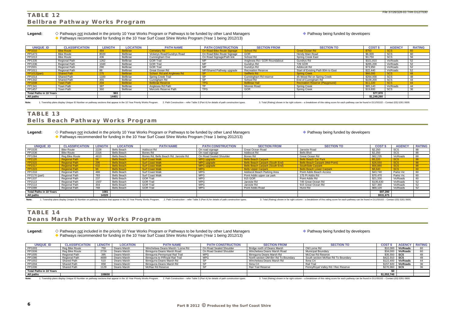**Legend:** Pathways not included in the priority 10 Year Works Program or Pathways to be funded by other Land Managers Pathway being funded by developers ◆ Pathways recommended for funding in the 10 Year Surf Coast Shire Works Program (Year 1 being 2012/13)

### **TABLE 12 Bellbrae Pathway Works Program**

**Legend:** Pathways not included in the priority 10 Year Works Program or Pathways to be funded by other Land Managers Pathway being funded by developers ◆ Pathways recommended for funding in the 10 Year Surf Coast Shire Works Program (Year 1 being 2012/13)

| <b>UNIQUE ID</b>               | <b>CLASSIFICATION</b> | <b>LENGTH</b> | <b>LOCATION</b> | <b>PATH NAME</b>           | <b>PATH CONSTRUCTION</b>   | <b>SECTION FROM</b>          | <b>SECTION TO</b>                      | <b>COST \$</b> | <b>AGENCY</b> | <b>RATING</b> |
|--------------------------------|-----------------------|---------------|-----------------|----------------------------|----------------------------|------------------------------|----------------------------------------|----------------|---------------|---------------|
|                                | <b>Bike Route</b>     | 484           | <b>Bellbrae</b> | <b>Cemetary Rd</b>         | On Road Bike Route Signage | School Rd                    | <b>Great Ocean Rd</b>                  | \$750          | <b>SCS</b>    |               |
| PP1473                         | <b>Bike Route</b>     | 8020          | Bellbrae        | Vickerys Road/Gundrys Road | On Road Bike Route Signage | <b>GOR</b>                   | Hendy Main Road                        | \$6,000        | SCS           | 60            |
| PP1013                         | <b>Bike Route</b>     | 436           | Bellbrae        | Cunningham Dve             | On Road Signage/Path link  | School Rd                    | <b>Spring Creek East</b>               | \$3,750        | SCS           |               |
| PP1335                         | <b>Regional Path</b>  | 1262          | Bellbrae        | <b>GOR Trail</b>           | MP                         | Anglesea Rd / GOR Roundabout | Gundrys Rd                             | \$321,810      | VicRoads      | 52            |
| PP1336                         | <b>Regional Path</b>  | 1040          | Bellbrae        | <b>GOR Trail</b>           | MP                         | Gundrys Rd                   | 729 GOR                                | \$265,200      | VicRoads      | <b>52</b>     |
| FP2001                         | Regional Path         | 290           | Bellbrae        | <b>GOR Trail</b>           | MP                         | Gundrys Rd                   | Addiscott Rd                           | \$73,950       | VicRoads      | 52            |
| PP1011                         | Regional Path         | 88            | Bellbrae        | Great Ocean Rd             | MP/Shared Pathway upgrade  | <b>Recreation Reserve</b>    | Start of Existing Path 80m to East     | \$22,440       | VicRoads      | 52            |
| <b>PP1012(part)</b>            | <b>Shared Path</b>    | 275           | <b>Bellbrae</b> | School Rd and Anglesea Rd  | <b>SP</b>                  | <b>Seifferts Rd</b>          | <b>Spring Creek</b>                    | \$66,000       | <b>SCS</b>    |               |
| PP1014                         | Shared Path           | 1100          | Bellbrae        | <b>Spring Creek Trail</b>  | <b>SP</b>                  | Cunningham Rd reserve        | 45 Wood Rd on Spring Creek             | \$264.000      | SCS           |               |
| PP1342                         | Shared Path           | 455           | Bellbrae        | Cunnigham Rd               | -SF                        | School Rd                    | End of Cunnigham Rd                    | \$109,200      | SCS           | 44            |
| <b>PP1008</b>                  | <b>Town Path</b>      | 204           | <b>Bellbrae</b> | <b>Bellbrae Reserve</b>    | <b>TPG</b>                 | <b>Bellbrae Hall</b>         | <b>Recreation Reserve (Playground)</b> | \$11,220       | <b>SCS</b>    |               |
| PP1341                         | Town Path             | 387           | Bellbrae        | Anglesea Rd Path           | TD                         | Moores Road                  | <b>Spring Creek</b>                    | \$85,140       | VicRoads      | 44            |
| PP1457                         | Town Path             | 360           | Bellbrae        | Menzels Reserve Path       | <b>TPG</b>                 | GOR                          | <b>Spring Creek</b>                    | \$19,800       | SCS           | $\sim$        |
| <b>Total Paths in 10 Years</b> |                       | 963           |                 |                            |                            |                              |                                        | \$77,970       |               |               |
| All paths                      |                       | 14401         |                 |                            |                            |                              |                                        | \$1,249,260    |               |               |

Note: 1. Township plans display Unique ID Number on pathway sections that appear in the 10 Year Priority Works Program. 2. Path Construction - refer Table 3 (Part A) for details of path construction types. 3. Total (Rating

### **TABLE 13 Bells Beach Pathway Works Program**

| <b>UNIQUE ID</b>               | <b>CLASSIFICATION</b> | <b>LENGTH</b> | <b>LOCATION</b>    | <b>PATH NAME</b>                      | <b>PATH CONSTRUCTION</b> | <b>SECTION FROM</b>                    | <b>SECTION TO</b>                      | <b>COST \$</b> | <b>AGENCY</b> | <b>RATING</b> |
|--------------------------------|-----------------------|---------------|--------------------|---------------------------------------|--------------------------|----------------------------------------|----------------------------------------|----------------|---------------|---------------|
| PP1535                         | <b>Bike Route</b>     | 2228          | Bells Beach        | Addiscot Rd                           | On road signage          | Great Ocean Road                       | Jarosite Road                          | \$2,250        | SCS           | 88            |
| PP1536                         | <b>Bike Route</b>     | 2316          | Bells Beach        | Bones Rd                              | On road signage          | Addiscot Rd                            | Bells Blvd                             | \$2,250        | SCS           | 88            |
| PP1084                         | Reg Bike Route        | 4610          | Bells Beach        | Bones Rd, Bells Beach Rd, Jarosite Rd | On Road Sealed Shoulder  | Bones Rd                               | Great Ocean Rd                         | \$62,235       | VicRoads      | 88            |
| FP2120                         | <b>Regional Path</b>  | 58            | <b>Bells Beach</b> | <b>Surf Coast Walk</b>                | MPG upgrade              | <b>Bells Beach Carpark</b>             | <b>Bells Beach Car Park</b>            | \$5.220        | <b>SCS</b>    | 88            |
| FP2315                         | <b>Regional Path</b>  | 295           | <b>Bells Beach</b> | <b>Surf Coast Walk</b>                | <b>MPG</b> upgrade       | <b>Bells Beach Carpark (South End)</b> | <b>Bells Beach Carpark (Mid-Point)</b> | \$26,550       | <b>SCS</b>    | 88            |
| FP2317                         | <b>Regional Path</b>  | 632           | <b>Bells Beach</b> | <b>Surf Coast Walk</b>                | <b>MPG</b> upgrade       | <b>Bells Beach Carpark (South End)</b> | <b>SouthSide Carpark</b>               | \$56,880       | <b>SCS</b>    | 88            |
| PP1315                         | <b>Regional Path</b>  | 96            | <b>Bells Beach</b> | <b>Surf Coast Walk</b>                | <b>MPG</b>               | <b>Bells Upper Carpark</b>             | <b>Bells Beach Lower Carpark</b>       | \$8,640        | SCS           |               |
| PP1316                         | Regional Path         | 486           | Bells Beach        | Surf Coast Walk                       | <b>MPG</b>               | Addiscot Beach Parking Area            | Point Addis Beach Access               | \$43,740       | Parks Vic     | 60            |
| FP2176 (part)                  | Regional Path         | 783           | Bells Beach        | <b>Surf Coast Walk</b>                | <b>MPG</b>               | Point Addis upper car park             | 175 Pt Addis Rd                        | \$70.470       | Parks Vic     | 60            |
| PP1337                         | Regional Path         | 237           | Bells Beach        | <b>GOR Trail</b>                      | <b>MPG</b>               | 915 GOR                                | Point Addis Rd                         | \$21,330       | VicRoads      | 60            |
| FP2113                         | Regional Path         | 1507          | Bells Beach        | <b>GOR Trail</b>                      | <b>MPG</b>               | Jarosite Rd                            | 745 Great Ocean Rd                     | \$135,630      | VicRoads      | 52            |
| FP2114                         | Regional Path         | 304           | Bells Beach        | <b>GOR Trail</b>                      | <b>MPG</b>               | Jarosite Rd                            | 915 Great Ocean Rd                     | \$27,360       | VicRoads      | 52            |
| FP2289                         | Regional Path         | 768           | Bells Beach        | <b>GOR Trail</b>                      | <b>MPG</b>               | Point Addis Road                       | Hurst Rd                               | \$69,120       | VicRoads      | 52            |
| <b>Total Paths in 10 Years</b> |                       | 1081          |                    |                                       |                          |                                        |                                        | \$97,290       |               |               |
| All paths                      |                       | 14320         |                    |                                       |                          |                                        |                                        | \$531,675      |               |               |

1. Township plans display Unique ID Number on pathway sections that appear in the 10 Year Priority Works Program. 2. Path Construction - refer Table 3 (Part A) for details of path construction types. 3. Total (Rating) show

## **TABLE 14 Deans Marsh Pathway Works Program**

Legend:  $\diamond$  Pathways not included in the priority 10 Year Works Program or Pathways to be funded by other Land Managers **Included by Acthway being funded by developers** ◆ Pathways recommended for funding in the 10 Year Surf Coast Shire Works Program (Year 1 being 2012/13)

| <b>UNIQUE ID</b>               | <b>CLASSIFICATION</b> | <b>LENGTH</b>   | <b>LOCATION</b> | <b>PATH NAME</b>                  | <b>PATH CONSTRUCTION</b> | <b>SECTION FROM</b>                  | <b>SECTION TO</b>                  | <b>COST</b> | <b>AGENCY</b> | <b>RATING</b> |
|--------------------------------|-----------------------|-----------------|-----------------|-----------------------------------|--------------------------|--------------------------------------|------------------------------------|-------------|---------------|---------------|
| PP1003                         | Reg Bike Route        | 750             | Deans Marsh     | Winchelsea Deans Marsh / Lorne Rd | On Road Sealed Shoulder  | Bridge north of Deans Marsh          | Old Lorne Rd                       | \$10,000    | VicRoads      | 60            |
| PP1506                         | Reg Bike Route        | 2724            | Deans Marsh     | Birregurra Deans Marsh Road       | On Road Sealed Shoulder  | Winchelsea Deans Marsh Road          | <b>Municipal Boundary</b>          | \$34,000    | VicRoads      |               |
| PP1005                         | <b>Regional Path</b>  | 395             | Deans Marsh     | Birregurra Pennyroyal Rail Trail  | <b>MPG</b>               | Birregurra Deans Marsh Rd            | McCrae Rd Reserve                  | \$35,550    | scs           |               |
| PP1086                         | Regional Path         | 4699            | Deans Marsh     | Birregurra to P/Royal Rail Trail  | <b>MPG</b>               | North section DM-Birr Rd To Boundary | South section McRae Rd To Boundary | \$422,910   | scs           | 48            |
| PP1002                         | Shared Path           | 51 <sub>C</sub> | Deans Marsh     | Birregurra Deans Marsh Rd         |                          | Winchelsea Deans Marsh Rd            | Ilona Crt                          | \$122.400   | VicRoads      | 44            |
| PP1004                         | <b>Shared Path</b>    | 658             | Deans Marsh     | Birregurra Deans Marsh Rd         |                          | Ilona Crt                            | <b>Rail Trail</b>                  | \$157,920   | VicRoads      | 36            |
| PP1006                         | Shared Path           | 1129            | Deans Marsh     | McRae Rd Reserve                  |                          | Rail Trail Reserve                   | PennyRoyal Valley Rd / Rec Reserve | \$270.960   | scs           | 36            |
| <b>Total Paths in 10 Years</b> |                       |                 |                 |                                   |                          |                                      |                                    |             |               |               |
| All paths                      |                       | 108650          |                 |                                   |                          |                                      |                                    | \$1,053,740 |               |               |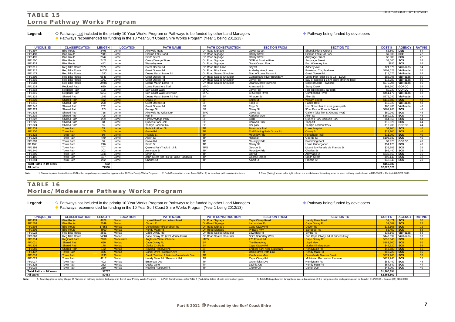**Legend:** Pathways not included in the priority 10 Year Works Program or Pathways to be funded by other Land Managers Pathway being funded by developers ◆ Pathways recommended for funding in the 10 Year Surf Coast Shire Works Program (Year 1 being 2012/13)

## **TABLE 15 Lorne Pathway Works Program**

**Legend:** Pathways not included in the priority 10 Year Works Program or Pathways to be funded by other Land Managers Pathway being funded by developers ◆ Pathways recommended for funding in the 10 Year Surf Coast Shire Works Program (Year 1 being 2012/13)

| <b>UNIQUE ID</b>               | <b>CLASSIFICATION</b>                | <b>LENGTH</b> | <b>LOCATION</b> | <b>PATH NAME</b>                         | <b>PATH CONSTRUCTION</b> | <b>SECTION FROM</b>               | <b>SECTION TO</b>                          | <b>COST \$</b>        | <b>AGENCY</b>                                      | <b>RATING</b>   |
|--------------------------------|--------------------------------------|---------------|-----------------|------------------------------------------|--------------------------|-----------------------------------|--------------------------------------------|-----------------------|----------------------------------------------------|-----------------|
| PP1497                         | <b>Bike Route</b>                    | 3496          | Lorne           | Allenvale Road                           | On Road Signage          | <b>Otway Street</b>               | Sheoak Picnic Ground                       | \$3,500               | $\overline{$ DSE                                   | 84              |
| PP1498                         | <b>Bike Route</b>                    | 7888          | Lorne           | <b>Erskine Falls Road</b>                | On Road Signage          | <b>Otway Street</b>               | <b>Erskine Falls Car Park</b>              | \$7,000               | <b>DSE</b>                                         | 72              |
| PP1499                         | <b>Bike Route</b>                    | 2047          | Lorne           | <b>Smith Street</b>                      | On Road Signage          | <b>Otway Street</b>               | Armytage Street                            | \$2,000               | $\overline{\text{scs}}$                            | $\overline{72}$ |
| PP1500                         | <b>Bike Route</b>                    | 2422          | Lorne           | Otway/George Street                      | On Road Signage          | <b>GOR at Erskine River</b>       | <b>Armytage Street</b>                     | \$3,000               | $\overline{\text{scs}}$                            | 64              |
| PP1424                         | <b>Bike Route</b>                    | 412           | Lorne           | <b>Waverley Ave</b>                      | On Road Signage          | <b>Great Ocean Road</b>           | <b>End Waverley Ave</b>                    | $$750$ SCS            |                                                    | 64              |
| PP1311                         | Rea Bike Route                       | 2877          | Lorne           | Great Ocean Rd                           | On Road Bike Lane        | Bay St                            | <b>Adderly Ave</b>                         | \$21.578              | <b>VicRoads</b>                                    | 64              |
| PP1312                         | Reg Bike Route                       | 14537         | Lorne           | Great Ocean Rd                           | On Road Bike Lane        | Adderley Ave, Lorne               | Painkalac Crk. Fairhaven                   | \$109,028             | <b>VicRoads</b>                                    | 64              |
| PP1173                         | <b>Reg Bike Route</b>                | 1390          | Lorne           | Deans Marsh Lorne Rd                     | On Road Sealed Shoulder  | Start of Lorne Township           | Great Ocean Rd                             | \$18,070              | <b>VicRoads</b>                                    | 64              |
| PP1309                         | Reg Bike Route                       | 6546          | Lorne           | Great Ocean Rd                           | On Road Sealed Shoulder  | <b>Cumberland River Boundary</b>  | Lorne Pier (exist SS is 0.5 - 1.0M)        | \$85,098              | <b>VicRoads</b>                                    | 60              |
| PP1310                         | <b>Reg Bike Route</b>                | 1060          | Lorne           | Great Ocean Rd                           | On Road Sealed Shoulder  | Lorne Pier                        | Bay St (Ocean 1-1.5m exist/ other no lane) | \$13,780              | <b>VicRoads</b>                                    | 60              |
| PP1083                         | Rea Bike Route                       | 20785         | Lorne           | Deans Marsh Lorne Rd                     | On Road Sealed Shoulder  | Deans Marsh township              | Edge of Lorne Township                     | \$270.205             | <b>VicRoads</b>                                    | 56              |
| <b>PP1224</b>                  | Regional Path                        | 680           | Lorne           | Lorne Foreshore Trail                    | <b>MPG</b>               | Armistead St                      | <b>Stony Creek</b>                         | \$61,200              | <b>GORCC</b>                                       | 56              |
| PP1318                         | <b>Regional Path</b>                 | 108           | Lorne           | Surf Coast Walk                          | <b>MPG</b>               | Lorne Pier                        | Pier toilet block / car park               | \$9.720               | <b>GORCC</b>                                       | 56              |
| PP1319                         | <b>Regional Path</b>                 | 5013          | Lorne           | Surf Coast Walk Extension                | <b>MPG</b>               | St George River                   | <b>Cumberland River</b>                    | \$451.170             | VicRoads                                           | 52              |
| PP1325                         | <b>Shared Path</b>                   | 1146          | Lorne           | Deans Marsh Lorne Rd Path                | <b>SP</b>                | Minapre St                        | Allen St                                   | \$275.040             | VicRoads                                           | 48              |
| <b>PP1236</b>                  | <b>Shared Path</b>                   | 462           | Lorne           | <b>Otway St</b>                          | <b>SP</b>                | <b>Smith St</b>                   | <b>William Street</b>                      | \$110.880             | <b>SCS</b>                                         | 48              |
| PP1241                         | <b>Shared Path</b>                   | 208           | Lorne           | Great Ocean Rd                           | SP                       | Topp St                           | Pacific Hotel                              | \$49.920              | <b>VicRoads</b>                                    | 48              |
| PP1242                         | <b>Shared Path</b>                   | 252           | Lorne           | Great Ocean Rd                           | <b>SP</b>                | Topp St                           | Hird St incl link to exist grass path      | \$60,480              | VicRoads                                           | 48              |
| PP1323                         | <b>Shared Path</b>                   | 1124          | Lorne           | George St                                | SP                       | Otway St                          | 50 m East of Francis Street                | \$269.760             | scs                                                | 48              |
| PP1436                         | <b>Shared Path</b>                   | 718           | Lorne           | Allenvale Rd Qdos Link                   | <b>SPG</b>               | Otway St                          | Gallery (plus link St George river)        | \$50,260              | $\overline{\text{scs}}$                            | 48              |
| PP1219                         | <b>Shared Path</b>                   | 708           | Lorne           | Hall St                                  | SP                       | <b>Adderley Ave</b>               | Allen St                                   | \$169,920             | <b>SCS</b>                                         | 48              |
| PP1322                         | <b>Shared Path</b>                   | 269           | Lorne           | Hird/Armytage Path                       | <b>SP</b>                | GOR                               | Queens Park Caravan Park                   | \$64,560              | <b>SCS</b>                                         | 44              |
| PP1225                         | <b>Shared Path</b>                   | 68            | Lorne           | Queens Park Link                         | <b>SP</b>                | Caravan Park                      | <b>Topp St</b>                             | \$16,320              | $\overline{\text{scs}}$                            | 44              |
| PP1324                         | <b>Shared Path</b>                   | 55            | Lorne           | <b>Teddys Lookout link</b>               | SP                       | Car park                          | <b>Teddys Lookout track</b>                | \$13,200              | <b>GORCC</b>                                       | 44              |
| <b>PP1239</b>                  | <b>Town Path</b>                     | 35            | Lorne           | <b>Path link Albert St</b>               | TP.                      | <b>Foreshore Trail</b>            | <b>Lorne hospital</b>                      | \$7,700               | SCS                                                | 40              |
| <b>PP1230</b>                  | <b>Town Path</b>                     | 105           | Lorne           | <b>Grove Rd</b>                          | TP.                      | <b>End Existing Path Grove Rd</b> | <b>Otway St</b>                            | \$23,100              | SCS                                                | 40              |
| <b>PP1423</b>                  | <b>Town Path</b>                     | 50            | Lorne           | <b>Francis St</b>                        | TP.                      | <b>Mountjoy Pde</b>               | <b>Foreshore Trail</b>                     | \$11,000              | SCS                                                | 40              |
| PP1228                         | <b>Town Path</b>                     | 479           | Lorne           | Albert St                                | <b>TP</b>                | Hospital                          | George St                                  | \$105,380             | <b>SCS</b>                                         | 40              |
| PP1393                         | <b>Town Path</b>                     | 36            | Lorne           | Grove Rd                                 | TP                       | <b>Mountjoy Pde</b>               | Swimming Pool                              | \$7,920               | <b>GORCC</b>                                       | 40              |
| PP 1541                        | <b>Town Path</b>                     | 246           | Lorne           | Smith St                                 | <b>TP</b>                | Otway St                          | Lorne Kindergarten                         | \$54,120              | $\overline{\text{scs}}$                            | 40              |
| PP1398                         | <b>Town Path</b>                     | 707           | Lorne           | Queens ParkTrack & Link                  | <b>TPG</b><br><b>TP</b>  | George St                         | Mount Joy Parade via Francis St            | \$38,885              | SCS                                                | 36              |
| PP1240<br>PP1395               | <b>Town Path</b><br><b>Town Path</b> | 302           | Lorne           | Armytage St<br>Smith St                  | <b>TP</b>                | <b>Mountjoy Pde</b>               | <b>Charles St</b>                          | \$66,440              | $\overline{\text{scs}}$<br>$\overline{\text{scs}}$ | 36              |
| PP1496                         | <b>Town Path</b>                     | 1048<br>437   | Lorne           | John Street (inc link to Police Paddock) | <b>TP</b>                | Bay St<br>George Street           | Armytage St<br><b>Smith Street</b>         | \$230,560<br>\$96,140 | SCS                                                | 36<br>32        |
| PP1394                         | <b>Town Path</b>                     | 222           | Lorne<br>Lorne  | <b>Charles St</b>                        | <b>TP</b>                | Albert St                         | <b>Francis St</b>                          | $$48,840$ SCS         |                                                    | 28              |
|                                |                                      |               |                 |                                          |                          |                                   |                                            |                       |                                                    |                 |
| <b>Total Paths in 10 Years</b> |                                      | 652           |                 |                                          |                          |                                   |                                            | \$152,680             |                                                    |                 |
| All paths                      |                                      | 77938         |                 |                                          |                          |                                   |                                            | \$2,826,523           |                                                    |                 |

Note: 1. Township plans display Unique ID Number on pathway sections that appear in the 10 Year Priority Works Program. 2. Path Construction - refer Table 3 (Part A) for details of path construction types. 3. Total (Rating

### **TABLE 16 Moriac/Modewarre Pathway Works Program**

| <b>UNIQUE ID</b>               | <b>CLASSIFICATION</b> | <b>LENGTH</b> | <b>LOCATION</b>  | <b>PATH NAME</b>                                   | <b>PATH CONSTRUCTION</b> | <b>SECTION FROM</b>                | <b>SECTION TO</b>                | <b>COST \$</b> | <b>AGENCY</b>   | <b>RATING</b> |
|--------------------------------|-----------------------|---------------|------------------|----------------------------------------------------|--------------------------|------------------------------------|----------------------------------|----------------|-----------------|---------------|
| <b>PP1474</b>                  | <b>Bike Route</b>     | 4628          | <b>Moriac</b>    | <b>Layard Road/Larcombes Road</b>                  | <b>On Road Signage</b>   | <b>Cape Otway Road</b>             | <b>Hendy Main Road</b>           | \$3,471        | <b>SCS</b>      | 60            |
| <b>PP1503</b>                  | <b>Bike Route</b>     | 2249          | <b>Moriac</b>    | <b>Church Rd</b>                                   | On-Road Signage          | <b>Larcombes Rd</b>                | Cape Otway Rd                    | \$1.687        | <b>SCS</b>      | 72            |
| <b>PP1504</b>                  | <b>Bike Route</b>     | 17555         | <b>Moriac</b>    | <b>Considines Rd/Barrabool Rd</b>                  | <b>On Road Signage</b>   | <b>Cape Otway Rd</b>               | Devon Rd                         | \$13,166       | <b>SCS</b>      |               |
| <b>PP1505</b>                  | <b>Bike Route</b>     | 4600          | <b>Moriac</b>    | <b>Hendy Main Rd</b>                               | <b>On-Road Signage</b>   | <b>Princes Hwy</b>                 | <b>Barrabool Rd</b>              | \$3,450        | <b>SCS</b>      |               |
| PP1022                         | Reg Bike Route        | 2551          | Moriac           | Cape Otway Rd                                      | On Road Sealed Shoulder  | Lowndes Rd                         | Ervins Rd                        | \$33,163       | <b>VicRoads</b> | 68            |
| PP1063                         | Reg Bike Route        | 34084         | Moriac           | Cape Otway Rd (excl Moriac town)                   | On Road Sealed Shoulder  | <b>Shire Boundary West</b>         | End Cape Otway Rd at Princes Hwy | \$443.092      | <b>VicRoads</b> | 68            |
| PP1314                         | <b>Regional Path</b>  | 7056          | <b>Modewarre</b> | <b>Anglesea Water Channel</b>                      | <b>MPG</b>               | 275 Forest Rd                      | <b>Cape Otway Rd</b>             | \$635.040      | <b>SCS</b>      |               |
| <b>PP1021</b>                  | <b>Shared Path</b>    | 680           | <b>Moriac</b>    | Cape Otway Rd                                      |                          | <b>The Broadway</b>                | <b>Lloyd Mew</b>                 | \$163,200      | <b>SCS</b>      |               |
| <b>PP1326</b>                  | <b>Shared Path</b>    | 178           | <b>Moriac</b>    | <b>Clerke Crt Path</b>                             | <b>SP</b>                | <b>Cape Otway Rd</b>               | <b>Moriac Kindergarten</b>       | \$42,720       | <b>SCS</b>      | 56            |
| <b>PP1050</b>                  | <b>Shared Path</b>    | 182           | <b>Moriac</b>    | <b>Newling Reserve link</b>                        |                          | <b>End car park near Skatepark</b> | <b>HendyMain Rd</b>              | \$43,680       | <b>SCS</b>      | 56            |
| <b>PP1437</b>                  | <b>Town Path</b>      | 376           | <b>Moriac</b>    | <b>Daniel Drive / Deppler Ave</b>                  |                          | Daniel drive Path Link             | <b>Hendy Main Rd</b>             | \$82,720       | <b>SCS</b>      | 56            |
| <b>PP1018</b>                  | <b>Town Path</b>      | 1233          | <b>Moriac</b>    | <b>Creek Trail incl 2 links to Greenfields Dve</b> |                          | <b>Kim Maree Mew</b>               | <b>Greenfields Dve via Creek</b> | \$271,260      | <b>SCS</b>      | 56            |
| PP1023                         | Town Path             | 4217          | Moriac           | Hendy Main Rd / Reservoir Rd                       |                          | Cape Otway Rd                      | Mt Moriac Recreation Reserve     | \$927.740      | scs             | 56            |
| PP1017                         | Town Path             | 402           | Moriac           | <b>Buttercup Dve</b>                               |                          | Greenfields Dve                    | HendvMain Rd                     | \$88,440       | <b>SCS</b>      |               |
| PP1425                         | Town Path             | 262           | Moriac           | Cooks Lane                                         | $\tau$ n                 | Lavinia Crt                        | Hendy Main Rd                    | \$57,640       | scs             | 44            |
| PP1019                         | Town Path             | 210           | Moriac           | Newling Reserve link                               |                          | Clerke Crt                         | Daniel Dve                       | \$46,200       | ∣scs            | 40            |
| <b>Total Paths in 10 Years</b> |                       | 38737         |                  |                                                    |                          |                                    |                                  | \$1,260,394    |                 |               |
| All paths                      |                       | 80463         |                  |                                                    |                          |                                    |                                  | \$2,856,669    |                 |               |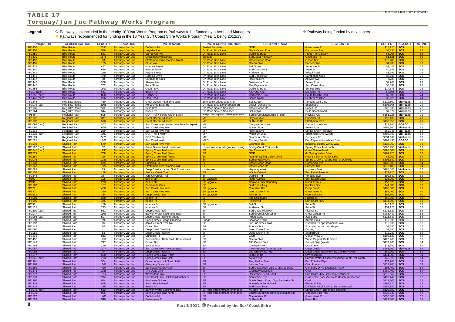## **TABLE 17 Torquay/Jan Juc Pathway Works Program**

Legend:  $\Diamond$  Pathways not included in the priority 10 Year Works Program or Pathways to be funded by other Land Managers **Account to Australia and Account to Australia and Pathway being funded by developers** ◆ Pathways recommended for funding in the 10 Year Surf Coast Shire Works Program (Year 1 being 2012/13)

| <b>UNIQUE ID</b>        |                                              |                       |                                        | <b>PATH NAME</b>                                             |                                                    |                                                       |                                                                      |                                           |                                 |                     |
|-------------------------|----------------------------------------------|-----------------------|----------------------------------------|--------------------------------------------------------------|----------------------------------------------------|-------------------------------------------------------|----------------------------------------------------------------------|-------------------------------------------|---------------------------------|---------------------|
| PP1430                  | <b>CLASSIFICATION</b><br><b>Bike Route</b>   | <b>LENGTH</b><br>2030 | <b>LOCATION</b><br>Torquay / Jan Juc   | Duffields Rd                                                 | <b>PATH CONSTRUCTION</b><br><b>Sealed Shoulder</b> | <b>SECTION FROM</b><br><b>GOR</b>                     | <b>SECTION TO</b><br><b>Grossmans Rd</b>                             | <b>COST \$</b><br>\$15,225                | <b>AGENCY</b><br><b>SCS</b>     | <b>RATING</b><br>88 |
| <b>PP1450</b>           | <b>Bike Route</b>                            | 578                   | Torquay / Jan Juc                      | <b>Hoylake Ave</b>                                           | <b>On Road Bike Lane</b>                           | <b>Great Ocean Road</b>                               | <b>Carnarvon Ave</b>                                                 | \$4.335                                   | <b>SCS</b>                      | 86                  |
| <b>PP1451</b>           | <b>Bike Route</b>                            | 521                   | Torquay / Jan Juc                      | <b>Carnarvon Ave</b>                                         | On Road Bike Lane                                  | <b>Duffields Road</b>                                 | <b>Three Tier Carpark</b>                                            | \$3,908                                   | <b>SCS</b>                      | 86                  |
| <b>PP1431</b>           | <b>Bike Route</b>                            | 1575                  | Torquay / Jan Juc                      | Grossmans/Messmate                                           | Signage                                            | <b>SurfCoast Highway</b>                              | <b>Coombes Rd</b>                                                    | \$1,181                                   | <b>SCS</b>                      | 86                  |
| <b>PP1452</b>           | <b>Bike Route</b>                            | 1638                  | Torquay / Jan Juc                      | <b>Strathmore Drive/Domain Road</b>                          | On Road Bike Lane                                  | <b>Great Ocean Road</b>                               | Ocean Blvd                                                           | \$12,285                                  | <b>SCS</b>                      | 86                  |
| <b>PP1455</b>           | <b>Bike Route</b>                            | 165                   | Torquay / Jan Juc                      | <b>Stuart Ave</b>                                            | On Road Bike Lane                                  | Ocean Blvd                                            | <b>Sunset Strip</b>                                                  | \$1,238                                   | <b>SCS</b>                      | 80                  |
| PP1439                  | <b>Bike Route</b>                            | 457                   | Torquay / Jan Juc                      | <b>Munday Street</b>                                         | On Road Bike Lane                                  | <b>Bell Street</b>                                    | Anderson St                                                          | \$3,428                                   | $\mathsf{SCS}$                  | 78                  |
| PP1440                  | <b>Bike Route</b>                            | 646                   | Torquay / Jan Juc                      | <b>Boston Street</b>                                         | On Road Bike Lane                                  | Surf Coast Hwy                                        | Pearl St                                                             | $$4,845$ SCS                              |                                 | 76                  |
| PP1441                  | <b>Bike Route</b>                            | 239                   | Torquay / Jan Juc                      | Payne Street                                                 | On Road Bike Lane                                  | Anderson St                                           | <b>Bristol Road</b>                                                  | \$1,793                                   | scs                             | 76                  |
| PP1446                  | <b>Bike Route</b>                            | 478                   | Torquay / Jan Juc                      | Rocklea Drive                                                | On Road Bike Lane                                  | Surf Coast Hwy                                        | Sarabande Cres                                                       | \$3,585                                   | SCS                             | 76                  |
| PP1447                  | <b>Bike Route</b>                            | 98                    | Torquay / Jan Juc                      | Sarabande Cres                                               | On Road Bike Lane                                  | Rocklea Dve                                           | Alleyne Ave                                                          | \$735                                     | scs                             | 76                  |
| PP1448<br>PP1445        | <b>Bike Route</b><br><b>Bike Route</b>       | 368<br>752            | Torquay / Jan Juc                      | Alleyne Ave<br><b>Price Street</b>                           | On Road Bike Lane<br>On Road Bike Lane             | Sarabande Cres                                        | Beach Road                                                           | \$2,760<br>\$5,640                        | <b>SCS</b><br>scs               | 76<br>76            |
| PP1453                  | <b>Bike Route</b>                            | 1890                  | Torquay / Jan Juc<br>Torquay / Jan Juc | Ocean Blvd                                                   | On Road Bike Lane                                  | The Esplanade<br>Duffields Road                       | Surf Coast Hwy<br><b>Sunset Strip</b>                                | $$14,175$ SCS                             |                                 | 76                  |
| <b>PP1073(part)</b>     | <b>Bike Route</b>                            | 641                   | Torquay / Jan Juc                      | Beach Rd                                                     | On Road Bike Lane                                  | <b>Alleyene Ave</b>                                   | <b>Duffields Rd</b>                                                  | $$4,808$ SCS                              |                                 | 74                  |
| PP1358 (part)           | <b>Bike Route</b>                            | 800                   | Torquay / Jan Juc                      | <b>Fischer St</b>                                            | On Road Bike Lane                                  | <b>Centreside Drive</b>                               | South Beach Road                                                     | $$6,000$ SCS                              |                                 | 74                  |
| PP1449 (part)           | <b>Bike Route</b>                            | 296                   | Torquay / Jan Juc                      | <b>Eton Road</b>                                             | On Road Bike Lane                                  | <b>Beach Road</b>                                     | <b>Seabreeze Drive</b>                                               | $$2,220$ SCS                              |                                 | 74                  |
| PP1444                  | Reg Bike Route                               | 460                   | Torquay / Jan Juc                      | Great Ocean Road Bike Lane                                   | Bike lane / bridge widening                        | <b>Bell Street</b>                                    | <b>Torquay Golf Club</b>                                             | \$112,500                                 | <b>VicRoads</b>                 | 74                  |
| PP1079 (part)           | Reg Bike Route                               | 8105                  | Torquay / Jan Juc                      | Horseshoe Bend Rd                                            | On Road Bike Lane/ Sealed Sh                       | Lower Duneed Rd                                       | Esplanade                                                            | \$105,365                                 | <b>VicRoads</b>                 | 74                  |
| PP1136                  | Reg Bike Route                               | 2203                  | Torquay / Jan Juc                      | Bells Blvd                                                   | On Road Sealed Shoulder                            | Great Ocean Rd                                        | Bones Rd                                                             | \$28,639                                  | <b>VicRoads</b>                 | 72                  |
| PP1164                  | <b>Reg Bike Route</b>                        | 544                   | Torquay / Jan Juc                      | Bones Rd                                                     | On Road Sealed Shoulder                            | <b>Bells Blvd</b>                                     | <b>Bells Beach Road</b>                                              | \$7,072                                   | <b>VicRoads</b>                 | 72                  |
| FP548                   | <b>Regional Path</b>                         | 595                   | Torquay / Jan Juc                      | GOR Trail / Spring Creek South                               | Bridge Crossing/Path Widening/Upgrade              | Spring Creek/East End Bridge                          | Hoylake Ave                                                          |                                           | $$151,725$ VicRoads             | 72                  |
| <b>PP1131</b>           | <b>Regional Path</b>                         | 377                   | Torquay / Jan Juc                      | <b>Great Ocean Rd south</b>                                  | MP                                                 | <b>Hoylake Ave</b>                                    | <b>Duffields Rd</b>                                                  | \$96,135                                  | <b>SCS</b>                      | 70                  |
| PP1132                  | <b>Regional Path</b>                         | 510                   | Torquay / Jan Juc                      | <b>Great Ocean Rd south</b>                                  | M <sub>P</sub>                                     | <b>Duffields Rd</b>                                   | <b>Strathmore Dve</b>                                                | \$130,050                                 | <b>SCS</b>                      | 70                  |
| PP1099 (part)           | <b>Regional Path</b>                         | 307                   | Torquay / Jan Juc                      | Surf Coast Walk/Fishermans Beach carpark                     | <b>MP</b>                                          | Car park north end                                    | Car park south end                                                   | \$78,285                                  | <b>GORCC</b>                    | 70                  |
| PP1096                  | <b>Regional Path</b>                         | 660                   | Torquay / Jan Juc                      | Surf Coast Hwy west                                          | MP                                                 | <b>Boston Road</b>                                    | Beach Road                                                           | \$168,300                                 | <b>VicRoads</b>                 | 68                  |
| PP1118                  | <b>Regional Path</b>                         | 259                   | Torquay / Jan Juc                      | Surf Coast Hwy west                                          | <b>MP</b>                                          | Rocklea Dve                                           | Spring Creek Reserve                                                 | \$66,045                                  | <b>VicRoads</b>                 | 68                  |
| PP1232 (part)           | <b>Regional Path</b>                         | 1600                  | Torquay / Jan Juc                      | GOR Trail (North)                                            | MP<br><b>MP</b>                                    | Millenium Way                                         | Strathmore Dve (West)                                                | \$408,000                                 | <b>VicRoads</b>                 | 68<br>68            |
| FP2193<br>PP1521        | <b>Regional Path</b><br><b>Regional Path</b> | 2476<br>1861          | Torquay / Jan Juc<br>Torquay / Jan Juc | <b>GOR Tail North</b><br><b>Surf Coast Walk</b>              | <b>MPG</b>                                         | <b>Strathmore Drive</b><br><b>Torquay Sands</b>       | Cemetery Rd<br>End Esplanade / Whites Beach                          | \$631,380<br>\$167,490                    | <b>VicRoads</b><br><b>GORCC</b> | 68                  |
|                         |                                              |                       |                                        |                                                              | <b>SP</b>                                          | <b>Coombes Rd</b>                                     |                                                                      |                                           |                                 |                     |
| PP1519<br>PP1120 (part) | <b>Shared Path</b><br><b>Shared Path</b>     | 579<br>32             | Torquay / Jan Jud<br>Torquay / Jan Juc | <b>Surf Coast Hwy west</b><br>Great Ocean Road Underpass     | Underpass/upgrade grade crossing                   | Spring Creek Trail south                              | Industrial estate/ Winky Way<br>Spring Creek Trail north             | \$138,960<br>\$395,250                    | <b>SCS</b><br>VicRoads          | 68<br>66            |
| <b>PP1345 (part</b>     | <b>Shared Path</b>                           | 1190                  | Torquay / Jan Juc                      | <b>Spring Creek Trail North</b>                              | SP                                                 | <b>BW Easement</b>                                    | <b>Great Ocean Road</b>                                              | \$285,600                                 | <b>SCS</b>                      | 66                  |
| FP2283                  | <b>Shared Path</b>                           | 708                   | Torquay / Jan Juc                      | <b>Spring Creek Trail (West)</b>                             | <b>SP</b>                                          | <b>GOR</b>                                            | <b>64 Spring Valley Drive</b>                                        | \$169,920                                 | <b>SCS</b>                      | 66                  |
| FP2284                  | <b>Shared Path</b>                           | 29                    | Torquay / Jan Juc                      | <b>Spring Creek Trail (West)</b>                             | <b>SP</b>                                          | <b>Rear 64 Spring Valley Drive</b>                    | <b>Rear 64 Spring Valley Drive</b>                                   | \$6,960                                   | <b>SCS</b>                      | 64                  |
| <b>PP1076</b>           | <b>Shared Path</b>                           | 1286                  | Torquay / Jan Juc                      | <b>Spring Creek Trail south</b>                              | <b>SP</b>                                          | <b>Spring Valley Dve</b>                              | <b>Spring Creek Crossing east of Duffields</b>                       | \$308,640                                 | <b>SCS</b>                      | 64                  |
| PP1133                  | <b>Shared Path</b>                           | 575                   | Torquay / Jan Juc                      | Duffields Rd                                                 | <b>SP</b>                                          | <b>Great Ocean Road</b>                               | <b>Carnarvon Ave</b>                                                 | \$138,000                                 | <b>SCS</b>                      | 64                  |
| <b>PP1142</b>           | <b>Shared Path</b>                           | 1327                  | Torquay / Jan Juc                      | <b>Strathmore Dve / Domain Rd</b>                            | SP                                                 | <b>Great Ocean Rd</b>                                 | <b>Sunset Strip</b>                                                  | \$318,480                                 | <b>SCS</b>                      | 64                  |
| PP1082                  | <b>Shared Path</b>                           | 79                    | Torquay / Jan Juc                      | Deep Creek crossing Surf Coast Hwy                           | Underpass                                          | <b>Highway West</b>                                   | <b>Highway East</b>                                                  |                                           | \$988,000    VicRoads           | 62                  |
| <b>PP1155</b>           | <b>Shared Path</b>                           | 158                   | Torquay / Jan Juc                      | <b>Jan Juc Creek Trail</b>                                   | <b>SP</b>                                          | <b>Wattle Crt end</b>                                 | <b>Bob Pettitt Reserve</b>                                           | \$37,920                                  | <b>SCS</b>                      | 62                  |
| PP1544                  | <b>Shared Path</b>                           | 387                   | Torquay / Jan Juc                      | Jan Juc Creek Trail                                          | <b>SP</b>                                          | Duffield Rd                                           | <b>Torquay Bvd</b>                                                   | \$92,880                                  | SCS                             | 62                  |
| <b>FP190</b>            | <b>Shared Path</b>                           | 105                   | Torquay / Jan Juc                      | <b>Bell St sth</b>                                           | SP upgrade                                         | <b>Rudd Avenue</b>                                    | <b>Surf Beach Drive</b>                                              | \$25.200                                  | <b>SCS</b><br><b>SCS</b>        | 62                  |
| FP191<br><b>PP1187</b>  | <b>Shared Path</b><br><b>Shared Path</b>     | 223<br>187            | Torquay / Jan Juc<br>Torquay / Jan Juc | <b>Bell St sth</b><br><b>Sarabande Cres</b>                  | SP upgrade<br>SP.                                  | <b>Caravan Park Boundary</b><br><b>Surf Coast Hwy</b> | <b>Rudd Avenue</b><br><b>Rocklea Drv</b>                             | \$53,520<br>\$44.880                      | <b>SCS</b>                      | 62<br>60            |
| <b>FP929</b>            | <b>Shared Path</b>                           | 450                   | Torquay / Jan Juc                      | <b>Surf Coast Hwy west</b>                                   | SP upgrade                                         | <b>Coombes Rd</b>                                     | Deep Creek.                                                          | \$108,000                                 | <b>SCS</b>                      | 60                  |
| <b>FP930</b>            | <b>Shared Path</b>                           | 360                   | Torquay / Jan Juc                      | <b>Surf Coast Hwy west</b>                                   | SP upgrade                                         | <b>Deep Creek Trail</b>                               | <b>Grossmans Rd</b>                                                  | \$86,400                                  | <b>SCS</b>                      | 60                  |
| FP2832                  | <b>Shared Path</b>                           | 384                   | Torquay / Jan Juc                      | <b>Deep Creek Trail</b>                                      | SP upgrade                                         | <b>Fischer St</b>                                     | <b>Riverside Dve</b>                                                 | \$92,160                                  | <b>SCS</b>                      | 60                  |
| PP1093                  | <b>Shared Path</b>                           | 230                   | Torquay / Jan Juc                      | <b>Beach Rd</b>                                              | <b>SP</b>                                          | <b>The Esplanade</b>                                  | <b>Fischer St</b>                                                    | \$55,200                                  | <b>SCS</b>                      | 60                  |
| <b>PP1095</b>           | <b>Shared Path</b>                           | 475                   | Torquay / Jan Juc                      | <b>Beach Rd</b>                                              | <b>SP</b>                                          | <b>Fischer St</b>                                     | <b>Surf Coast Hwy</b>                                                | \$114,000                                 | $\mid$ scs                      | 60                  |
| FP396                   | <b>Shared Path</b>                           | 188                   | Torquay / Jan Juc                      | Munday St                                                    | SP upgrade                                         | <b>Bell St</b>                                        | Price St                                                             | \$45.120 SCS                              |                                 | 60                  |
| PP1111                  | <b>Shared Path</b>                           | 213                   | Torquay / Jan Juc                      | Munday St                                                    | <b>SP</b>                                          | Anderson St                                           | Price St                                                             | $$51,120$ SCS                             |                                 | 58                  |
| PP1509 (part)           | Shared Path                                  | 563                   | Torquay / Jan Juc                      | Deep Creek Trail                                             | SP                                                 | Surf Coast Highway                                    | <b>Fischer St</b>                                                    | $$135,120$ SCS                            |                                 | 58                  |
| PP1077                  | <b>Shared Path</b>                           | 1106                  | Torquay / Jan Juc                      | Barwon Water easement Trail                                  | <b>SP</b><br>SP                                    | <b>Spring Creek Crossing</b>                          | Great Ocean Rd                                                       | $$265,440$ SCS                            |                                 | 58                  |
| PP1065 (part)<br>PP1539 | Shared Path<br><b>Shared Path</b>            | 507<br>59             | Torquay / Jan Juc<br>Torquay / Jan Juc | Deep Creek Trail excl bridge<br>Spring Creek Bridge Crossing | <b>Bridge</b>                                      | Pipers Lane<br>Bowman Track                           | Jetti Lane<br>Aurora Cres                                            | $$12\overline{1,680}$ SCS<br>\$70,000 SCS |                                 | 58<br>56            |
| PP1137                  | Shared Path                                  | 65                    | Torquay / Jan Juc                      | Jan Juc Creek Trail link                                     | SP                                                 | Jan Juc Creek Trail                                   | Duffields Rd opp Carnarvon Ave                                       | $$15,600$ SCS                             |                                 | 56                  |
| PP1148                  | <b>Shared Path</b>                           | 16                    | Torquay / Jan Juc                      | Ocean Blvd                                                   | <b>SP</b>                                          | Princes Tce                                           | Exist path at Jan Juc shops                                          | $$3,840$ SCS                              |                                 | 56                  |
| PP1080                  | Shared Path                                  | 41                    | Torquay / Jan Juc                      | Deep Creek Trail link                                        | SP                                                 | Deep Creek Trail                                      | Osprey Crt                                                           | $$9,840$ SCS                              |                                 | 56                  |
| PP1081                  | Shared Path                                  | 53                    | Torquay / Jan Juc                      | Deep Creek Trail link                                        | SP                                                 | Deep Creek Trail                                      | Seabird Crt                                                          | $$12,720$ SCS                             |                                 | 56                  |
| PP1531                  | Shared Path                                  | 813                   | Torquay / Jan Juc                      | Duffields Rd                                                 | <b>SP</b>                                          | <b>GOR</b>                                            | Ocean View Cr                                                        | $$195,120$ SCS                            |                                 | 56                  |
| PP1456                  | Shared Path                                  | 1752                  | Torquay / Jan Juc                      | Sunset Strip / Bells Blvd / Bones Road                       | <b>SP</b>                                          | Ocean Blvd                                            | Wave Carpark Bells Beach                                             | \$420,480 SCS                             |                                 | 56                  |
| PP1149                  | Shared Path                                  | 747                   | Torquay / Jan Juc                      | Ocean Blvd                                                   | <b>SP</b>                                          | 103 Ocean Blvd                                        | Sunset Strip (West)                                                  | $$179,280$ SCS                            |                                 | 54                  |
| PP1154                  | Shared Path                                  | 299                   | Torquay / Jan Juc                      | <b>Sunset Strip</b>                                          | <b>SP</b>                                          | Caravan Park                                          | Ocean Blvd                                                           | $$71,760$ SCS                             |                                 | 54                  |
| PP1067                  | <b>Shared Path</b>                           | 1174                  | Torquay / Jan Juc                      | Surf Coast Hwy Reserve (East)                                | S <sub>P</sub>                                     | Civic Precinct / Merrijig Dve                         | Deep Creek                                                           |                                           | \$281,760    VicRoads           | 54                  |
| PP1085                  | <b>Shared Path</b>                           | 374                   | Torquay / Jan Juc                      | Deep Creek Trail link<br><b>Spring Creek Trail North</b>     | S <sub>P</sub><br>$\overline{\text{SP}}$           | end Grandview Pde                                     | Deep Creek Trail (inc links Centre / Haven)                          | $$89,760$ SCS                             |                                 | 54                  |
| PP1077<br>PP1346 (part) | <b>Shared Path</b><br><b>Shared Path</b>     | 590<br>193            | Torquay / Jan Juc<br>Torquay / Jan Juc | <b>Spring Creek Trail Link</b>                               | SP                                                 | Duffields Rd<br>Aleyne Ave                            | <b>BW</b> easement<br>Barwon Water Easement/Spring Creek Trail North | $$141,600$ SCS<br>$$46,320$ SCS           |                                 | 54<br>54            |
| PP1361                  | <b>Shared Path</b>                           | 304                   | Torquay / Jan Juc                      | Ocean Acres Link South Path                                  | <b>SP</b>                                          | Frog Hollow Dve                                       | End Echidna Wynd                                                     | $$72,960$ SCS                             |                                 | 54                  |
| PP1368                  | <b>Shared Path</b>                           | 1347                  | Torquay / Jan Juc                      | <b>Glengarry Drive Link</b>                                  | S <sub>P</sub>                                     | <b>Inshore Dve</b>                                    | <b>Civic Precinct</b>                                                | $$323,280$ SCS                            |                                 | 54                  |
| PP1369                  | <b>Shared Path</b>                           | 410                   | Torquay / Jan Juc                      | Surfcoast Highway Link                                       | S <sub>P</sub>                                     | Surf Coast Hwy. Opp Grasstree Park                    | <b>Glengarry Drive Extension Track</b>                               | $$98,400$ SCS                             |                                 | 54                  |
| PP1374                  | <b>Shared Path</b>                           | 1085                  | Torquay / Jan Juc                      | The Quay Link                                                | $\overline{\text{SP}}$                             | <b>Glengarry Drive Link</b>                           | Oval                                                                 | $$260,400$ SCS                            |                                 | 54                  |
| PP1377                  | <b>Shared Path</b>                           | 1314                  | Torquay / Jan Juc                      | Whites land link                                             | S <sub>P</sub>                                     | Horseshoe Bend Road                                   | Surf Coast Hwy Link From Fischer St                                  | $$315,360$ SCS                            |                                 | 52                  |
| PP1378                  |                                              | 2056                  | Torquay / Jan Juc                      | Surf Coast Hwy Link From Fischer St                          | S <sub>P</sub>                                     | Centreside Dve                                        | <b>Grass Tree Park Via South Beach Intersection</b>                  | $$493,440$ SCS                            |                                 | 52                  |
|                         | <b>Shared Path</b>                           |                       |                                        |                                                              |                                                    |                                                       |                                                                      |                                           |                                 | 52                  |
| PP1380                  | <b>Shared Path</b>                           | 914                   | Torquay / Jan Juc                      | Sagitarius St Link                                           | $\overline{\text{SP}}$                             | South Beach Road. Opp Sagitarius St                   | Oval                                                                 | $$219,360$ SCS                            |                                 |                     |
| PP1414                  | <b>Shared Path</b>                           | 818                   | Torquay / Jan Juc                      | South Beach Road                                             | SP                                                 | Horseshoe Bend Road                                   | <b>Fisher St Ext</b>                                                 | \$196,320 SCS                             |                                 | 52                  |
| PP1419                  | <b>Shared Path</b>                           | 1062                  | Torquay / Jan Juc                      | Beach Rd                                                     | SP                                                 | Surf Coast Hwy                                        | Duffields Rd (link still to be constructed)                          | $$254,880$ SCS                            |                                 | 52                  |
| PP1072 (part)           | <b>Shared Path</b>                           | 512                   | Torquay / Jan Juc                      | Barwon Water easement Trail                                  | SP (incl extra \$70,000 for bridge)                | 46 Eton Rd                                            | Spring Creek (incl bridge crossing)                                  | $$122,880$ SCS                            |                                 | 52                  |
| PP1075                  | <b>Shared Path</b>                           | 996                   | Torquay / Jan Juc                      | Spring Creek Trail north                                     | SP (incl extra \$70,000 for bridge)                | Spring Creek Crossing east of duffields               | <b>Opposite Bike Park</b>                                            | $$239,040$ SCS                            |                                 | 52                  |
| PP1527<br><b>PP1528</b> | <b>Shared Path</b><br><b>Shared Path</b>     | 1400<br>540           | Torquay / Jan Juc<br>Torquay / Jan Juc | Duffields Rd<br>Grossmans Rd                                 | <b>SP</b><br>SP                                    | Ocean View Cr<br>Duffields Rd                         | Grossmans Rd<br>Eaton Rd                                             | $$336,000$ SCS<br>$$129,600$ SCS          |                                 | 52<br>50            |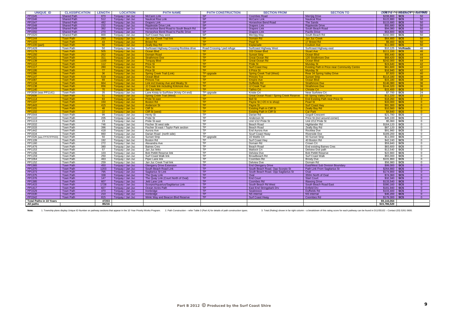| <b>UNIQUE ID</b>               | <b>CLASSIFICATION</b> | <b>LENGTH</b> | <b>LOCATION</b>   | <b>PATH NAME</b>                            | <b>PATH CONSTRUCTION</b>   | <b>SECTION FROM</b>                            | <b>SECTION TO</b>                                   |                | COIS B 7/26/328 B 3 Trim D 3 2 7 0 8 6 |                 |
|--------------------------------|-----------------------|---------------|-------------------|---------------------------------------------|----------------------------|------------------------------------------------|-----------------------------------------------------|----------------|----------------------------------------|-----------------|
| PP1545                         | <b>Shared Path</b>    | 870           | Torquay / Jan Juc | <b>McCann Link</b>                          | <b>SP</b>                  | <b>Coombes Road</b>                            | <b>Merrijig Drive</b>                               | $$208.800$ SCS |                                        | 50              |
| PP1546                         | <b>Shared Path</b>    | 512           | Torquay / Jan Juc | <b>Nautical Rise Link</b>                   | SP                         | <b>McCann Link</b>                             | <b>Nautical Rise</b>                                | $$122.880$ SCS |                                        | 50              |
| PP1547                         | <b>Shared Path</b>    | 482           | Torquay / Jan Juc | <b>Drapers Link</b>                         | SP                         | Horseshoe Bend Road                            | The Sands                                           | $$115,680$ SCS |                                        | 50              |
| PP1548                         | <b>Shared Path</b>    | 232           | Torquay / Jan Juc | <b>Rippleside Drive Link</b>                | <b>SP</b>                  | <b>Drapers Link</b>                            | <b>Rippleside Drive</b>                             | $$55,680$ SCS  |                                        | 50              |
| PP1549                         | <b>Shared Path</b>    | 392           | Torquay / Jan Juc | Horseshoe Bend Road to South Beach Rd       | SP                         | <b>Drapers Link</b>                            | South Beach Road                                    | $$94,080$ SCS  |                                        | 50              |
| PP1550                         | <b>Shared Path</b>    | 270           | Torquay / Jan Juc | Horseshoe Bend Road to Pacific Drive        | SP                         | <b>Drapers Link</b>                            | <b>Pacific Drive</b>                                | $$64,800$ SCS  |                                        | 50              |
| PP1520                         | <b>Shared Path</b>    | 800           | Torguay / Jan Juc | Surf Coast Hwy west                         | SP                         | Merriija Wav                                   | South Beach Rd                                      | \$192,000      | SCS                                    | 50              |
| <b>PP1144</b>                  | <b>Town Path</b>      | 293           | Torquay / Jan Juc | <b>Jan Juc Creek Trail link</b>             | TP.                        | Domain Rd                                      | Jan Juc Creel                                       | \$64,460       | <b>SCS</b>                             | 50 <sub>o</sub> |
| PP1103                         | <b>Town Path</b>      | 43            | Torquay / Jan Juc | <b>Bristol Rd</b>                           | TP.                        | <b>Pearl St</b>                                | 17 Bristol Rd                                       | \$9,460        | SCS                                    | 50              |
| <b>PP1100 (pa</b>              | <b>Town Path</b>      | 50            | Torquay / Jan Juc | <b>Zeally Bay Rd</b>                        | <b>TP</b>                  | Esplanade                                      | <b>Coulson Ave</b>                                  | \$11.000       | SCS                                    | 50              |
| PP1428                         | <b>Town Path</b>      | 50            | Torquay / Jan Juc | Surfcoast Highway Crossing Rocklea drive    | Road Crossing / ped refuge | Surfcoast Highway West                         | Surfcoast Highway east                              | \$10,125       | VicRoads                               | 46              |
| <b>PP1179</b>                  | <b>Town Path</b>      | 505           | Torquay / Jan Juc | Ocean Blvd                                  | <b>TP</b>                  | 103 Ocean Blvd                                 | <b>Stuart Ave</b>                                   | \$111.100      | <b>SCS</b>                             | 46              |
| <b>PP1150</b>                  | <b>Town Path</b>      | 252           | Torquay / Jan Juc | <b>Domain Road</b>                          | TP.                        | <b>Sunset Strip</b>                            | <b>Ocean Blvd</b>                                   | \$55,440       | <b>SCS</b>                             | 44              |
| <b>PP1151</b>                  | <b>Town Path</b>      | 311           | Torquay / Jan Juc | <b>Strathmore Dve</b>                       | <b>TP</b>                  | <b>Great Ocean Rd</b>                          | 120 Strathmore Dve                                  | \$68,420       | <b>SCS</b>                             | 44              |
| PP1139                         | <b>Town Path</b>      | 1100          | Torquay / Jan Juc | <b>Torquay Blvd</b>                         | TP.                        | <b>Great Ocean Rd</b>                          | <b>Ocean Blvd</b>                                   | \$242.000      | <b>SCS</b>                             | 44              |
| <b>PP1112</b>                  | <b>Town Path</b>      | 112           | Torquay / Jan Juc | <b>Price St</b>                             | TP.                        | <b>Pride St</b>                                | <b>Munday St</b>                                    | \$24,640       | <b>SCS</b>                             | 42              |
| <b>PP1117</b>                  | <b>Town Path</b>      | 280           | Torquay / Jan Juc | <b>Price St</b>                             | <b>TP</b>                  | <b>Surf Coast Hwy</b>                          | <b>Existing Path in Price near Community Centre</b> | \$61.600       | <b>SCS</b>                             | 42              |
| <b>PP1195</b>                  | <b>Town Path</b>      | 77            | Torquay / Jan Juc | <b>Price St</b>                             | TP.                        | 6 Price St                                     | <b>Munday St</b>                                    | \$16,940       | <b>SCS</b>                             | 42              |
| FP2286                         | <b>Town Path</b>      | 36            | Torquay / Jan Juc | <b>Spring Creek Trail (Link)</b>            | <b>TP</b> upgrade          | <b>Spring Creek Trail (West)</b>               | <b>Rear 34 Spring Valley Drive</b>                  | \$7,920        | <b>SCS</b>                             | 40              |
| <b>PP1147</b>                  | <b>Town Path</b>      | 519           | Torquay / Jan Juc | Ocean Blvd                                  | TP.                        | <b>Princes Tce</b>                             | <b>Sunset Strip</b>                                 | \$114,180      | <b>SCS</b>                             | 38              |
| <b>PP1087</b>                  | <b>Town Path</b>      | 69            | Torquay / Jan Juc | <b>Princes Tce</b>                          | TP.                        | <b>Empire Ave</b>                              | Ocean Blvd                                          | \$15,180       | <b>SCS</b>                             | 38              |
| <b>PP1134</b>                  | <b>Town Path</b>      | 664           | Torquay / Jan Juc | <b>Link incl Inveray Ave and Meaby St</b>   | <b>TP</b>                  | <b>Duffields Rd</b>                            | <b>Strathmore Dve</b>                               | \$146.080      | <b>SCS</b>                             | 36              |
| <b>PP1138</b>                  | <b>Town Path</b>      | 656           | Torquay / Jan Juc | <b>JJ Creek link including Kirkmore Ave</b> | TP.                        | <b>JJ Creek Trai</b>                           | <b>Strathmore Dve</b>                               | \$144.320      | <b>SCS</b>                             | 36 <sup>°</sup> |
| <b>PP1140</b>                  | <b>Town Path</b>      | 70            | Torquay / Jan Juc | <b>Jan Juc links</b>                        | TP.                        | <b>Tathra Crt</b>                              | <b>Christie Crt</b>                                 | \$15,400       | <b>SCS</b>                             | 34              |
| FP2838 (was PP1141)            | <b>Town Path</b>      | 35            | Torquay / Jan Juc | Lane Kristy to SurfView (Kristy Crt end)    | TP upgrade                 | Kristie Crt                                    | Near Surfview Crt                                   | $$7,700$ SCS   |                                        | 24              |
| FP2608                         | <b>Town Path</b>      | 51            | Torquay / Jan Juc | <b>Spring Creek Trail (West)</b>            | TP.                        | <b>Great Ocean Road / Spring Creek Reserve</b> | <b>65 Spring Valley Drive</b>                       | \$11,220       | <b>SCS</b>                             | 22              |
| <b>PP1114</b>                  | <b>Town Path</b>      | 83            | Torquay / Jan Juc | <b>Pride St east</b>                        | TP.                        | <b>Bell St</b>                                 | <b>End Existing Path near Price St</b>              | \$18,260       | <b>SCS</b>                             | $\overline{0}$  |
| PP1107                         | <b>Town Path</b>      | 150           | Torquay / Jan Juc | <b>Boston Rd</b>                            | TP.                        | Payne St (+20 m to shop)                       | <b>Pearl St</b>                                     | \$33,000       | <b>SCS</b>                             | $\Omega$        |
| <b>PP1443</b>                  | <b>Town Path</b>      | 415           | Torquay / Jan Juc | <b>Anderson St</b>                          | <b>TP</b>                  | <b>Payne St</b>                                | <b>Surf Coast Hwy</b>                               | \$91.300       | SCS                                    | $\overline{0}$  |
| <b>PP1101</b>                  | <b>Town Path</b>      | 48            | Torquay / Jan Juc | <b>Cliff St</b>                             | TP.                        | <b>Existing Path in Cliff St</b>               | <b>Zeally Bay Rd</b>                                | \$10.560       | <b>SCS</b>                             | $\Omega$        |
| <b>PP1102</b>                  | <b>Town Path</b>      | 22            | Torquay / Jan Juc | <b>Cliff St (west</b>                       | TP.                        | <b>Existing Path in Cliff St</b>               | <b>Car Park</b>                                     | \$4,840        | <b>SCS</b>                             | $\overline{0}$  |
| PP1544                         | <b>Town Path</b>      | 99            | Torquay / Jan Juc | Henty St                                    | <b>TP</b>                  | Darian Rd                                      | <b>Gogoll Crescent</b>                              | \$21,780       | <b>SCS</b>                             | $\Omega$        |
| PP1110                         | <b>Town Path</b>      | 205           | Torquay / Jan Juc | Pride St                                    | <b>TP</b>                  | Anderson St                                    | Price St (incl around corner)                       | \$45,100       | <b>SCS</b>                             | $\Omega$        |
| PP1113                         | <b>Town Path</b>      | 23            | Torquay / Jan Juc | Pride St east                               | <b>TP</b>                  | Unit 1/12 Pride St                             | Unit 2/12 Pride St                                  | \$5,060        | <b>SCS</b>                             | $\Omega$        |
| PP1532                         | <b>Town Path</b>      | 746           | Torquay / Jan Juc | Fischer St west side                        | TP                         | Beach Road                                     | Highlander Rd                                       | \$164.120      | <b>SCS</b>                             | $\Omega$        |
| PP1533                         | <b>Town Path</b>      | 396           | Torquay / Jan Juc | Fischer St east / Taylor Park section       | <b>TP</b>                  | Beach Road                                     | Zeally Bay Rd                                       | \$87,120       | <b>SCS</b>                             | $\Omega$        |
| PP1442                         | <b>Town Path</b>      | 418           | Torquay / Jan Juc | Aurora Ave                                  | TP                         | End Aurora Ave                                 | Rocklea Dve                                         | \$91,960       | <b>SCS</b>                             | $\Omega$        |
| PP1534                         | <b>Town Path</b>      | 860           | Torquay / Jan Juc | Darian Road (north side)                    | <b>TP</b>                  | Scurf Coast Hway                               | <b>Riverside Dve</b>                                | \$189,200      | <b>SCS</b>                             | $\Omega$        |
| PP1526 (was FP767/FP033)       | <b>Town Path</b>      | 50            | Torquay / Jan Juc | <b>Sunset Strip</b>                         | TP upgrade                 | 16 Wattle Crt                                  | 93 Sunset Strip                                     | \$11,000       | <b>SCS</b>                             | $\Omega$        |
| PP1109                         | <b>Town Path</b>      | 192           | Torquay / Jan Juc | Boston Rd                                   | TP.                        | Surf Coast Hwy                                 | 40 Boston Rd                                        | \$42.240       | <b>SCS</b>                             | $\Omega$        |
| PP1160                         | <b>Town Path</b>      | 272           | Torquay / Jan Juc | Alexandra Ave                               | <b>TP</b>                  | Domain Rd                                      | Crown Crt                                           | \$59,840       | <b>SCS</b>                             | $\Omega$        |
| PP1476                         | <b>Town Path</b>      | 380           | Torquay / Jan Juc | <b>Baines Cres</b>                          | <b>TP</b>                  | <b>Beach Road</b>                              | <b>End existing Baines Cres</b>                     | \$83,600       | <b>SCS</b>                             | $\Omega$        |
| PP1153                         | <b>Town Path</b>      | 57            | Torquay / Jan Juc | Jan Juc links                               | <b>TP</b>                  | <b>Matlock Crt</b>                             | Delview Dve path                                    | \$12,540       | <b>SCS</b>                             | $\Omega$        |
| PP1156                         | <b>Town Path</b>      | 103           | Torquay / Jan Juc | <b>Bob Pettitt Reserve link</b>             | TP                         | <b>Delview Dve</b>                             | <b>Bob Pettitt Reserve</b>                          | \$22,660       | <b>SCS</b>                             | $\Omega$        |
| PP1159                         | <b>Town Path</b>      | 250           | Torquay / Jan Juc | Surf Coast Walk link                        | TP.                        | Broadbeach Rd                                  | <b>Surf Coast Walk</b>                              | \$55.000       | <b>SCS</b>                             | $\Omega$        |
| PP1064                         | <b>Town Path</b>      | 463           | Torquay / Jan Juc | Piper Lane link                             | $\overline{TP}$            | Coombes Rd                                     | <b>Briody Dve</b>                                   | \$101,860      | <b>SCS</b>                             | $\Omega$        |
| PP1152                         | <b>Town Path</b>      | 259           | Torquay / Jan Juc | Jan Juc Creek Trail link                    | <b>TP</b>                  | Delview Dve                                    | Domain Rd                                           | \$56,980       | scs                                    | $\Omega$        |
| PP1365                         | <b>Town Path</b>      | 450           | Torquay / Jan Juc | <b>Glengarry Drive Extension</b>            | <b>TP</b>                  | <b>End Glengarry Drive</b>                     | East/West Sub Division Boundary                     | \$99,000       | <b>SCS</b>                             | $\Omega$        |
| PP1370                         | <b>Town Path</b>      | 1203          | Torquay / Jan Juc | South Beach Road Link                       | <b>TP</b>                  | South Beach Road. Opp Scorpio St               | Path Link From Sagitarius St                        | \$264,660      | <b>SCS</b>                             | $\Omega$        |
| PP1373                         | <b>Town Path</b>      | 795           | Torquay / Jan Juc | Sagitarius St Link                          | TP                         | South Beach Road. Opp Sagitarius St            | Oval                                                | \$174,900      | <b>SCS</b>                             | $\Omega$        |
| PP1375                         | <b>Town Path</b>      | 338           | Torquay / Jan Juc | The Quay Link                               | <b>TP</b>                  | Oval                                           | 350m North of Oval                                  | \$74,360       | <b>SCS</b>                             | $\Omega$        |
| PP1376                         | <b>Town Path</b>      | 147           | Torquay / Jan Juc | The Quay Link (Court North of Oval)         | <b>TP</b>                  | <b>End Court</b>                               | <b>Start Court</b>                                  | $$32.340$ SCS  |                                        | $\Omega$        |
| PP1385                         | <b>Town Path</b>      | 607           | Torquay / Jan Juc | Jetti Lane Link                             | <b>TP</b>                  | Coombes Rd                                     | <b>Illawong Drive</b>                               | $$133,540$ SCS |                                        | $\Omega$        |
| PP1415                         | <b>Town Path</b>      | 1728          | Torquay / Jan Juc | Scorpio/Aquarius/Sagittarius Link           | <b>TP</b>                  | South Beach Rd West                            | South Beach Road East                               | $$380,160$ SCS |                                        | $\Omega$        |
| PP1417                         | <b>Town Path</b>      | 827           | Torquay / Jan Juc | Ocean Acres Path                            | TP                         | East End Stringybark Drv                       | <b>Enfield Drv</b>                                  | \$181,940      | <b>SCS</b>                             | $\Omega$        |
| PP1529                         | <b>Town Path</b>      | 470           | Torquay / Jan Juc | Ironbridge                                  | <b>TP</b>                  | Seabreeze                                      | <b>Duffields Rd</b>                                 | $$103,400$ SCS |                                        | $\Omega$        |
| PP1530                         | <b>Town Path</b>      | 210           | Torquay / Jan Juc | Ironbridge                                  | <b>TP</b>                  | <b>NS</b> internal                             | <b>NS</b> internal                                  | $$46,200$ SCS  |                                        | $\Omega$        |
| PP1542                         | <b>Town Path</b>      | 815           | Torquay / Jan Juc | Winki Way and Beacon Blvd Reserve           | TP                         | <b>Surf Coast Hway</b>                         | <b>Coombes Rd</b>                                   | $$179,300$ SCS |                                        | $\Omega$        |
| <b>Total Paths in 10 Years</b> |                       | 47203         |                   |                                             |                            |                                                |                                                     | \$9,144,064    |                                        |                 |
| All paths                      |                       | 85216         |                   |                                             |                            |                                                |                                                     | \$15,786,520   |                                        |                 |
|                                |                       |               |                   |                                             |                            |                                                |                                                     |                |                                        |                 |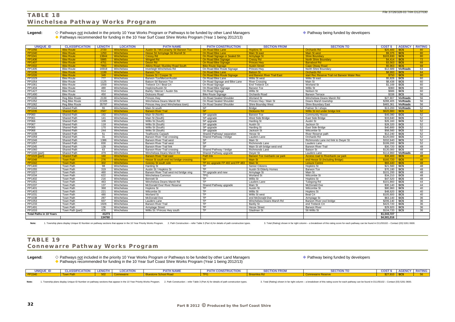## **TABLE 18 Winchelsea Pathway Works Program**

Legend:  $\Diamond$  Pathways <u>not</u> included in the priority 10 Year Works Program or Pathways to be funded by other Land Managers **Pathway being funded by developers** ◆ Pathways recommended for funding in the 10 Year Surf Coast Shire Works Program (Year 1 being 2012/13)

| <b>UNIQUE ID</b>               | <b>CLASSIFICATION</b> | <b>LENGTH</b> | <b>LOCATION</b>   | <b>PATH NAME</b>                            | <b>PATH CONSTRUCTION</b>         | <b>SECTION FROM</b>            | <b>SECTION TO</b>                            | <b>COST \$</b> | <b>AGENCY</b>           | <b>RATING</b> |
|--------------------------------|-----------------------|---------------|-------------------|---------------------------------------------|----------------------------------|--------------------------------|----------------------------------------------|----------------|-------------------------|---------------|
| <b>PP1056</b>                  | <b>Bike Route</b>     | 2720          | <b>Winchelsea</b> | <b>Austin St / McConachy St/ Barwon Tce</b> | On Road Bike Lane                | <b>Hopkins St</b>              | <b>Orchards Rd</b>                           | \$20,400       | <b>SCS</b>              | 80            |
| <b>PP1040</b>                  | <b>Bike Route</b>     | 1250          | Winchelsea        | Hesse St/ Armytage St/ Murrell St           | On Road Bike Lane                | <b>Main St east</b>            | <b>Main St west</b>                          | \$9.375        | SCS                     | 80            |
| PP1041                         | <b>Bike Route</b>     | 13844         | Winchelsea        | <b>Cressy Rd</b>                            | On Road Signage or Sealed Sh     | <b>Armytage St</b>             | <b>Shire Boundary</b>                        | \$103.830      | <b>SCS</b>              | 80            |
| <b>PP1406</b>                  | <b>Bike Route</b>     | 5885          | Winchelsea        | <b>Wingeel Rd</b>                           | On Road Bike Signage             | <b>Cressy Rd</b>               | <b>North Shire Boundary</b>                  | \$4.414        | <b>SCS</b>              | 72            |
| <b>PP1407</b>                  | <b>Bike Route</b>     | 4751          | Winchelsea        | Devon Rd                                    | On Road Bike Signage             | <b>Princes Hwy</b>             | <b>Barrabool Rd</b>                          | \$3.563        | <b>SCS</b>              | 68            |
| <b>PP1502</b>                  | <b>Bike Route</b>     | 7950          | Winchelsea        | <b>Atkins Road / Buckley Road South</b>     | <b>Bike Route Signage</b>        | <b>Austin Street</b>           | <b>Cape Otway Road</b>                       | \$5,963        | <b>SCS</b>              | 68            |
| PP1405                         | <b>Bike Route</b>     | 16918         | Winchelsea        | Inverleigh Winchelsea Rd                    | On Road Bike Route Signage       | Princes Hwy                    | North Shire Boundary                         | \$12,689       | VicRoads                | 64            |
| <b>PP1036</b>                  | <b>Bike Route</b>     | 1199          | Winchelsea        | <b>Barwon Tce</b>                           | On Road Bike Lane                | <b>Batson St</b>               | <b>Orchards Rd</b>                           | \$8.993        | <b>SCS</b>              | 64            |
| <b>PP1026</b>                  | <b>Bike Route</b>     | 349           | Winchelsea        | <b>Sussex St / Cooper St</b>                | On Road Bike Route Signage       | end Barwon River Trail East    | start Rec Reserve Trail nxt Barwon Water Res | \$750          | <b>SCS</b>              | 60            |
| PP1029                         | <b>Bike Route</b>     | 777           | Winchelsea        | Barwon Tce/Mercer/Austin                    | On Road Bike Lane                | Willis St west                 | Willis St east                               | \$5,828        | scs                     | 60            |
| PP1054                         | <b>Bike Route</b>     | 1125          | Winchelsea        | Batson St/ Barwon Tce                       | On Road Signage and Bike Lane    | <b>River Crossing</b>          | Main St                                      | \$8,438        | $\overline{\text{scs}}$ | 60            |
| PP1061                         | <b>Bike Route</b>     | 1559          | Winchelsea        | Trebeck Crt / Beal Crt                      | On Road Signage                  | <b>End Trebeck Crt</b>         | Worland St                                   | \$1,169        | <b>SCS</b>              | 60            |
| PP1404                         | <b>Bike Route</b>     | 480           | Winchelsea        | Hopkins/Austin St                           | On Road Bike Signage             | <b>Barwon Tce</b>              | <b>Willis St</b>                             | \$360          | scs                     | 60            |
| PP1427                         | <b>Bike Route</b>     | 914           | Winchelsea        | Barkly / Mercer / Austin Sts                | On Road Signage                  | Willis St                      | Neilson St                                   | \$686          | <b>SCS</b>              | 60            |
| PP1490                         | <b>Bike Route</b>     | 450           | Winchelsea        | Dicksons Road                               | <b>Bike Route Signage</b>        | Orchards Road                  | <b>Barwon Terrace</b>                        | \$338          | <b>SCS</b>              | 56            |
| PP1030                         | Rea Bike Route        | 2139          | Winchelsea        | <b>Princes Hwv</b>                          | On Road Sealed Shoulde           | <b>Worland St</b>              | Winchelsea Deans Marsh Rd                    | \$27.807       | <b>VicRoads</b>         | 56            |
| PP1052                         | Reg Bike Route        | 22185         | Winchelsea        | Winchelsea Deans Marsh Rd                   | On Road Sealed Shoulder          | Princes Hwy / Main St          | Deans Marsh township                         | \$288,405      | <b>VicRoads</b>         | 56            |
| PP1062                         | Reg Bike Route        | 35797         | Winchelsea        | Princes Hwy (excl Winchelsea town)          | On Road Sealed Shoulder          | Shire Bounday West             | Shire Boundary East                          | \$465,361      | <b>VicRoads</b>         | 56            |
|                                |                       |               |                   |                                             |                                  |                                |                                              |                |                         |               |
| PP1044                         | <b>Shared Path</b>    | 55            | Winchelsea        | Main St south                               | <b>SP</b>                        | <b>Bridge</b>                  | Palmer St / shops                            | \$13,200       | <b>VicRoads</b>         | 52            |
| PP1035                         | <b>Shared Path</b>    | 2587          | Winchelsea        | <b>Barwon River Trail</b>                   | <b>SP</b>                        | <b>Dicksons Rd</b>             | Willis St incl under bridge link             | \$620.88       | <b>SCS</b>              | 52            |
| FP060                          | Shared Path           | 192           | Winchelsea        | Main St (North)                             | SP upgrade                       | <b>Barwon Tce</b>              | <b>Community House</b>                       | \$46,080       | $\overline{\text{scs}}$ | 52            |
| FP061                          | <b>Shared Path</b>    | 141           | Winchelsea        | Main St (South)                             | SP upgrade                       | West Side Bridge               | East Side Bridge                             | \$33.840       | <b>SCS</b>              | 52            |
| FP066                          | <b>Shared Path</b>    | 109           | Winchelsea        | Willis St (South)                           | SP upgrade                       | Harding St                     | Austin St                                    | \$26,160       | scs                     | 52            |
| FP067                          | <b>Shared Path</b>    | 118           | Winchelsea        | Willis St (South)                           | SP upgrade                       | <b>Austin St</b>               | Jackson St                                   | \$28,320       | $\overline{\text{scs}}$ | 52            |
| FP065                          | <b>Shared Path</b>    | 170           | Winchelsea        | Willis St (South)                           | SP upgrade                       | Harding St                     | East Side Bridge                             | \$40,800       | <b>SCS</b>              | 52            |
| FP068                          | <b>Shared Path</b>    | 244           | Winchelsea        | Willis St (South)                           | SP upgrade                       | Jackson St                     | Witcombe St                                  | \$58,560       | scs                     | 52            |
| PP1039                         | <b>Shared Path</b>    | 51            | Winchelsea        | <b>TeaRooms Carpark</b>                     | Shared Pathway/ separation       | Hesse St                       | River Reserve path                           | \$12,240       | $\overline{\text{scs}}$ | 52            |
| PP1059                         | <b>Shared Path</b>    | 31            | Winchelsea        | Barwon River Trail crossing                 | Shared Pathway / bridge          | Lauders Lane                   | Orchards Rd                                  | \$120,000      | SCS                     | 52            |
| PP1046                         | <b>Shared Path</b>    | 1386          | Winchelsea        | Barwon River Trail west                     | <b>SP</b>                        | Main St                        | Richmonds Lane incl link to Dwyer St         | \$332,640      | <b>SCS</b>              | 52            |
| PP1057                         | <b>Shared Path</b>    | 830           | Winchelsea        | <b>Barwon River Trail west</b>              | S <sub>P</sub>                   | Richmonds Lane                 | Lauders Lane                                 | \$199,200      | scs                     | 52            |
| PP1045                         | <b>Shared Path</b>    | 128           | Winchelsea        | <b>Barwon River Trail link</b>              | <b>SP</b>                        | Main St sth bridge west end    | <b>Barwon River Trail</b>                    | \$30.720       | scs                     | 48            |
| PP1060                         | <b>Shared Path</b>    | 63            | Winchelsea        | Barwon River Trail crossing                 | Shared Pathway / bridge          | Richmonds Lane                 | <b>Batson St</b>                             | \$120,000      | <b>SCS</b>              | 48            |
| PP1049 (part)                  | <b>Shared Path</b>    | 479           | Winchelsea        | Winchelsea Deans Marsh Rd                   | Shared Pathway upgrade           | Dwyer St                       | Lauders Lane                                 | \$114,960      | <b>VicRoads</b>         | 48            |
| <b>PP1028 (part)</b>           | <b>Shared Path</b>    | 160           | Winchelsea        | <b>Barwon River Trail east</b>              | <b>Path link</b>                 | Barwon Tce riverbank car park  | Access road to Riverbank car park            | \$38,400       | <b>SCS</b>              | 48            |
| <b>PP1048</b>                  | <b>Town Path</b>      | 276           | Winchelsea        | Hesse St south end incl bridge crossing     | TP.                              | <b>Main St</b>                 | end Hesse St (Including Bridge)              | \$160.720      | <b>SCS</b>              | 48            |
| <b>PP1042</b>                  | <b>Town Path</b>      | 302           | Winchelsea        | <b>Gosney St south side</b>                 | TP inc upgrade FP 482 and FP 483 | <b>Main St</b>                 | <b>Leisure Centre</b>                        | \$66,440       | <b>SCS</b>              | 48            |
| PP1400                         | <b>Town Path</b>      | 98            | Winchelsea        | Harding St                                  | <b>TP</b>                        | <b>Senior Citizens</b>         | Hopkins St                                   | \$21,560       | scs                     | 48            |
| PP1055                         | <b>Town Path</b>      | 319           | Winchelsea        | Austin St / Hopkins St                      | TP                               | <b>Austin St Elderly Homes</b> | <b>Barwon Tce</b>                            | \$70,180       | <b>SCS</b>              | 48            |
| PP1027                         | <b>Town Path</b>      | 460           | Winchelsea        | Barwon River Trail west incl bridge xing    | TP upgrade and new               | Armytage St                    | Main St                                      | \$101,200      | scs                     | 48            |
| PP1034                         | <b>Town Path</b>      | 622           | Winchelsea        | Winchelsea Common                           | <b>TPG</b>                       | <b>Worland St</b>              | Witcombe St                                  | \$34,210       | scs                     | 48            |
| PP1402                         | <b>Town Path</b>      | 216           | Winchelsea        | <b>Bennett St</b>                           | <b>TP</b>                        | <b>Willis St</b>               | <b>Hopkins St</b>                            | \$47,520       | scs                     | 48            |
| PP1051                         | <b>Town Path</b>      | 463           | Winchelsea        | Winchelsea Deans Marsh Rd                   | TP                               | Lauders Lane                   | Tutegong Rd                                  | \$101,860      | <b>SCS</b>              | 44            |
| PP1037                         | <b>Town Path</b>      | 137           | Winchelsea        | McDonald Dve/ River Reserve                 | Shared Pathway upgrade           | Main St                        | <b>McDonald Dve</b>                          | \$30,140       | scs                     | 44            |
| PP1401                         | <b>Town Path</b>      | 368           | Winchelsea        | <b>Hopkins St</b>                           | TP                               | <b>Austin St</b>               | Witcombe St                                  | \$80,960       | scs                     | 40            |
| PP1403                         | <b>Town Path</b>      | 221           | Winchelsea        | Witcombe St                                 | TP                               | Willis St                      | Hopkins St                                   | \$48,620       | <b>SCS</b>              | 40            |
| PP1031                         | <b>Town Path</b>      | 480           | Winchelsea        | <b>Worland St</b>                           | <b>TP</b>                        | Willis St west                 | <b>Beal Crt</b>                              | \$105,600      | scs                     | 40            |
| PP1038                         | <b>Town Path</b>      | 287           | Winchelsea        | <b>McDonald Dve</b>                         | <b>TP</b>                        | end McDonald Dve               | Armytage St                                  | \$63,140       | scs                     | 36            |
| PP1053                         | <b>Town Path</b>      | 937           | Winchelsea        | Lauders Lane                                | <b>TP</b>                        | Winchelsea Deans Marsh Rd      | Barwon River excl bridge                     | \$206,140      | scs                     | 36            |
| PP1233                         | <b>Town Path</b>      | 1926          | Winchelsea        | <b>Barwon River Trail</b>                   | TP                               | <b>Barkly St</b>               | end Trebeck Crt                              | \$423,720      | $\overline{\text{scs}}$ | 36            |
| PP1491                         | <b>Town Path</b>      | 136           | Winchelsea        | <b>Armytage Street</b>                      | <b>TP</b>                        | <b>Hesse Street</b>            | <b>Barwon River</b>                          | \$29,920       | scs                     | 36            |
| PP1033                         | Town Path (part)      | 476           | Winchelsea        | Willis St / Princes Hwy south               | <b>TP</b>                        | Gladman St                     | 56 Willis St                                 | \$104,720      | scs                     | 36            |
| <b>Total Paths in 10 Years</b> |                       | 41273         |                   |                                             |                                  |                                |                                              | \$1,043,727    |                         |               |
|                                |                       | 134760        |                   |                                             |                                  |                                |                                              | \$4,501,016    |                         |               |
|                                |                       |               |                   |                                             |                                  |                                |                                              |                |                         |               |

Note: 1. Township plans display Unique ID Number on pathway sections that appear in the 10 Year Priority Works Program. 2. Path Construction - refer Table 3 (Part A) for details of path construction types. 3. Total (Rating

### **TABLE 19 Connewarre Pathway Works Program**

| Legend: | $\diamondsuit$ Pathways not included in the priority 10 Year Works Program or Pathways to be funded by other Land Managers | • Pathway being funded by developers |
|---------|----------------------------------------------------------------------------------------------------------------------------|--------------------------------------|
|         | A Pathways recommended for funding in the 10 Year Surf Coast Shire Works Program (Year 1 being 2012/13)                    |                                      |
|         |                                                                                                                            |                                      |

| <b>UNIQUE ID</b>  | <b>LASSIFICATION</b><br><b>AQUILLE</b> | <b>ENGTH</b> | <b>LOCATION</b> | <b>PATH NAME</b> | <b>CONSTRUCTION</b><br>DATH<br>--- | <b>SECTION FROM</b> | <b>SECTION TC</b> | <b>COST</b> | <b>AGENC</b> | <b>DATING</b><br><b>KAIING</b> |
|-------------------|----------------------------------------|--------------|-----------------|------------------|------------------------------------|---------------------|-------------------|-------------|--------------|--------------------------------|
| DD <sub>154</sub> |                                        |              |                 |                  |                                    |                     |                   |             |              |                                |